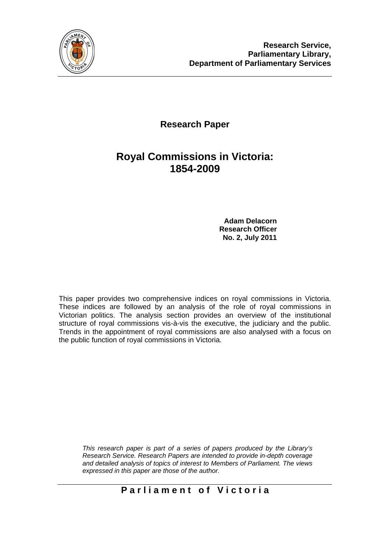

## **Research Paper**

## **Royal Commissions in Victoria: 1854-2009**

**Adam Delacorn Research Officer No. 2, July 2011** 

This paper provides two comprehensive indices on royal commissions in Victoria. These indices are followed by an analysis of the role of royal commissions in Victorian politics. The analysis section provides an overview of the institutional structure of royal commissions vis-à-vis the executive, the judiciary and the public. Trends in the appointment of royal commissions are also analysed with a focus on the public function of royal commissions in Victoria.

*This research paper is part of a series of papers produced by the Library's Research Service. Research Papers are intended to provide in-depth coverage and detailed analysis of topics of interest to Members of Parliament. The views expressed in this paper are those of the author.*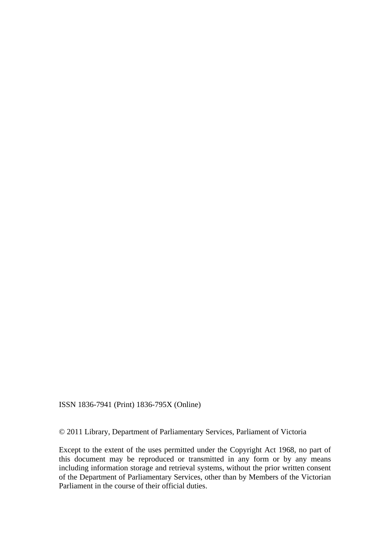ISSN 1836-7941 (Print) 1836-795X (Online)

© 2011 Library, Department of Parliamentary Services, Parliament of Victoria

Except to the extent of the uses permitted under the Copyright Act 1968, no part of this document may be reproduced or transmitted in any form or by any means including information storage and retrieval systems, without the prior written consent of the Department of Parliamentary Services, other than by Members of the Victorian Parliament in the course of their official duties.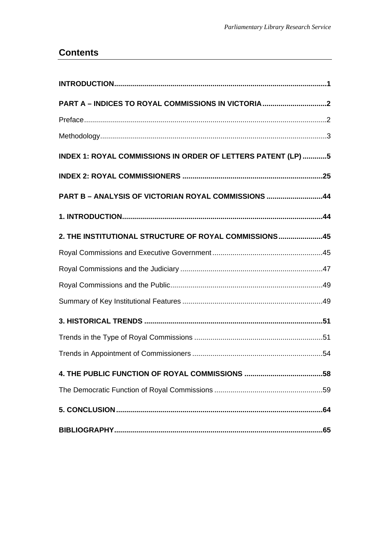### **Contents**

| PART A - INDICES TO ROYAL COMMISSIONS IN VICTORIA2           |  |
|--------------------------------------------------------------|--|
|                                                              |  |
|                                                              |  |
| INDEX 1: ROYAL COMMISSIONS IN ORDER OF LETTERS PATENT (LP) 5 |  |
|                                                              |  |
| PART B - ANALYSIS OF VICTORIAN ROYAL COMMISSIONS 44          |  |
|                                                              |  |
| 2. THE INSTITUTIONAL STRUCTURE OF ROYAL COMMISSIONS45        |  |
|                                                              |  |
|                                                              |  |
|                                                              |  |
|                                                              |  |
|                                                              |  |
|                                                              |  |
|                                                              |  |
|                                                              |  |
|                                                              |  |
|                                                              |  |
|                                                              |  |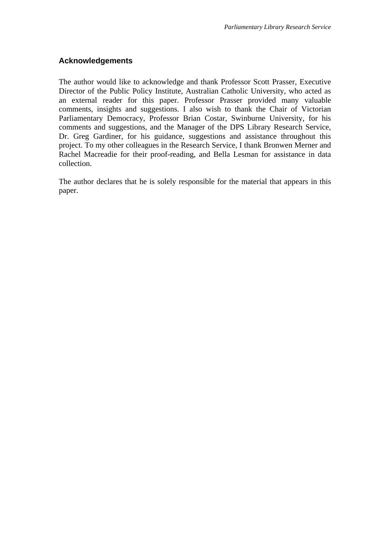#### **Acknowledgements**

The author would like to acknowledge and thank Professor Scott Prasser, Executive Director of the Public Policy Institute, Australian Catholic University, who acted as an external reader for this paper. Professor Prasser provided many valuable comments, insights and suggestions. I also wish to thank the Chair of Victorian Parliamentary Democracy, Professor Brian Costar, Swinburne University, for his comments and suggestions, and the Manager of the DPS Library Research Service, Dr. Greg Gardiner, for his guidance, suggestions and assistance throughout this project. To my other colleagues in the Research Service, I thank Bronwen Merner and Rachel Macreadie for their proof-reading, and Bella Lesman for assistance in data collection.

The author declares that he is solely responsible for the material that appears in this paper.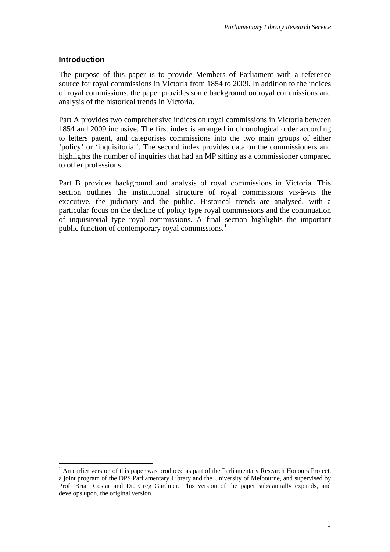### <span id="page-4-0"></span>**Introduction**

 $\overline{a}$ 

The purpose of this paper is to provide Members of Parliament with a reference source for royal commissions in Victoria from 1854 to 2009. In addition to the indices of royal commissions, the paper provides some background on royal commissions and analysis of the historical trends in Victoria.

Part A provides two comprehensive indices on royal commissions in Victoria between 1854 and 2009 inclusive. The first index is arranged in chronological order according to letters patent, and categorises commissions into the two main groups of either 'policy' or 'inquisitorial'. The second index provides data on the commissioners and highlights the number of inquiries that had an MP sitting as a commissioner compared to other professions.

Part B provides background and analysis of royal commissions in Victoria. This section outlines the institutional structure of royal commissions vis-à-vis the executive, the judiciary and the public. Historical trends are analysed, with a particular focus on the decline of policy type royal commissions and the continuation of inquisitorial type royal commissions. A final section highlights the important public function of contemporary royal commissions.<sup>[1](#page-4-1)</sup>

<span id="page-4-1"></span> $<sup>1</sup>$  An earlier version of this paper was produced as part of the Parliamentary Research Honours Project,</sup> a joint program of the DPS Parliamentary Library and the University of Melbourne, and supervised by Prof. Brian Costar and Dr. Greg Gardiner. This version of the paper substantially expands, and develops upon, the original version.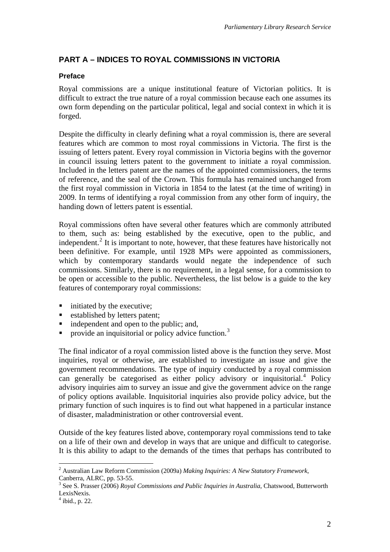### <span id="page-5-0"></span>**PART A – INDICES TO ROYAL COMMISSIONS IN VICTORIA**

### **Preface**

<span id="page-5-1"></span>Royal commissions are a unique institutional feature of Victorian politics. It is difficult to extract the true nature of a royal commission because each one assumes its own form depending on the particular political, legal and social context in which it is forged.

Despite the difficulty in clearly defining what a royal commission is, there are several features which are common to most royal commissions in Victoria. The first is the issuing of letters patent. Every royal commission in Victoria begins with the governor in council issuing letters patent to the government to initiate a royal commission. Included in the letters patent are the names of the appointed commissioners, the terms of reference, and the seal of the Crown. This formula has remained unchanged from the first royal commission in Victoria in 1854 to the latest (at the time of writing) in 2009. In terms of identifying a royal commission from any other form of inquiry, the handing down of letters patent is essential.

Royal commissions often have several other features which are commonly attributed to them, such as: being established by the executive, open to the public, and independent.<sup>[2](#page-5-2)</sup> It is important to note, however, that these features have historically not been definitive. For example, until 1928 MPs were appointed as commissioners, which by contemporary standards would negate the independence of such commissions. Similarly, there is no requirement, in a legal sense, for a commission to be open or accessible to the public. Nevertheless, the list below is a guide to the key features of contemporary royal commissions:

- $\blacksquare$  initiated by the executive;
- **Exercise 1** established by letters patent;
- independent and open to the public; and,
- provide an inquisitorial or policy advice function.<sup>[3](#page-5-3)</sup>

The final indicator of a royal commission listed above is the function they serve. Most inquiries, royal or otherwise, are established to investigate an issue and give the government recommendations. The type of inquiry conducted by a royal commission can generally be categorised as either policy advisory or inquisitorial.<sup>[4](#page-5-4)</sup> Policy advisory inquiries aim to survey an issue and give the government advice on the range of policy options available. Inquisitorial inquiries also provide policy advice, but the primary function of such inquires is to find out what happened in a particular instance of disaster, maladministration or other controversial event.

Outside of the key features listed above, contemporary royal commissions tend to take on a life of their own and develop in ways that are unique and difficult to categorise. It is this ability to adapt to the demands of the times that perhaps has contributed to

 $\overline{a}$ 

<span id="page-5-2"></span><sup>2</sup> Australian Law Reform Commission (2009a) *Making Inquiries: A New Statutory Framework*, Canberra, ALRC, pp. 53-55.

<span id="page-5-3"></span><sup>3</sup> See S. Prasser (2006) *Royal Commissions and Public Inquiries in Australia*, Chatswood, Butterworth LexisNexis.

<span id="page-5-4"></span><sup>4</sup> ibid., p. 22.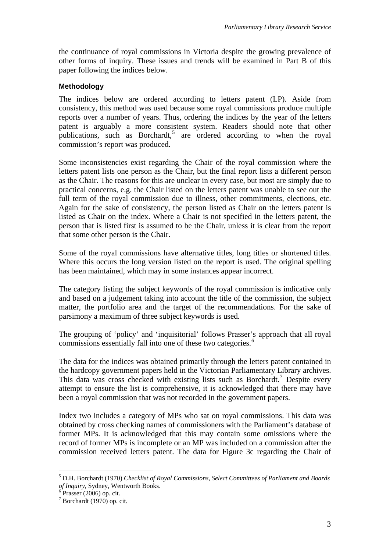the continuance of royal commissions in Victoria despite the growing prevalence of other forms of inquiry. These issues and trends will be examined in Part B of this paper following the indices below.

#### <span id="page-6-0"></span>**Methodology**

The indices below are ordered according to letters patent (LP). Aside from consistency, this method was used because some royal commissions produce multiple reports over a number of years. Thus, ordering the indices by the year of the letters patent is arguably a more consistent system. Readers should note that other publications, such as Borchardt,<sup>[5](#page-6-1)</sup> are ordered according to when the royal commission's report was produced.

Some inconsistencies exist regarding the Chair of the royal commission where the letters patent lists one person as the Chair, but the final report lists a different person as the Chair. The reasons for this are unclear in every case, but most are simply due to practical concerns, e.g. the Chair listed on the letters patent was unable to see out the full term of the royal commission due to illness, other commitments, elections, etc. Again for the sake of consistency, the person listed as Chair on the letters patent is listed as Chair on the index. Where a Chair is not specified in the letters patent, the person that is listed first is assumed to be the Chair, unless it is clear from the report that some other person is the Chair.

Some of the royal commissions have alternative titles, long titles or shortened titles. Where this occurs the long version listed on the report is used. The original spelling has been maintained, which may in some instances appear incorrect.

The category listing the subject keywords of the royal commission is indicative only and based on a judgement taking into account the title of the commission, the subject matter, the portfolio area and the target of the recommendations. For the sake of parsimony a maximum of three subject keywords is used.

The grouping of 'policy' and 'inquisitorial' follows Prasser's approach that all royal commissions essentially fall into one of these two categories.<sup>[6](#page-6-2)</sup>

The data for the indices was obtained primarily through the letters patent contained in the hardcopy government papers held in the Victorian Parliamentary Library archives. This data was cross checked with existing lists such as Borchardt.<sup>[7](#page-6-3)</sup> Despite every attempt to ensure the list is comprehensive, it is acknowledged that there may have been a royal commission that was not recorded in the government papers.

Index two includes a category of MPs who sat on royal commissions. This data was obtained by cross checking names of commissioners with the Parliament's database of former MPs. It is acknowledged that this may contain some omissions where the record of former MPs is incomplete or an MP was included on a commission after the commission received letters patent. The data for Figure 3c regarding the Chair of

 $\overline{a}$ 

<span id="page-6-1"></span><sup>5</sup> D.H. Borchardt (1970) *Checklist of Royal Commissions, Select Committees of Parliament and Boards of Inquiry*, Sydney, Wentworth Books. 6

<span id="page-6-2"></span> $6 \text{ Prasser}$  (2006) op. cit.

<span id="page-6-3"></span> $7$  Borchardt (1970) op. cit.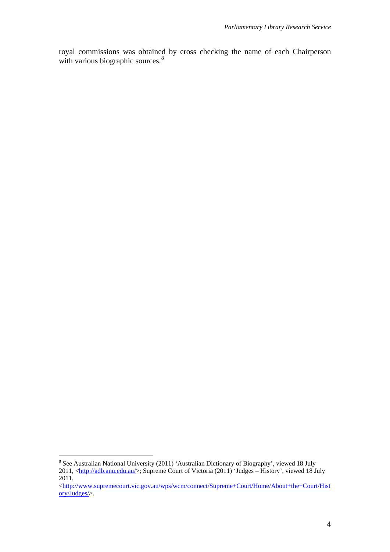royal commissions was obtained by cross checking the name of each Chairperson with various biographic sources.<sup>[8](#page-7-0)</sup>

<span id="page-7-0"></span><sup>&</sup>lt;sup>8</sup> See Australian National University (2011) 'Australian Dictionary of Biography', viewed 18 July 2011, <<http://adb.anu.edu.au/>>; Supreme Court of Victoria (2011) 'Judges – History', viewed 18 July 2011,

<sup>&</sup>lt;[http://www.supremecourt.vic.gov.au/wps/wcm/connect/Supreme+Court/Home/About+the+Court/Hist](http://www.supremecourt.vic.gov.au/wps/wcm/connect/Supreme+Court/Home/About+the+Court/History/Judges/)</html [ory/Judges/>](http://www.supremecourt.vic.gov.au/wps/wcm/connect/Supreme+Court/Home/About+the+Court/History/Judges/).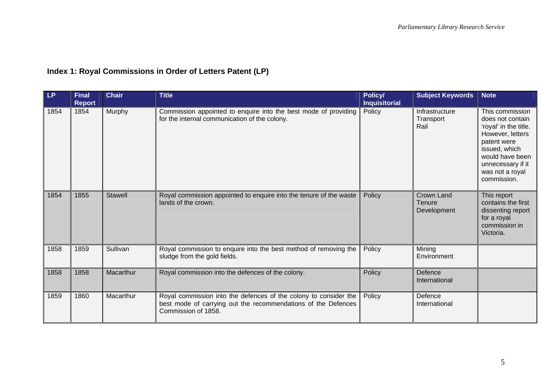## **Index 1: Royal Commissions in Order of Letters Patent (LP)**

<span id="page-8-0"></span>

| LP   | <b>Final</b><br><b>Report</b> | <b>Chair</b>   | <b>Title</b>                                                                                                                                             | Policy/<br><b>Inquisitorial</b> | <b>Subject Keywords</b>                    | <b>Note</b>                                                                                                                                                                                |
|------|-------------------------------|----------------|----------------------------------------------------------------------------------------------------------------------------------------------------------|---------------------------------|--------------------------------------------|--------------------------------------------------------------------------------------------------------------------------------------------------------------------------------------------|
| 1854 | 1854                          | Murphy         | Commission appointed to enquire into the best mode of providing<br>for the internal communication of the colony.                                         | Policy                          | Infrastructure<br>Transport<br>Rail        | This commission<br>does not contain<br>'royal' in the title.<br>However, letters<br>patent were<br>issued, which<br>would have been<br>unnecessary if it<br>was not a royal<br>commission. |
| 1854 | 1855                          | <b>Stawell</b> | Royal commission appointed to enquire into the tenure of the waste<br>lands of the crown.                                                                | Policy                          | <b>Crown Land</b><br>Tenure<br>Development | This report<br>contains the first<br>dissenting report<br>for a royal<br>commission in<br>Victoria.                                                                                        |
| 1858 | 1859                          | Sullivan       | Royal commission to enquire into the best method of removing the<br>sludge from the gold fields.                                                         | Policy                          | Mining<br>Environment                      |                                                                                                                                                                                            |
| 1858 | 1858                          | Macarthur      | Royal commission into the defences of the colony.                                                                                                        | Policy                          | Defence<br>International                   |                                                                                                                                                                                            |
| 1859 | 1860                          | Macarthur      | Royal commission into the defences of the colony to consider the<br>best mode of carrying out the recommendations of the Defences<br>Commission of 1858. | Policy                          | Defence<br>International                   |                                                                                                                                                                                            |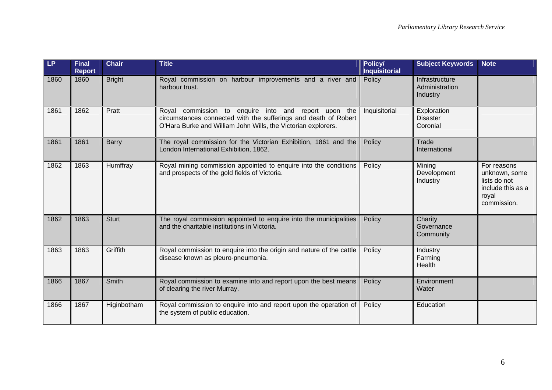| LP   | <b>Final</b><br><b>Report</b> | <b>Chair</b>  | <b>Title</b>                                                                                                                                                                             | Policy/<br><b>Inquisitorial</b> | <b>Subject Keywords</b>                      | <b>Note</b>                                                                               |
|------|-------------------------------|---------------|------------------------------------------------------------------------------------------------------------------------------------------------------------------------------------------|---------------------------------|----------------------------------------------|-------------------------------------------------------------------------------------------|
| 1860 | 1860                          | <b>Bright</b> | Royal commission on harbour improvements and a river and<br>harbour trust.                                                                                                               | Policy                          | Infrastructure<br>Administration<br>Industry |                                                                                           |
| 1861 | 1862                          | Pratt         | Royal commission to enquire into and report upon the<br>circumstances connected with the sufferings and death of Robert<br>O'Hara Burke and William John Wills, the Victorian explorers. | Inquisitorial                   | Exploration<br><b>Disaster</b><br>Coronial   |                                                                                           |
| 1861 | 1861                          | <b>Barry</b>  | The royal commission for the Victorian Exhibition, 1861 and the<br>London International Exhibition, 1862.                                                                                | Policy                          | Trade<br>International                       |                                                                                           |
| 1862 | 1863                          | Humffray      | Royal mining commission appointed to enquire into the conditions<br>and prospects of the gold fields of Victoria.                                                                        | Policy                          | Mining<br>Development<br>Industry            | For reasons<br>unknown, some<br>lists do not<br>include this as a<br>royal<br>commission. |
| 1862 | 1863                          | <b>Sturt</b>  | The royal commission appointed to enquire into the municipalities<br>and the charitable institutions in Victoria.                                                                        | Policy                          | Charity<br>Governance<br>Community           |                                                                                           |
| 1863 | 1863                          | Griffith      | Royal commission to enquire into the origin and nature of the cattle<br>disease known as pleuro-pneumonia.                                                                               | Policy                          | Industry<br>Farming<br>Health                |                                                                                           |
| 1866 | 1867                          | Smith         | Royal commission to examine into and report upon the best means<br>of clearing the river Murray.                                                                                         | Policy                          | Environment<br>Water                         |                                                                                           |
| 1866 | 1867                          | Higinbotham   | Royal commission to enquire into and report upon the operation of<br>the system of public education.                                                                                     | Policy                          | Education                                    |                                                                                           |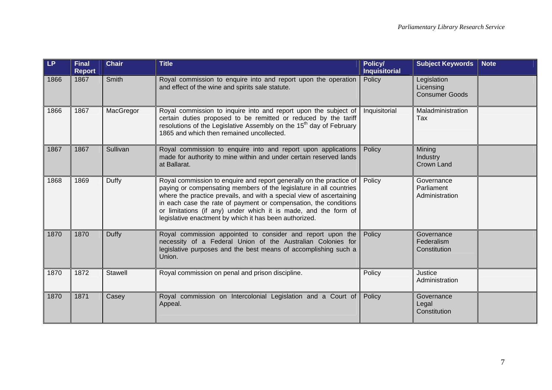| LP   | <b>Final</b><br><b>Report</b> | <b>Chair</b> | <b>Title</b>                                                                                                                                                                                                                                                                                                                                                                                                       | Policy/<br><b>Inquisitorial</b> | <b>Subject Keywords</b>                           | <b>Note</b> |
|------|-------------------------------|--------------|--------------------------------------------------------------------------------------------------------------------------------------------------------------------------------------------------------------------------------------------------------------------------------------------------------------------------------------------------------------------------------------------------------------------|---------------------------------|---------------------------------------------------|-------------|
| 1866 | 1867                          | Smith        | Royal commission to enquire into and report upon the operation<br>and effect of the wine and spirits sale statute.                                                                                                                                                                                                                                                                                                 | Policy                          | Legislation<br>Licensing<br><b>Consumer Goods</b> |             |
| 1866 | 1867                          | MacGregor    | Royal commission to inquire into and report upon the subject of<br>certain duties proposed to be remitted or reduced by the tariff<br>resolutions of the Legislative Assembly on the 15 <sup>th</sup> day of February<br>1865 and which then remained uncollected.                                                                                                                                                 | Inquisitorial                   | Maladministration<br>Tax                          |             |
| 1867 | 1867                          | Sullivan     | Royal commission to enquire into and report upon applications<br>made for authority to mine within and under certain reserved lands<br>at Ballarat.                                                                                                                                                                                                                                                                | Policy                          | Mining<br>Industry<br><b>Crown Land</b>           |             |
| 1868 | 1869                          | Duffy        | Royal commission to enquire and report generally on the practice of<br>paying or compensating members of the legislature in all countries<br>where the practice prevails, and with a special view of ascertaining<br>in each case the rate of payment or compensation, the conditions<br>or limitations (if any) under which it is made, and the form of<br>legislative enactment by which it has been authorized. | Policy                          | Governance<br>Parliament<br>Administration        |             |
| 1870 | 1870                          | Duffy        | Royal commission appointed to consider and report upon the<br>necessity of a Federal Union of the Australian Colonies for<br>legislative purposes and the best means of accomplishing such a<br>Union.                                                                                                                                                                                                             | Policy                          | Governance<br>Federalism<br>Constitution          |             |
| 1870 | 1872                          | Stawell      | Royal commission on penal and prison discipline.                                                                                                                                                                                                                                                                                                                                                                   | Policy                          | <b>Justice</b><br>Administration                  |             |
| 1870 | 1871                          | Casey        | Royal commission on Intercolonial Legislation and a Court of<br>Appeal.                                                                                                                                                                                                                                                                                                                                            | Policy                          | Governance<br>Legal<br>Constitution               |             |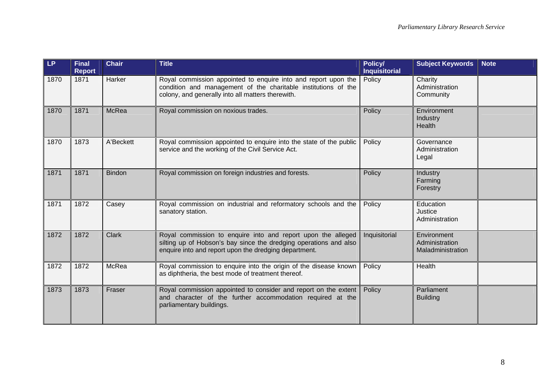| LP   | <b>Final</b><br><b>Report</b> | <b>Chair</b>  | <b>Title</b>                                                                                                                                                                               | Policy/<br><b>Inquisitorial</b> | <b>Subject Keywords</b>                            | <b>Note</b> |
|------|-------------------------------|---------------|--------------------------------------------------------------------------------------------------------------------------------------------------------------------------------------------|---------------------------------|----------------------------------------------------|-------------|
| 1870 | 1871                          | Harker        | Royal commission appointed to enquire into and report upon the<br>condition and management of the charitable institutions of the<br>colony, and generally into all matters therewith.      | Policy                          | Charity<br>Administration<br>Community             |             |
| 1870 | 1871                          | <b>McRea</b>  | Royal commission on noxious trades.                                                                                                                                                        | Policy                          | Environment<br>Industry<br><b>Health</b>           |             |
| 1870 | 1873                          | A'Beckett     | Royal commission appointed to enquire into the state of the public<br>service and the working of the Civil Service Act.                                                                    | Policy                          | Governance<br>Administration<br>Legal              |             |
| 1871 | 1871                          | <b>Bindon</b> | Royal commission on foreign industries and forests.                                                                                                                                        | Policy                          | Industry<br>Farming<br>Forestry                    |             |
| 1871 | 1872                          | Casey         | Royal commission on industrial and reformatory schools and the<br>sanatory station.                                                                                                        | Policy                          | Education<br>Justice<br>Administration             |             |
| 1872 | 1872                          | <b>Clark</b>  | Royal commission to enquire into and report upon the alleged<br>silting up of Hobson's bay since the dredging operations and also<br>enquire into and report upon the dredging department. | Inquisitorial                   | Environment<br>Administration<br>Maladministration |             |
| 1872 | 1872                          | McRea         | Royal commission to enquire into the origin of the disease known<br>as diphtheria, the best mode of treatment thereof.                                                                     | Policy                          | Health                                             |             |
| 1873 | 1873                          | Fraser        | Royal commission appointed to consider and report on the extent<br>and character of the further accommodation required at the<br>parliamentary buildings.                                  | Policy                          | Parliament<br><b>Building</b>                      |             |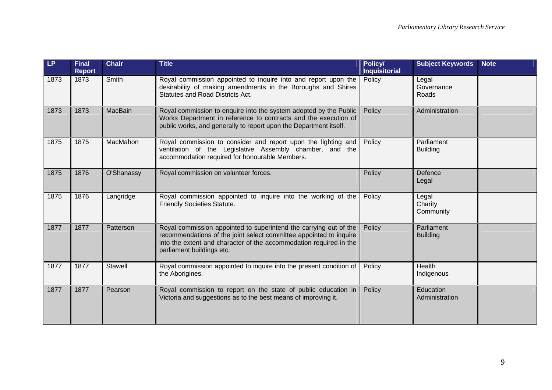| LP.  | <b>Final</b><br><b>Report</b> | <b>Chair</b>   | <b>Title</b>                                                                                                                                                                                                                               | Policy/<br><b>Inquisitorial</b> | <b>Subject Keywords</b>       | <b>Note</b> |
|------|-------------------------------|----------------|--------------------------------------------------------------------------------------------------------------------------------------------------------------------------------------------------------------------------------------------|---------------------------------|-------------------------------|-------------|
| 1873 | 1873                          | Smith          | Royal commission appointed to inquire into and report upon the<br>desirability of making amendments in the Boroughs and Shires<br><b>Statutes and Road Districts Act.</b>                                                                  | Policy                          | Legal<br>Governance<br>Roads  |             |
| 1873 | 1873                          | MacBain        | Royal commission to enquire into the system adopted by the Public<br>Works Department in reference to contracts and the execution of<br>public works, and generally to report upon the Department itself.                                  | Policy                          | Administration                |             |
| 1875 | 1875                          | MacMahon       | Royal commission to consider and report upon the lighting and<br>ventilation of the Legislative Assembly chamber, and the<br>accommodation required for honourable Members.                                                                | Policy                          | Parliament<br><b>Building</b> |             |
| 1875 | 1876                          | O'Shanassy     | Royal commission on volunteer forces.                                                                                                                                                                                                      | Policy                          | Defence<br>Legal              |             |
| 1875 | 1876                          | Langridge      | Royal commission appointed to inquire into the working of the<br><b>Friendly Societies Statute.</b>                                                                                                                                        | Policy                          | Legal<br>Charity<br>Community |             |
| 1877 | 1877                          | Patterson      | Royal commission appointed to superintend the carrying out of the<br>recommendations of the joint select committee appointed to inquire<br>into the extent and character of the accommodation required in the<br>parliament buildings etc. | Policy                          | Parliament<br><b>Building</b> |             |
| 1877 | 1877                          | <b>Stawell</b> | Royal commission appointed to inquire into the present condition of<br>the Aborigines.                                                                                                                                                     | Policy                          | Health<br>Indigenous          |             |
| 1877 | 1877                          | Pearson        | Royal commission to report on the state of public education in<br>Victoria and suggestions as to the best means of improving it.                                                                                                           | Policy                          | Education<br>Administration   |             |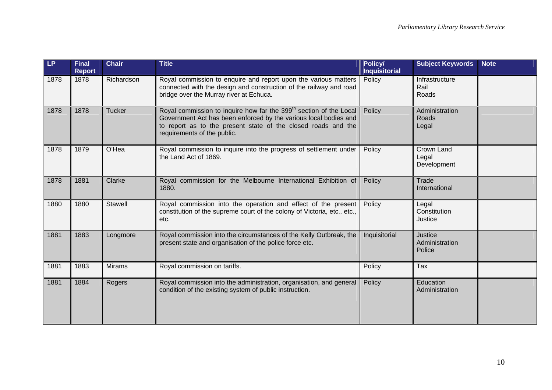| LP.  | <b>Final</b><br><b>Report</b> | <b>Chair</b>  | <b>Title</b>                                                                                                                                                                                                                                       | Policy/<br><b>Inquisitorial</b> | <b>Subject Keywords</b>             | <b>Note</b> |
|------|-------------------------------|---------------|----------------------------------------------------------------------------------------------------------------------------------------------------------------------------------------------------------------------------------------------------|---------------------------------|-------------------------------------|-------------|
| 1878 | 1878                          | Richardson    | Royal commission to enquire and report upon the various matters<br>connected with the design and construction of the railway and road<br>bridge over the Murray river at Echuca.                                                                   | Policy                          | Infrastructure<br>Rail<br>Roads     |             |
| 1878 | 1878                          | <b>Tucker</b> | Royal commission to inquire how far the 399 <sup>th</sup> section of the Local<br>Government Act has been enforced by the various local bodies and<br>to report as to the present state of the closed roads and the<br>requirements of the public. | Policy                          | Administration<br>Roads<br>Legal    |             |
| 1878 | 1879                          | O'Hea         | Royal commission to inquire into the progress of settlement under<br>the Land Act of 1869.                                                                                                                                                         | Policy                          | Crown Land<br>Legal<br>Development  |             |
| 1878 | 1881                          | Clarke        | Royal commission for the Melbourne International Exhibition of<br>1880.                                                                                                                                                                            | Policy                          | Trade<br>International              |             |
| 1880 | 1880                          | Stawell       | Royal commission into the operation and effect of the present<br>constitution of the supreme court of the colony of Victoria, etc., etc.,<br>etc.                                                                                                  | Policy                          | Legal<br>Constitution<br>Justice    |             |
| 1881 | 1883                          | Longmore      | Royal commission into the circumstances of the Kelly Outbreak, the<br>present state and organisation of the police force etc.                                                                                                                      | Inquisitorial                   | Justice<br>Administration<br>Police |             |
| 1881 | 1883                          | <b>Mirams</b> | Royal commission on tariffs.                                                                                                                                                                                                                       | Policy                          | Tax                                 |             |
| 1881 | 1884                          | Rogers        | Royal commission into the administration, organisation, and general<br>condition of the existing system of public instruction.                                                                                                                     | Policy                          | Education<br>Administration         |             |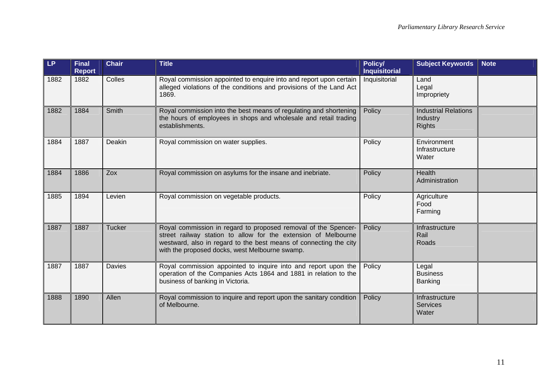| LP   | <b>Final</b><br><b>Report</b> | <b>Chair</b>  | <b>Title</b>                                                                                                                                                                                                                                            | Policy/<br><b>Inquisitorial</b> | <b>Subject Keywords</b>                                  | <b>Note</b> |
|------|-------------------------------|---------------|---------------------------------------------------------------------------------------------------------------------------------------------------------------------------------------------------------------------------------------------------------|---------------------------------|----------------------------------------------------------|-------------|
| 1882 | 1882                          | Colles        | Royal commission appointed to enquire into and report upon certain<br>alleged violations of the conditions and provisions of the Land Act<br>1869.                                                                                                      | Inquisitorial                   | Land<br>Legal<br>Impropriety                             |             |
| 1882 | 1884                          | Smith         | Royal commission into the best means of regulating and shortening<br>the hours of employees in shops and wholesale and retail trading<br>establishments.                                                                                                | Policy                          | <b>Industrial Relations</b><br>Industry<br><b>Rights</b> |             |
| 1884 | 1887                          | Deakin        | Royal commission on water supplies.                                                                                                                                                                                                                     | Policy                          | Environment<br>Infrastructure<br>Water                   |             |
| 1884 | 1886                          | Zox           | Royal commission on asylums for the insane and inebriate.                                                                                                                                                                                               | Policy                          | <b>Health</b><br>Administration                          |             |
| 1885 | 1894                          | Levien        | Royal commission on vegetable products.                                                                                                                                                                                                                 | Policy                          | Agriculture<br>Food<br>Farming                           |             |
| 1887 | 1887                          | <b>Tucker</b> | Royal commission in regard to proposed removal of the Spencer-<br>street railway station to allow for the extension of Melbourne<br>westward, also in regard to the best means of connecting the city<br>with the proposed docks, west Melbourne swamp. | Policy                          | Infrastructure<br>Rail<br>Roads                          |             |
| 1887 | 1887                          | Davies        | Royal commission appointed to inquire into and report upon the<br>operation of the Companies Acts 1864 and 1881 in relation to the<br>business of banking in Victoria.                                                                                  | Policy                          | Legal<br><b>Business</b><br>Banking                      |             |
| 1888 | 1890                          | Allen         | Royal commission to inquire and report upon the sanitary condition<br>of Melbourne.                                                                                                                                                                     | Policy                          | Infrastructure<br><b>Services</b><br>Water               |             |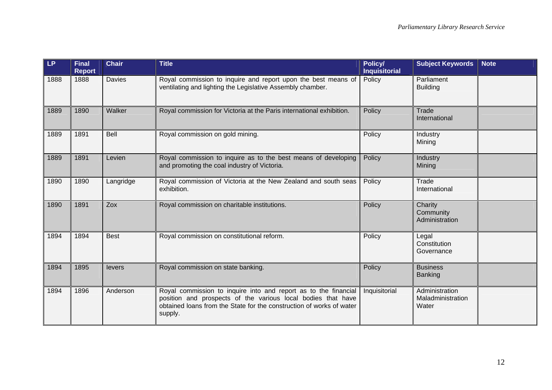| LP   | <b>Final</b><br><b>Report</b> | <b>Chair</b>  | <b>Title</b>                                                                                                                                                                                                       | Policy/<br><b>Inquisitorial</b> | <b>Subject Keywords</b>                      | <b>Note</b> |
|------|-------------------------------|---------------|--------------------------------------------------------------------------------------------------------------------------------------------------------------------------------------------------------------------|---------------------------------|----------------------------------------------|-------------|
| 1888 | 1888                          | <b>Davies</b> | Royal commission to inquire and report upon the best means of<br>ventilating and lighting the Legislative Assembly chamber.                                                                                        | Policy                          | Parliament<br><b>Building</b>                |             |
| 1889 | 1890                          | Walker        | Royal commission for Victoria at the Paris international exhibition.                                                                                                                                               | Policy                          | Trade<br>International                       |             |
| 1889 | 1891                          | Bell          | Royal commission on gold mining.                                                                                                                                                                                   | Policy                          | Industry<br>Mining                           |             |
| 1889 | 1891                          | Levien        | Royal commission to inquire as to the best means of developing<br>and promoting the coal industry of Victoria.                                                                                                     | Policy                          | Industry<br>Mining                           |             |
| 1890 | 1890                          | Langridge     | Royal commission of Victoria at the New Zealand and south seas<br>exhibition.                                                                                                                                      | Policy                          | Trade<br>International                       |             |
| 1890 | 1891                          | Zox           | Royal commission on charitable institutions.                                                                                                                                                                       | Policy                          | Charity<br>Community<br>Administration       |             |
| 1894 | 1894                          | <b>Best</b>   | Royal commission on constitutional reform.                                                                                                                                                                         | Policy                          | Legal<br>Constitution<br>Governance          |             |
| 1894 | 1895                          | levers        | Royal commission on state banking.                                                                                                                                                                                 | Policy                          | <b>Business</b><br><b>Banking</b>            |             |
| 1894 | 1896                          | Anderson      | Royal commission to inquire into and report as to the financial<br>position and prospects of the various local bodies that have<br>obtained loans from the State for the construction of works of water<br>supply. | Inquisitorial                   | Administration<br>Maladministration<br>Water |             |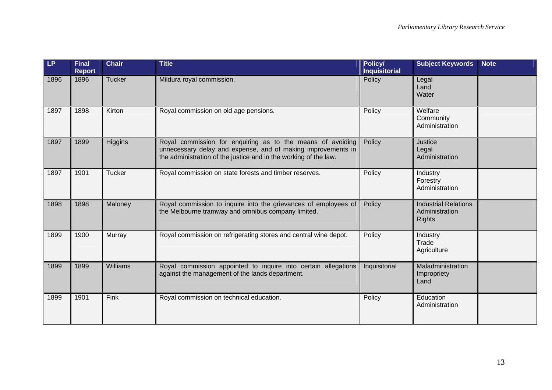| LP   | <b>Final</b><br><b>Report</b> | <b>Chair</b>  | <b>Title</b>                                                                                                                                                                                   | Policy/<br><b>Inquisitorial</b> | <b>Subject Keywords</b>                                        | <b>Note</b> |
|------|-------------------------------|---------------|------------------------------------------------------------------------------------------------------------------------------------------------------------------------------------------------|---------------------------------|----------------------------------------------------------------|-------------|
| 1896 | 1896                          | Tucker        | Mildura royal commission.                                                                                                                                                                      | Policy                          | Legal<br>Land<br>Water                                         |             |
| 1897 | 1898                          | Kirton        | Royal commission on old age pensions.                                                                                                                                                          | Policy                          | Welfare<br>Community<br>Administration                         |             |
| 1897 | 1899                          | Higgins       | Royal commission for enquiring as to the means of avoiding<br>unnecessary delay and expense, and of making improvements in<br>the administration of the justice and in the working of the law. | Policy                          | Justice<br>Legal<br>Administration                             |             |
| 1897 | 1901                          | <b>Tucker</b> | Royal commission on state forests and timber reserves.                                                                                                                                         | Policy                          | Industry<br>Forestry<br>Administration                         |             |
| 1898 | 1898                          | Maloney       | Royal commission to inquire into the grievances of employees of<br>the Melbourne tramway and omnibus company limited.                                                                          | Policy                          | <b>Industrial Relations</b><br>Administration<br><b>Rights</b> |             |
| 1899 | 1900                          | Murray        | Royal commission on refrigerating stores and central wine depot.                                                                                                                               | Policy                          | Industry<br>Trade<br>Agriculture                               |             |
| 1899 | 1899                          | Williams      | Royal commission appointed to inquire into certain allegations<br>against the management of the lands department.                                                                              | Inquisitorial                   | Maladministration<br>Impropriety<br>Land                       |             |
| 1899 | 1901                          | Fink          | Royal commission on technical education.                                                                                                                                                       | Policy                          | Education<br>Administration                                    |             |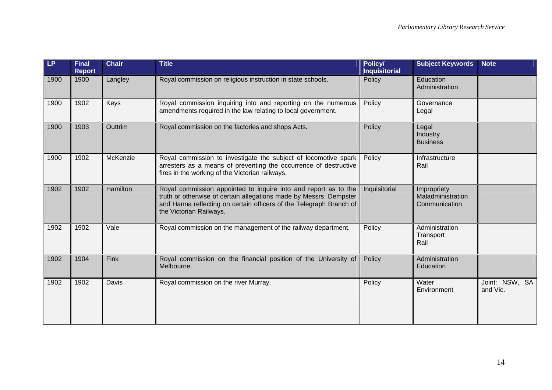| LP   | <b>Final</b><br><b>Report</b> | <b>Chair</b> | <b>Title</b>                                                                                                                                                                                                                            | <b>Policy/</b><br><b>Inquisitorial</b> | <b>Subject Keywords</b>                           | <b>Note</b>                |
|------|-------------------------------|--------------|-----------------------------------------------------------------------------------------------------------------------------------------------------------------------------------------------------------------------------------------|----------------------------------------|---------------------------------------------------|----------------------------|
| 1900 | 1900                          | Langley      | Royal commission on religious instruction in state schools.                                                                                                                                                                             | Policy                                 | Education<br>Administration                       |                            |
| 1900 | 1902                          | Keys         | Royal commission inquiring into and reporting on the numerous<br>amendments required in the law relating to local government.                                                                                                           | Policy                                 | Governance<br>Legal                               |                            |
| 1900 | 1903                          | Outtrim      | Royal commission on the factories and shops Acts.                                                                                                                                                                                       | Policy                                 | Legal<br>Industry<br><b>Business</b>              |                            |
| 1900 | 1902                          | McKenzie     | Royal commission to investigate the subject of locomotive spark<br>arresters as a means of preventing the occurrence of destructive<br>fires in the working of the Victorian railways.                                                  | Policy                                 | Infrastructure<br>Rail                            |                            |
| 1902 | 1902                          | Hamilton     | Royal commission appointed to inquire into and report as to the<br>truth or otherwise of certain allegations made by Messrs. Dempster<br>and Hanna reflecting on certain officers of the Telegraph Branch of<br>the Victorian Railways. | Inquisitorial                          | Impropriety<br>Maladministration<br>Communication |                            |
| 1902 | 1902                          | Vale         | Royal commission on the management of the railway department.                                                                                                                                                                           | Policy                                 | Administration<br>Transport<br>Rail               |                            |
| 1902 | 1904                          | Fink         | Royal commission on the financial position of the University of<br>Melbourne.                                                                                                                                                           | Policy                                 | Administration<br>Education                       |                            |
| 1902 | 1902                          | Davis        | Royal commission on the river Murray.                                                                                                                                                                                                   | Policy                                 | Water<br>Environment                              | Joint: NSW, SA<br>and Vic. |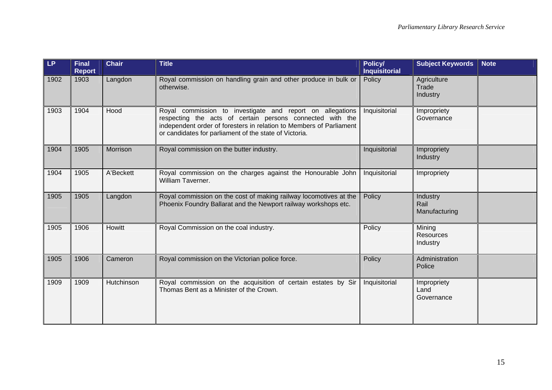| <b>LP</b> | <b>Final</b><br><b>Report</b> | <b>Chair</b> | <b>Title</b>                                                                                                                                                                                                                                            | Policy/<br><b>Inquisitorial</b> | <b>Subject Keywords</b>                | <b>Note</b> |
|-----------|-------------------------------|--------------|---------------------------------------------------------------------------------------------------------------------------------------------------------------------------------------------------------------------------------------------------------|---------------------------------|----------------------------------------|-------------|
| 1902      | 1903                          | Langdon      | Royal commission on handling grain and other produce in bulk or<br>otherwise.                                                                                                                                                                           | Policy                          | Agriculture<br>Trade<br>Industry       |             |
| 1903      | 1904                          | Hood         | Royal commission to investigate and report on allegations<br>respecting the acts of certain persons connected with the<br>independent order of foresters in relation to Members of Parliament<br>or candidates for parliament of the state of Victoria. | Inquisitorial                   | Impropriety<br>Governance              |             |
| 1904      | 1905                          | Morrison     | Royal commission on the butter industry.                                                                                                                                                                                                                | Inquisitorial                   | Impropriety<br>Industry                |             |
| 1904      | 1905                          | A'Beckett    | Royal commission on the charges against the Honourable John<br>William Taverner.                                                                                                                                                                        | Inquisitorial                   | Impropriety                            |             |
| 1905      | 1905                          | Langdon      | Royal commission on the cost of making railway locomotives at the<br>Phoenix Foundry Ballarat and the Newport railway workshops etc.                                                                                                                    | Policy                          | Industry<br>Rail<br>Manufacturing      |             |
| 1905      | 1906                          | Howitt       | Royal Commission on the coal industry.                                                                                                                                                                                                                  | Policy                          | Mining<br><b>Resources</b><br>Industry |             |
| 1905      | 1906                          | Cameron      | Royal commission on the Victorian police force.                                                                                                                                                                                                         | Policy                          | Administration<br>Police               |             |
| 1909      | 1909                          | Hutchinson   | Royal commission on the acquisition of certain estates by Sir<br>Thomas Bent as a Minister of the Crown.                                                                                                                                                | Inquisitorial                   | Impropriety<br>Land<br>Governance      |             |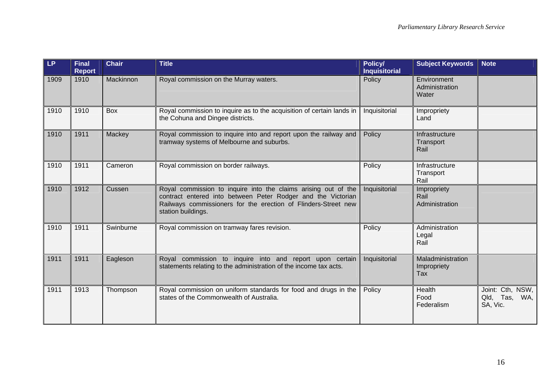| <b>LP</b> | <b>Final</b><br><b>Report</b> | Chair     | <b>Title</b>                                                                                                                                                                                                           | Policy/<br><b>Inquisitorial</b> | <b>Subject Keywords</b>                 | <b>Note</b>                                   |
|-----------|-------------------------------|-----------|------------------------------------------------------------------------------------------------------------------------------------------------------------------------------------------------------------------------|---------------------------------|-----------------------------------------|-----------------------------------------------|
| 1909      | 1910                          | Mackinnon | Royal commission on the Murray waters.                                                                                                                                                                                 | Policy                          | Environment<br>Administration<br>Water  |                                               |
| 1910      | 1910                          | Box       | Royal commission to inquire as to the acquisition of certain lands in<br>the Cohuna and Dingee districts.                                                                                                              | Inquisitorial                   | Impropriety<br>Land                     |                                               |
| 1910      | 1911                          | Mackey    | Royal commission to inquire into and report upon the railway and<br>tramway systems of Melbourne and suburbs.                                                                                                          | Policy                          | Infrastructure<br>Transport<br>Rail     |                                               |
| 1910      | 1911                          | Cameron   | Royal commission on border railways.                                                                                                                                                                                   | Policy                          | Infrastructure<br>Transport<br>Rail     |                                               |
| 1910      | 1912                          | Cussen    | Royal commission to inquire into the claims arising out of the<br>contract entered into between Peter Rodger and the Victorian<br>Railways commissioners for the erection of Flinders-Street new<br>station buildings. | Inquisitorial                   | Impropriety<br>Rail<br>Administration   |                                               |
| 1910      | 1911                          | Swinburne | Royal commission on tramway fares revision.                                                                                                                                                                            | Policy                          | Administration<br>Legal<br>Rail         |                                               |
| 1911      | 1911                          | Eagleson  | Royal commission to inquire into and report upon certain<br>statements relating to the administration of the income tax acts.                                                                                          | Inquisitorial                   | Maladministration<br>Impropriety<br>Tax |                                               |
| 1911      | 1913                          | Thompson  | Royal commission on uniform standards for food and drugs in the<br>states of the Commonwealth of Australia.                                                                                                            | Policy                          | Health<br>Food<br>Federalism            | Joint: Cth, NSW,<br>Qld, Tas, WA,<br>SA, Vic. |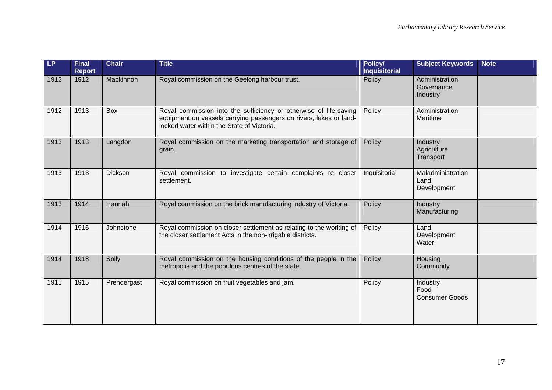| LP.  | <b>Final</b><br><b>Report</b> | <b>Chair</b> | <b>Title</b>                                                                                                                                                                          | Policy/<br><b>Inquisitorial</b> | <b>Subject Keywords</b>                   | <b>Note</b> |
|------|-------------------------------|--------------|---------------------------------------------------------------------------------------------------------------------------------------------------------------------------------------|---------------------------------|-------------------------------------------|-------------|
| 1912 | 1912                          | Mackinnon    | Royal commission on the Geelong harbour trust.                                                                                                                                        | Policy                          | Administration<br>Governance<br>Industry  |             |
| 1912 | 1913                          | Box          | Royal commission into the sufficiency or otherwise of life-saving<br>equipment on vessels carrying passengers on rivers, lakes or land-<br>locked water within the State of Victoria. | Policy                          | Administration<br>Maritime                |             |
| 1913 | 1913                          | Langdon      | Royal commission on the marketing transportation and storage of<br>grain.                                                                                                             | Policy                          | Industry<br>Agriculture<br>Transport      |             |
| 1913 | 1913                          | Dickson      | Royal commission to investigate certain complaints re closer<br>settlement.                                                                                                           | Inquisitorial                   | Maladministration<br>Land<br>Development  |             |
| 1913 | 1914                          | Hannah       | Royal commission on the brick manufacturing industry of Victoria.                                                                                                                     | Policy                          | Industry<br>Manufacturing                 |             |
| 1914 | 1916                          | Johnstone    | Royal commission on closer settlement as relating to the working of<br>the closer settlement Acts in the non-irrigable districts.                                                     | Policy                          | Land<br>Development<br>Water              |             |
| 1914 | 1918                          | Solly        | Royal commission on the housing conditions of the people in the<br>metropolis and the populous centres of the state.                                                                  | Policy                          | Housing<br>Community                      |             |
| 1915 | 1915                          | Prendergast  | Royal commission on fruit vegetables and jam.                                                                                                                                         | Policy                          | Industry<br>Food<br><b>Consumer Goods</b> |             |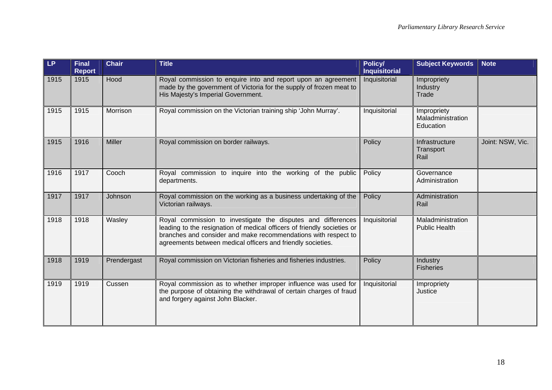| <b>LP</b> | <b>Final</b><br><b>Report</b> | <b>Chair</b>  | <b>Title</b>                                                                                                                                                                                                                                                             | Policy/<br><b>Inquisitorial</b>         | <b>Subject Keywords</b>                       | <b>Note</b>      |
|-----------|-------------------------------|---------------|--------------------------------------------------------------------------------------------------------------------------------------------------------------------------------------------------------------------------------------------------------------------------|-----------------------------------------|-----------------------------------------------|------------------|
| 1915      | 1915                          | Hood          | Royal commission to enquire into and report upon an agreement<br>made by the government of Victoria for the supply of frozen meat to<br>His Majesty's Imperial Government.                                                                                               | Inquisitorial                           | Impropriety<br>Industry<br>Trade              |                  |
| 1915      | 1915                          | Morrison      | Royal commission on the Victorian training ship 'John Murray'.                                                                                                                                                                                                           | Inquisitorial                           | Impropriety<br>Maladministration<br>Education |                  |
| 1915      | 1916                          | <b>Miller</b> | Royal commission on border railways.                                                                                                                                                                                                                                     | Policy                                  | Infrastructure<br>Transport<br>Rail           | Joint: NSW, Vic. |
| 1916      | 1917                          | Cooch         | Royal commission to inquire into the working of the public<br>departments.                                                                                                                                                                                               | Policy<br>Governance<br>Administration  |                                               |                  |
| 1917      | 1917                          | Johnson       | Royal commission on the working as a business undertaking of the<br>Victorian railways.                                                                                                                                                                                  | Policy                                  | Administration<br>Rail                        |                  |
| 1918      | 1918                          | Wasley        | Royal commission to investigate the disputes and differences<br>leading to the resignation of medical officers of friendly societies or<br>branches and consider and make recommendations with respect to<br>agreements between medical officers and friendly societies. | Inquisitorial                           | Maladministration<br><b>Public Health</b>     |                  |
| 1918      | 1919                          | Prendergast   | Royal commission on Victorian fisheries and fisheries industries.                                                                                                                                                                                                        | Policy                                  | Industry<br><b>Fisheries</b>                  |                  |
| 1919      | 1919                          | Cussen        | Royal commission as to whether improper influence was used for<br>the purpose of obtaining the withdrawal of certain charges of fraud<br>and forgery against John Blacker.                                                                                               | Inquisitorial<br>Impropriety<br>Justice |                                               |                  |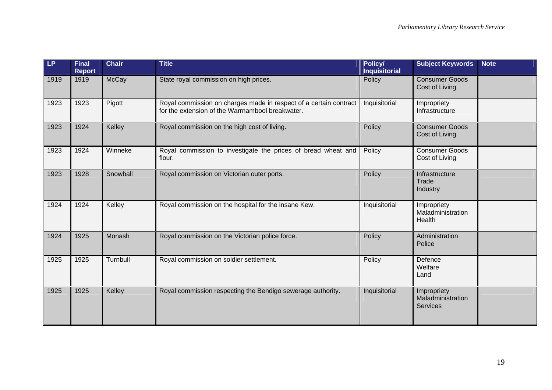| <b>LP</b> | <b>Final</b><br><b>Report</b> | <b>Chair</b> | <b>Title</b>                                                                                                          | Policy/<br><b>Inquisitorial</b> | <b>Subject Keywords</b>                             | <b>Note</b> |
|-----------|-------------------------------|--------------|-----------------------------------------------------------------------------------------------------------------------|---------------------------------|-----------------------------------------------------|-------------|
| 1919      | 1919                          | McCay        | State royal commission on high prices.                                                                                | Policy                          | <b>Consumer Goods</b><br>Cost of Living             |             |
| 1923      | 1923                          | Pigott       | Royal commission on charges made in respect of a certain contract<br>for the extension of the Warrnambool breakwater. | Inquisitorial                   | Impropriety<br>Infrastructure                       |             |
| 1923      | 1924                          | Kelley       | Royal commission on the high cost of living.                                                                          | Policy                          | <b>Consumer Goods</b><br>Cost of Living             |             |
| 1923      | 1924                          | Winneke      | Royal commission to investigate the prices of bread wheat and<br>flour.                                               | Policy                          | <b>Consumer Goods</b><br>Cost of Living             |             |
| 1923      | 1928                          | Snowball     | Royal commission on Victorian outer ports.                                                                            | Policy                          | Infrastructure<br>Trade<br>Industry                 |             |
| 1924      | 1924                          | Kelley       | Royal commission on the hospital for the insane Kew.                                                                  | Inquisitorial                   | Impropriety<br>Maladministration<br>Health          |             |
| 1924      | 1925                          | Monash       | Royal commission on the Victorian police force.                                                                       | Policy                          | Administration<br>Police                            |             |
| 1925      | 1925                          | Turnbull     | Royal commission on soldier settlement.                                                                               | Policy                          | Defence<br>Welfare<br>Land                          |             |
| 1925      | 1925                          | Kelley       | Royal commission respecting the Bendigo sewerage authority.                                                           | Inquisitorial                   | Impropriety<br>Maladministration<br><b>Services</b> |             |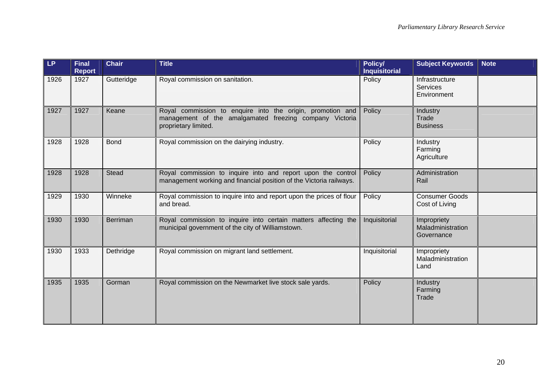| LP   | <b>Final</b><br><b>Report</b> | <b>Chair</b>    | <b>Title</b>                                                                                                                                  | Policy/<br><b>Inquisitorial</b> | <b>Subject Keywords</b>                          | <b>Note</b> |
|------|-------------------------------|-----------------|-----------------------------------------------------------------------------------------------------------------------------------------------|---------------------------------|--------------------------------------------------|-------------|
| 1926 | 1927                          | Gutteridge      | Royal commission on sanitation.                                                                                                               | Policy                          | Infrastructure<br><b>Services</b><br>Environment |             |
| 1927 | 1927                          | Keane           | Royal commission to enquire into the origin, promotion and<br>management of the amalgamated freezing company Victoria<br>proprietary limited. | Policy                          | Industry<br>Trade<br><b>Business</b>             |             |
| 1928 | 1928                          | <b>Bond</b>     | Royal commission on the dairying industry.                                                                                                    | Policy                          | Industry<br>Farming<br>Agriculture               |             |
| 1928 | 1928                          | <b>Stead</b>    | Royal commission to inquire into and report upon the control<br>management working and financial position of the Victoria railways.           | Policy                          | Administration<br>Rail                           |             |
| 1929 | 1930                          | Winneke         | Royal commission to inquire into and report upon the prices of flour<br>and bread.                                                            | Policy                          | <b>Consumer Goods</b><br>Cost of Living          |             |
| 1930 | 1930                          | <b>Berriman</b> | Royal commission to inquire into certain matters affecting the<br>municipal government of the city of Williamstown.                           | Inquisitorial                   | Impropriety<br>Maladministration<br>Governance   |             |
| 1930 | 1933                          | Dethridge       | Royal commission on migrant land settlement.                                                                                                  | Inquisitorial                   | Impropriety<br>Maladministration<br>Land         |             |
| 1935 | 1935                          | Gorman          | Royal commission on the Newmarket live stock sale yards.                                                                                      | Policy                          | Industry<br>Farming<br>Trade                     |             |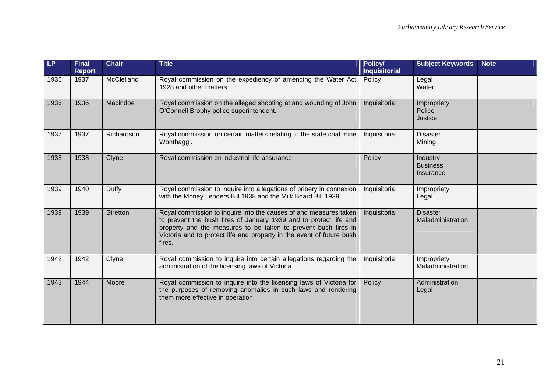| LP   | <b>Final</b><br><b>Report</b> | <b>Chair</b>    | <b>Title</b>                                                                                                                                                                                                                                                                                | Policy/<br><b>Inquisitorial</b> | <b>Subject Keywords</b>                  | <b>Note</b> |
|------|-------------------------------|-----------------|---------------------------------------------------------------------------------------------------------------------------------------------------------------------------------------------------------------------------------------------------------------------------------------------|---------------------------------|------------------------------------------|-------------|
| 1936 | 1937                          | McClelland      | Royal commission on the expediency of amending the Water Act<br>1928 and other matters.                                                                                                                                                                                                     | Policy                          | Legal<br>Water                           |             |
| 1936 | 1936                          | Macindoe        | Royal commission on the alleged shooting at and wounding of John<br>O'Connell Brophy police superintendent.                                                                                                                                                                                 | Inquisitorial                   | Impropriety<br>Police<br>Justice         |             |
| 1937 | 1937                          | Richardson      | Royal commission on certain matters relating to the state coal mine<br>Wonthaggi.                                                                                                                                                                                                           | Inquisitorial                   | <b>Disaster</b><br>Mining                |             |
| 1938 | 1938                          | Clyne           | Royal commission on industrial life assurance.                                                                                                                                                                                                                                              | Policy                          | Industry<br><b>Business</b><br>Insurance |             |
| 1939 | 1940                          | Duffy           | Royal commission to inquire into allegations of bribery in connexion<br>with the Money Lenders Bill 1938 and the Milk Board Bill 1939.                                                                                                                                                      | Inquisitorial                   | Impropriety<br>Legal                     |             |
| 1939 | 1939                          | <b>Stretton</b> | Royal commission to inquire into the causes of and measures taken<br>to prevent the bush fires of January 1939 and to protect life and<br>property and the measures to be taken to prevent bush fires in<br>Victoria and to protect life and property in the event of future bush<br>fires. | Inquisitorial                   | <b>Disaster</b><br>Maladministration     |             |
| 1942 | 1942                          | Clyne           | Royal commission to inquire into certain allegations regarding the<br>administration of the licensing laws of Victoria.                                                                                                                                                                     | Inquisitorial                   | Impropriety<br>Maladministration         |             |
| 1943 | 1944                          | Moore           | Royal commission to inquire into the licensing laws of Victoria for<br>the purposes of removing anomalies in such laws and rendering<br>them more effective in operation.                                                                                                                   | Policy                          | Administration<br>Legal                  |             |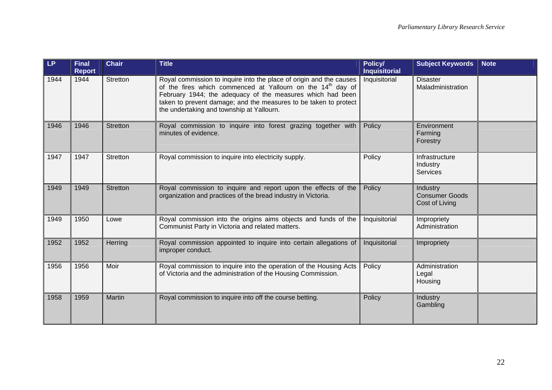| <b>LP</b> | <b>Final</b><br><b>Report</b> | <b>Chair</b>    | <b>Title</b>                                                                                                                                                                                                                                                                                                                  | Policy/<br><b>Inquisitorial</b> | <b>Subject Keywords</b>                                    | <b>Note</b> |
|-----------|-------------------------------|-----------------|-------------------------------------------------------------------------------------------------------------------------------------------------------------------------------------------------------------------------------------------------------------------------------------------------------------------------------|---------------------------------|------------------------------------------------------------|-------------|
| 1944      | 1944                          | <b>Stretton</b> | Royal commission to inquire into the place of origin and the causes<br>of the fires which commenced at Yallourn on the 14 <sup>th</sup> day of<br>February 1944; the adequacy of the measures which had been<br>taken to prevent damage; and the measures to be taken to protect<br>the undertaking and township at Yallourn. | Inquisitorial                   | <b>Disaster</b><br>Maladministration                       |             |
| 1946      | 1946                          | <b>Stretton</b> | Royal commission to inquire into forest grazing together with<br>minutes of evidence.                                                                                                                                                                                                                                         | Policy                          | Environment<br>Farming<br>Forestry                         |             |
| 1947      | 1947                          | <b>Stretton</b> | Royal commission to inquire into electricity supply.                                                                                                                                                                                                                                                                          | Policy                          | Infrastructure<br>Industry<br><b>Services</b>              |             |
| 1949      | 1949                          | <b>Stretton</b> | Royal commission to inquire and report upon the effects of the<br>organization and practices of the bread industry in Victoria.                                                                                                                                                                                               | Policy                          | <b>Industry</b><br><b>Consumer Goods</b><br>Cost of Living |             |
| 1949      | 1950                          | Lowe            | Royal commission into the origins aims objects and funds of the<br>Communist Party in Victoria and related matters.                                                                                                                                                                                                           | Inquisitorial                   | Impropriety<br>Administration                              |             |
| 1952      | 1952                          | Herring         | Royal commission appointed to inquire into certain allegations of<br>improper conduct.                                                                                                                                                                                                                                        | Inquisitorial                   | Impropriety                                                |             |
| 1956      | 1956                          | Moir            | Royal commission to inquire into the operation of the Housing Acts<br>of Victoria and the administration of the Housing Commission.                                                                                                                                                                                           | Policy                          | Administration<br>Legal<br>Housing                         |             |
| 1958      | 1959                          | Martin          | Royal commission to inquire into off the course betting.                                                                                                                                                                                                                                                                      | Policy                          | Industry<br>Gambling                                       |             |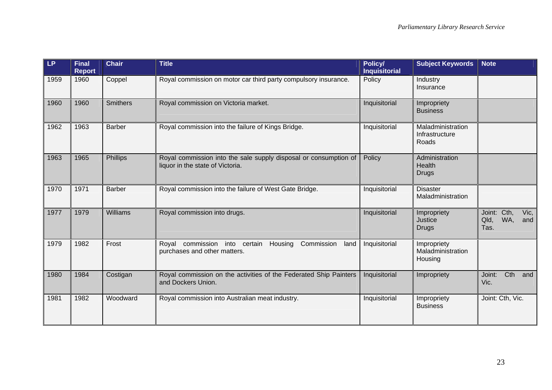| <b>LP</b> | <b>Final</b><br><b>Report</b> | <b>Chair</b>    | <b>Title</b>                                                                                         | Policy/<br><b>Inquisitorial</b> | <b>Subject Keywords</b>                      | <b>Note</b>                                       |
|-----------|-------------------------------|-----------------|------------------------------------------------------------------------------------------------------|---------------------------------|----------------------------------------------|---------------------------------------------------|
| 1959      | 1960                          | Coppel          | Royal commission on motor car third party compulsory insurance.                                      | Policy                          | Industry<br>Insurance                        |                                                   |
| 1960      | 1960                          | <b>Smithers</b> | Royal commission on Victoria market.                                                                 | Inquisitorial                   | Impropriety<br><b>Business</b>               |                                                   |
| 1962      | 1963                          | <b>Barber</b>   | Royal commission into the failure of Kings Bridge.                                                   | Inquisitorial                   | Maladministration<br>Infrastructure<br>Roads |                                                   |
| 1963      | 1965                          | Phillips        | Royal commission into the sale supply disposal or consumption of<br>liquor in the state of Victoria. | Policy                          | Administration<br>Health<br><b>Drugs</b>     |                                                   |
| 1970      | 1971                          | <b>Barber</b>   | Royal commission into the failure of West Gate Bridge.                                               | Inquisitorial                   | <b>Disaster</b><br>Maladministration         |                                                   |
| 1977      | 1979                          | Williams        | Royal commission into drugs.                                                                         | Inquisitorial                   | Impropriety<br>Justice<br><b>Drugs</b>       | Joint: Cth,<br>Vic,<br>WA,<br>Qld,<br>and<br>Tas. |
| 1979      | 1982                          | Frost           | Royal commission into certain<br>Housing<br>Commission<br>land<br>purchases and other matters.       | Inquisitorial                   | Impropriety<br>Maladministration<br>Housing  |                                                   |
| 1980      | 1984                          | Costigan        | Royal commission on the activities of the Federated Ship Painters<br>and Dockers Union.              | Inquisitorial                   | Impropriety                                  |                                                   |
| 1981      | 1982                          | Woodward        | Royal commission into Australian meat industry.                                                      | Inquisitorial                   | Impropriety<br><b>Business</b>               | Joint: Cth, Vic.                                  |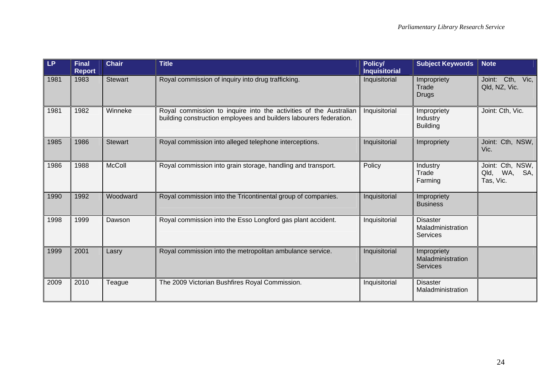| LP.  | <b>Final</b><br><b>Report</b> | <b>Chair</b>   | <b>Title</b>                                                                                                                            | Policy/<br><b>Inquisitorial</b> | <b>Subject Keywords</b>                                 | <b>Note</b>                                         |
|------|-------------------------------|----------------|-----------------------------------------------------------------------------------------------------------------------------------------|---------------------------------|---------------------------------------------------------|-----------------------------------------------------|
| 1981 | 1983                          | <b>Stewart</b> | Royal commission of inquiry into drug trafficking.                                                                                      | Inquisitorial                   | Impropriety<br>Trade<br><b>Drugs</b>                    | Joint: Cth, Vic,<br>Qld, NZ, Vic.                   |
| 1981 | 1982                          | Winneke        | Royal commission to inquire into the activities of the Australian<br>building construction employees and builders labourers federation. | Inquisitorial                   | Impropriety<br>Industry<br><b>Building</b>              | Joint: Cth, Vic.                                    |
| 1985 | 1986                          | <b>Stewart</b> | Royal commission into alleged telephone interceptions.                                                                                  | Inquisitorial                   | Impropriety                                             | Joint: Cth, NSW,<br>Vic.                            |
| 1986 | 1988                          | <b>McColl</b>  | Royal commission into grain storage, handling and transport.                                                                            | Policy                          | Industry<br>Trade<br>Farming                            | Joint: Cth, NSW,<br>WA,<br>Qld,<br>SA,<br>Tas, Vic. |
| 1990 | 1992                          | Woodward       | Royal commission into the Tricontinental group of companies.                                                                            | Inquisitorial                   | Impropriety<br><b>Business</b>                          |                                                     |
| 1998 | 1999                          | Dawson         | Royal commission into the Esso Longford gas plant accident.                                                                             | Inquisitorial                   | <b>Disaster</b><br>Maladministration<br><b>Services</b> |                                                     |
| 1999 | 2001                          | Lasry          | Royal commission into the metropolitan ambulance service.                                                                               | Inquisitorial                   | Impropriety<br>Maladministration<br><b>Services</b>     |                                                     |
| 2009 | 2010                          | Teague         | The 2009 Victorian Bushfires Royal Commission.                                                                                          | Inquisitorial                   | <b>Disaster</b><br>Maladministration                    |                                                     |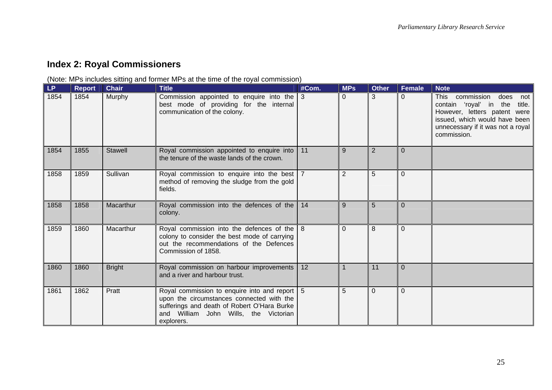# **Index 2: Royal Commissioners**

(Note: MPs includes sitting and former MPs at the time of the royal commission)

<span id="page-28-0"></span>

| $\mathsf{LP}$ | <b>Report</b> | <b>Chair</b>   | <b>Title</b>                                                                                                                                                                                     | #Com.      | <b>MPs</b> | <b>Other</b> | <b>Female</b>  | <b>Note</b>                                                                                                                                                                                       |
|---------------|---------------|----------------|--------------------------------------------------------------------------------------------------------------------------------------------------------------------------------------------------|------------|------------|--------------|----------------|---------------------------------------------------------------------------------------------------------------------------------------------------------------------------------------------------|
| 1854          | 1854          | Murphy         | Commission appointed to enquire into the $\vert$ 3<br>best mode of providing for the internal<br>communication of the colony.                                                                    |            | $\Omega$   | 3            | $\Omega$       | commission<br><b>This</b><br>does<br>not<br>contain 'royal' in the<br>title.<br>However, letters patent were<br>issued, which would have been<br>unnecessary if it was not a royal<br>commission. |
| 1854          | 1855          | <b>Stawell</b> | Royal commission appointed to enquire into<br>the tenure of the waste lands of the crown.                                                                                                        | $\vert$ 11 | 9          | 2            | $\Omega$       |                                                                                                                                                                                                   |
| 1858          | 1859          | Sullivan       | Royal commission to enquire into the best   7<br>method of removing the sludge from the gold<br>fields.                                                                                          |            | 2          | 5            | $\overline{0}$ |                                                                                                                                                                                                   |
| 1858          | 1858          | Macarthur      | Royal commission into the defences of the 14<br>colony.                                                                                                                                          |            | 9          | 5            | $\Omega$       |                                                                                                                                                                                                   |
| 1859          | 1860          | Macarthur      | Royal commission into the defences of the $8$<br>colony to consider the best mode of carrying<br>out the recommendations of the Defences<br>Commission of 1858.                                  |            | $\Omega$   | 8            | $\Omega$       |                                                                                                                                                                                                   |
| 1860          | 1860          | <b>Bright</b>  | Royal commission on harbour improvements<br>and a river and harbour trust.                                                                                                                       | 12         |            | 11           | $\Omega$       |                                                                                                                                                                                                   |
| 1861          | 1862          | Pratt          | Royal commission to enquire into and report 5<br>upon the circumstances connected with the<br>sufferings and death of Robert O'Hara Burke<br>and William John Wills, the Victorian<br>explorers. |            | 5          | $\Omega$     | $\Omega$       |                                                                                                                                                                                                   |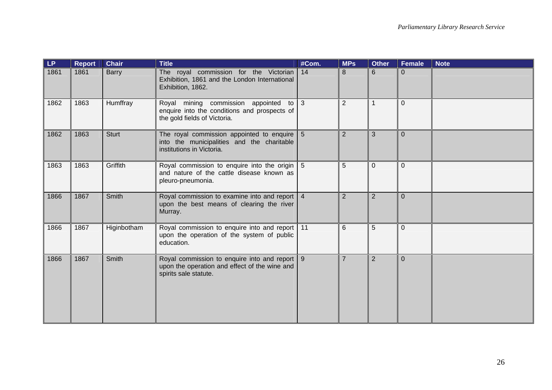| <b>LP</b> | <b>Report</b> | <b>Chair</b> | <b>Title</b>                                                                                                                           | #Com. | <b>MPs</b>     | <b>Other</b>   | Female         | <b>Note</b> |
|-----------|---------------|--------------|----------------------------------------------------------------------------------------------------------------------------------------|-------|----------------|----------------|----------------|-------------|
| 1861      | 1861          | <b>Barry</b> | The royal commission for the Victorian 14<br>Exhibition, 1861 and the London International<br>Exhibition, 1862.                        |       | 8              | 6              | $\Omega$       |             |
| 1862      | 1863          | Humffray     | Royal mining commission appointed to 3<br>enquire into the conditions and prospects of<br>the gold fields of Victoria.                 |       | 2              | 1              | $\Omega$       |             |
| 1862      | 1863          | <b>Sturt</b> | The royal commission appointed to enquire $\vert 5 \rangle$<br>into the municipalities and the charitable<br>institutions in Victoria. |       | $\overline{2}$ | 3              | $\overline{0}$ |             |
| 1863      | 1863          | Griffith     | Royal commission to enquire into the origin 5<br>and nature of the cattle disease known as<br>pleuro-pneumonia.                        |       | 5              | $\Omega$       | $\Omega$       |             |
| 1866      | 1867          | Smith        | Royal commission to examine into and report   4<br>upon the best means of clearing the river<br>Murray.                                |       | $\overline{2}$ | $\overline{2}$ | $\overline{0}$ |             |
| 1866      | 1867          | Higinbotham  | Royal commission to enquire into and report 11<br>upon the operation of the system of public<br>education.                             |       | 6              | 5              | $\mathbf{0}$   |             |
| 1866      | 1867          | Smith        | Royal commission to enquire into and report   9<br>upon the operation and effect of the wine and<br>spirits sale statute.              |       | $\overline{7}$ | $\overline{2}$ | $\Omega$       |             |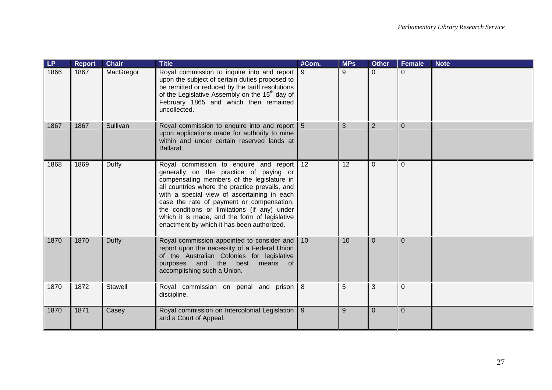| LP   | <b>Report</b> | <b>Chair</b>   | <b>Title</b>                                                                                                                                                                                                                                                                                                                                                                                                                   | #Com. | <b>MPs</b> | <b>Other</b>   | <b>Female</b>  | <b>Note</b> |
|------|---------------|----------------|--------------------------------------------------------------------------------------------------------------------------------------------------------------------------------------------------------------------------------------------------------------------------------------------------------------------------------------------------------------------------------------------------------------------------------|-------|------------|----------------|----------------|-------------|
| 1866 | 1867          | MacGregor      | Royal commission to inquire into and report   9<br>upon the subject of certain duties proposed to<br>be remitted or reduced by the tariff resolutions<br>of the Legislative Assembly on the 15 <sup>th</sup> day of<br>February 1865 and which then remained<br>uncollected.                                                                                                                                                   |       | 9          | $\overline{0}$ | $\Omega$       |             |
| 1867 | 1867          | Sullivan       | Royal commission to enquire into and report 5<br>upon applications made for authority to mine<br>within and under certain reserved lands at<br>Ballarat.                                                                                                                                                                                                                                                                       |       | 3          | $\overline{2}$ | $\overline{0}$ |             |
| 1868 | 1869          | Duffy          | Royal commission to enquire and report 12<br>generally on the practice of paying or<br>compensating members of the legislature in<br>all countries where the practice prevails, and<br>with a special view of ascertaining in each<br>case the rate of payment or compensation,<br>the conditions or limitations (if any) under<br>which it is made, and the form of legislative<br>enactment by which it has been authorized. |       | 12         | $\Omega$       | $\Omega$       |             |
| 1870 | 1870          | Duffy          | Royal commission appointed to consider and 10<br>report upon the necessity of a Federal Union<br>of the Australian Colonies for legislative<br>purposes and the best means<br>of<br>accomplishing such a Union.                                                                                                                                                                                                                |       | 10         | $\overline{0}$ | $\Omega$       |             |
| 1870 | 1872          | <b>Stawell</b> | Royal commission on penal and prison 8<br>discipline.                                                                                                                                                                                                                                                                                                                                                                          |       | 5          | 3              | $\Omega$       |             |
| 1870 | 1871          | Casey          | Royal commission on Intercolonial Legislation   9<br>and a Court of Appeal.                                                                                                                                                                                                                                                                                                                                                    |       | 9          | $\Omega$       | $\Omega$       |             |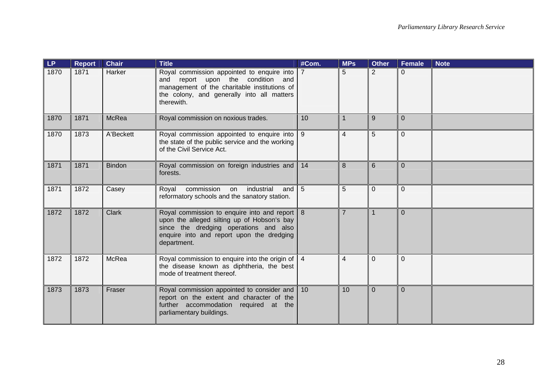| LP   | <b>Report</b> | <b>Chair</b>  | <b>Title</b>                                                                                                                                                                                         | #Com.          | <b>MPs</b>     | <b>Other</b>   | Female         | <b>Note</b> |
|------|---------------|---------------|------------------------------------------------------------------------------------------------------------------------------------------------------------------------------------------------------|----------------|----------------|----------------|----------------|-------------|
| 1870 | 1871          | Harker        | Royal commission appointed to enquire into   7<br>and report upon the condition and<br>management of the charitable institutions of<br>the colony, and generally into all matters<br>therewith.      |                | 5              | $\overline{2}$ | $\Omega$       |             |
| 1870 | 1871          | McRea         | Royal commission on noxious trades.                                                                                                                                                                  | 10             |                | 9              | $\overline{0}$ |             |
| 1870 | 1873          | A'Beckett     | Royal commission appointed to enquire into   9<br>the state of the public service and the working<br>of the Civil Service Act.                                                                       |                | $\overline{4}$ | 5              | $\overline{0}$ |             |
| 1871 | 1871          | <b>Bindon</b> | Royal commission on foreign industries and 14<br>forests.                                                                                                                                            |                | 8              | 6              | $\Omega$       |             |
| 1871 | 1872          | Casey         | commission<br>on industrial<br>Royal<br>and<br>reformatory schools and the sanatory station.                                                                                                         | $\overline{5}$ | 5              | $\overline{0}$ | $\overline{0}$ |             |
| 1872 | 1872          | Clark         | Royal commission to enquire into and report   8<br>upon the alleged silting up of Hobson's bay<br>since the dredging operations and also<br>enquire into and report upon the dredging<br>department. |                | $\overline{7}$ | $\overline{1}$ | $\Omega$       |             |
| 1872 | 1872          | McRea         | Royal commission to enquire into the origin of $\vert$ 4<br>the disease known as diphtheria, the best<br>mode of treatment thereof.                                                                  |                | $\overline{4}$ | $\overline{0}$ | $\Omega$       |             |
| 1873 | 1873          | Fraser        | Royal commission appointed to consider and 10<br>report on the extent and character of the<br>further accommodation required at the<br>parliamentary buildings.                                      |                | 10             | $\Omega$       | $\Omega$       |             |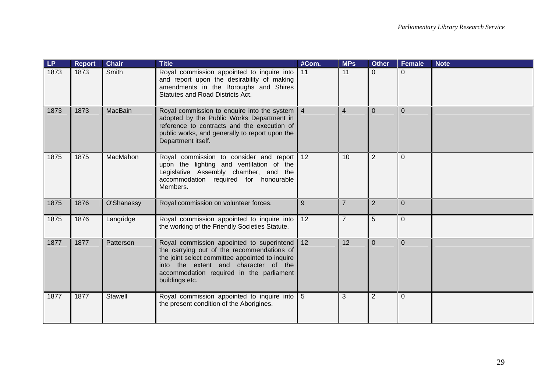| LP   | <b>Report</b> | <b>Chair</b>   | <b>Title</b>                                                                                                                                                                                                                                        | #Com.      | <b>MPs</b>     | <b>Other</b>   | <b>Female</b>  | <b>Note</b> |
|------|---------------|----------------|-----------------------------------------------------------------------------------------------------------------------------------------------------------------------------------------------------------------------------------------------------|------------|----------------|----------------|----------------|-------------|
| 1873 | 1873          | Smith          | Royal commission appointed to inquire into<br>and report upon the desirability of making<br>amendments in the Boroughs and Shires<br><b>Statutes and Road Districts Act.</b>                                                                        | $\vert$ 11 | 11             | $\overline{0}$ | $\Omega$       |             |
| 1873 | 1873          | MacBain        | Royal commission to enquire into the system   4<br>adopted by the Public Works Department in<br>reference to contracts and the execution of<br>public works, and generally to report upon the<br>Department itself.                                 |            | $\overline{4}$ | $\Omega$       | $\Omega$       |             |
| 1875 | 1875          | MacMahon       | Royal commission to consider and report 12<br>upon the lighting and ventilation of the<br>Legislative Assembly chamber, and the<br>accommodation required for honourable<br>Members.                                                                |            | 10             | $\overline{2}$ | $\Omega$       |             |
| 1875 | 1876          | O'Shanassy     | Royal commission on volunteer forces.                                                                                                                                                                                                               | 9          | $\overline{7}$ | $\overline{2}$ | $\overline{0}$ |             |
| 1875 | 1876          | Langridge      | Royal commission appointed to inquire into<br>the working of the Friendly Societies Statute.                                                                                                                                                        | 12         | $\overline{7}$ | 5              | $\overline{0}$ |             |
| 1877 | 1877          | Patterson      | Royal commission appointed to superintend 12<br>the carrying out of the recommendations of<br>the joint select committee appointed to inquire<br>into the extent and character of the<br>accommodation required in the parliament<br>buildings etc. |            | 12             | $\overline{0}$ | $\Omega$       |             |
| 1877 | 1877          | <b>Stawell</b> | Royal commission appointed to inquire into<br>the present condition of the Aborigines.                                                                                                                                                              | l 5        | 3              | $\overline{2}$ | $\Omega$       |             |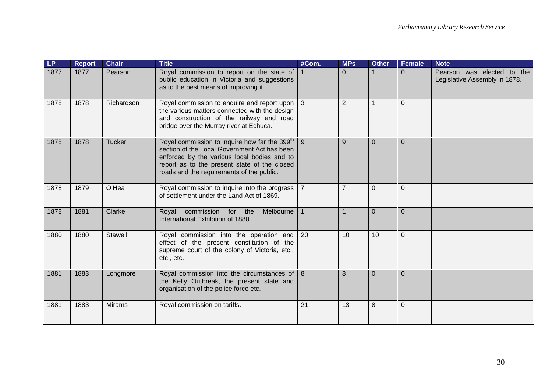| LP   | <b>Report</b> | <b>Chair</b>  | <b>Title</b>                                                                                                                                                                                                                                          | #Com.          | <b>MPs</b>      | <b>Other</b> | Female         | <b>Note</b>                                                 |
|------|---------------|---------------|-------------------------------------------------------------------------------------------------------------------------------------------------------------------------------------------------------------------------------------------------------|----------------|-----------------|--------------|----------------|-------------------------------------------------------------|
| 1877 | 1877          | Pearson       | Royal commission to report on the state of<br>public education in Victoria and suggestions<br>as to the best means of improving it.                                                                                                                   |                | $\Omega$        |              | $\overline{0}$ | Pearson was elected to the<br>Legislative Assembly in 1878. |
| 1878 | 1878          | Richardson    | Royal commission to enquire and report upon<br>the various matters connected with the design<br>and construction of the railway and road<br>bridge over the Murray river at Echuca.                                                                   | $\vert$ 3      | $\overline{2}$  | 1            | $\Omega$       |                                                             |
| 1878 | 1878          | <b>Tucker</b> | Royal commission to inquire how far the 399 <sup>th</sup><br>section of the Local Government Act has been<br>enforced by the various local bodies and to<br>report as to the present state of the closed<br>roads and the requirements of the public. | 9              | 9               | $\Omega$     | $\Omega$       |                                                             |
| 1878 | 1879          | O'Hea         | Royal commission to inquire into the progress<br>of settlement under the Land Act of 1869.                                                                                                                                                            | $\overline{7}$ | $\overline{7}$  | $\mathbf{0}$ | $\overline{0}$ |                                                             |
| 1878 | 1881          | Clarke        | Melbourne<br>Royal commission for the<br>International Exhibition of 1880.                                                                                                                                                                            |                |                 | $\Omega$     | $\Omega$       |                                                             |
| 1880 | 1880          | Stawell       | Royal commission into the operation and<br>effect of the present constitution of the<br>supreme court of the colony of Victoria, etc.,<br>etc., etc.                                                                                                  | 20             | 10 <sup>°</sup> | 10           | $\overline{0}$ |                                                             |
| 1881 | 1883          | Longmore      | Royal commission into the circumstances of<br>the Kelly Outbreak, the present state and<br>organisation of the police force etc.                                                                                                                      | $\overline{8}$ | 8               | $\Omega$     | $\Omega$       |                                                             |
| 1881 | 1883          | <b>Mirams</b> | Royal commission on tariffs.                                                                                                                                                                                                                          | 21             | 13              | 8            | $\mathbf 0$    |                                                             |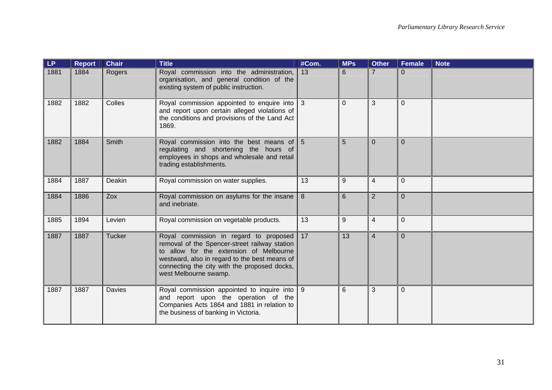| <b>LP</b> | <b>Report</b> | <b>Chair</b>  | <b>Title</b>                                                                                                                                                                                                                                                 | #Com. | <b>MPs</b> | <b>Other</b>   | <b>Female</b> | <b>Note</b> |
|-----------|---------------|---------------|--------------------------------------------------------------------------------------------------------------------------------------------------------------------------------------------------------------------------------------------------------------|-------|------------|----------------|---------------|-------------|
| 1881      | 1884          | Rogers        | Royal commission into the administration,<br>organisation, and general condition of the<br>existing system of public instruction.                                                                                                                            | 13    | 6          | $\overline{7}$ | $\Omega$      |             |
| 1882      | 1882          | Colles        | Royal commission appointed to enquire into 3<br>and report upon certain alleged violations of<br>the conditions and provisions of the Land Act<br>1869.                                                                                                      |       | $\Omega$   | 3              | $\Omega$      |             |
| 1882      | 1884          | Smith         | Royal commission into the best means of $\vert 5 \rangle$<br>regulating and shortening the hours of<br>employees in shops and wholesale and retail<br>trading establishments.                                                                                |       | 5          | $\mathbf{0}$   | $\mathbf{0}$  |             |
| 1884      | 1887          | Deakin        | Royal commission on water supplies.                                                                                                                                                                                                                          | 13    | 9          | $\overline{4}$ | $\Omega$      |             |
| 1884      | 1886          | Zox           | Royal commission on asylums for the insane<br>and inebriate.                                                                                                                                                                                                 | 8     | 6          | $\overline{2}$ | $\mathbf{0}$  |             |
| 1885      | 1894          | Levien        | Royal commission on vegetable products.                                                                                                                                                                                                                      | 13    | 9          | $\overline{4}$ | $\Omega$      |             |
| 1887      | 1887          | <b>Tucker</b> | Royal commission in regard to proposed<br>removal of the Spencer-street railway station<br>to allow for the extension of Melbourne<br>westward, also in regard to the best means of<br>connecting the city with the proposed docks,<br>west Melbourne swamp. | 17    | 13         | $\overline{4}$ | $\Omega$      |             |
| 1887      | 1887          | <b>Davies</b> | Royal commission appointed to inquire into 9<br>and report upon the operation of the<br>Companies Acts 1864 and 1881 in relation to<br>the business of banking in Victoria.                                                                                  |       | 6          | 3              | $\Omega$      |             |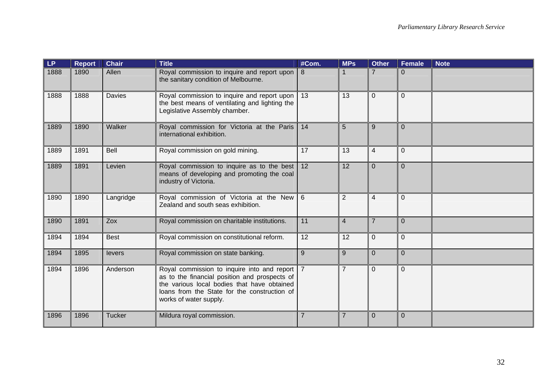| LP.  | <b>Report</b> | <b>Chair</b>  | <b>Title</b>                                                                                                                                                                                                              | #Com.           | <b>MPs</b>     | <b>Other</b>            | <b>Female</b>  | <b>Note</b> |
|------|---------------|---------------|---------------------------------------------------------------------------------------------------------------------------------------------------------------------------------------------------------------------------|-----------------|----------------|-------------------------|----------------|-------------|
| 1888 | 1890          | Allen         | Royal commission to inquire and report upon<br>the sanitary condition of Melbourne.                                                                                                                                       | 8               |                |                         | $\Omega$       |             |
| 1888 | 1888          | <b>Davies</b> | Royal commission to inquire and report upon<br>the best means of ventilating and lighting the<br>Legislative Assembly chamber.                                                                                            | 13              | 13             | $\overline{0}$          | $\Omega$       |             |
| 1889 | 1890          | Walker        | Royal commission for Victoria at the Paris<br>international exhibition.                                                                                                                                                   | 14              | 5              | 9                       | $\overline{0}$ |             |
| 1889 | 1891          | Bell          | Royal commission on gold mining.                                                                                                                                                                                          | $\overline{17}$ | 13             | $\overline{\mathbf{4}}$ | $\Omega$       |             |
| 1889 | 1891          | Levien        | Royal commission to inquire as to the best<br>means of developing and promoting the coal<br>industry of Victoria.                                                                                                         | 12              | 12             | $\overline{0}$          | $\Omega$       |             |
| 1890 | 1890          | Langridge     | Royal commission of Victoria at the New<br>Zealand and south seas exhibition.                                                                                                                                             | $\overline{6}$  | $\overline{2}$ | 4                       | $\Omega$       |             |
| 1890 | 1891          | Zox           | Royal commission on charitable institutions.                                                                                                                                                                              | 11              | $\overline{4}$ | $\overline{7}$          | $\overline{0}$ |             |
| 1894 | 1894          | <b>Best</b>   | Royal commission on constitutional reform.                                                                                                                                                                                | 12              | 12             | $\overline{0}$          | $\overline{0}$ |             |
| 1894 | 1895          | levers        | Royal commission on state banking.                                                                                                                                                                                        | 9               | 9              | $\overline{0}$          | $\Omega$       |             |
| 1894 | 1896          | Anderson      | Royal commission to inquire into and report   7<br>as to the financial position and prospects of<br>the various local bodies that have obtained<br>loans from the State for the construction of<br>works of water supply. |                 | $\overline{7}$ | $\overline{0}$          | $\Omega$       |             |
| 1896 | 1896          | <b>Tucker</b> | Mildura royal commission.                                                                                                                                                                                                 | $\overline{7}$  | $\overline{7}$ | $\mathbf 0$             | $\overline{0}$ |             |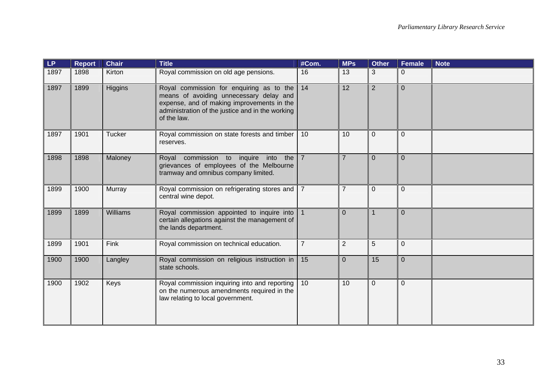| LP   | <b>Report</b> | <b>Chair</b>    | <b>Title</b>                                                                                                                                                                                              | #Com.          | <b>MPs</b>     | <b>Other</b>   | <b>Female</b>  | <b>Note</b> |
|------|---------------|-----------------|-----------------------------------------------------------------------------------------------------------------------------------------------------------------------------------------------------------|----------------|----------------|----------------|----------------|-------------|
| 1897 | 1898          | Kirton          | Royal commission on old age pensions.                                                                                                                                                                     | 16             | 13             | 3              | $\Omega$       |             |
| 1897 | 1899          | <b>Higgins</b>  | Royal commission for enquiring as to the $14$<br>means of avoiding unnecessary delay and<br>expense, and of making improvements in the<br>administration of the justice and in the working<br>of the law. |                | 12             | $\overline{2}$ | $\Omega$       |             |
| 1897 | 1901          | Tucker          | Royal commission on state forests and timber<br>reserves.                                                                                                                                                 | 10             | 10             | $\Omega$       | $\Omega$       |             |
| 1898 | 1898          | Maloney         | $into$ the $7$<br>Royal commission to inquire<br>grievances of employees of the Melbourne<br>tramway and omnibus company limited.                                                                         |                | $\overline{7}$ | $\Omega$       | $\overline{0}$ |             |
| 1899 | 1900          | <b>Murray</b>   | Royal commission on refrigerating stores and   7<br>central wine depot.                                                                                                                                   |                | $\overline{7}$ | $\mathbf{0}$   | $\overline{0}$ |             |
| 1899 | 1899          | <b>Williams</b> | Royal commission appointed to inquire into<br>certain allegations against the management of<br>the lands department.                                                                                      |                | $\Omega$       | $\mathbf{1}$   | $\Omega$       |             |
| 1899 | 1901          | Fink            | Royal commission on technical education.                                                                                                                                                                  | $\overline{7}$ | $\overline{2}$ | 5              | $\overline{0}$ |             |
| 1900 | 1900          | Langley         | Royal commission on religious instruction in $\vert$ 15<br>state schools.                                                                                                                                 |                | $\overline{0}$ | 15             | $\overline{0}$ |             |
| 1900 | 1902          | Keys            | Royal commission inquiring into and reporting<br>on the numerous amendments required in the<br>law relating to local government.                                                                          | 10             | 10             | $\overline{0}$ | $\overline{0}$ |             |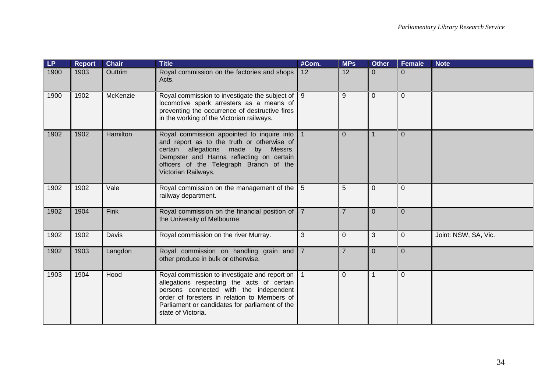| LP.  | <b>Report</b> | <b>Chair</b> | <b>Title</b>                                                                                                                                                                                                                                                      | #Com.          | <b>MPs</b>     | <b>Other</b>   | <b>Female</b>  | <b>Note</b>          |
|------|---------------|--------------|-------------------------------------------------------------------------------------------------------------------------------------------------------------------------------------------------------------------------------------------------------------------|----------------|----------------|----------------|----------------|----------------------|
| 1900 | 1903          | Outtrim      | Royal commission on the factories and shops<br>Acts.                                                                                                                                                                                                              | 12             | 12             | $\overline{0}$ | $\Omega$       |                      |
| 1900 | 1902          | McKenzie     | Royal commission to investigate the subject of   9<br>locomotive spark arresters as a means of<br>preventing the occurrence of destructive fires<br>in the working of the Victorian railways.                                                                     |                | 9              | $\overline{0}$ | $\overline{0}$ |                      |
| 1902 | 1902          | Hamilton     | Royal commission appointed to inquire into   1<br>and report as to the truth or otherwise of<br>certain allegations made by Messrs.<br>Dempster and Hanna reflecting on certain<br>officers of the Telegraph Branch of the<br>Victorian Railways.                 |                | $\Omega$       | 1              | $\Omega$       |                      |
| 1902 | 1902          | Vale         | Royal commission on the management of the $\vert 5 \vert$<br>railway department.                                                                                                                                                                                  |                | 5              | $\mathbf{0}$   | $\Omega$       |                      |
| 1902 | 1904          | <b>Fink</b>  | Royal commission on the financial position of $\vert$ 7<br>the University of Melbourne.                                                                                                                                                                           |                |                | $\Omega$       | $\Omega$       |                      |
| 1902 | 1902          | <b>Davis</b> | Royal commission on the river Murray.                                                                                                                                                                                                                             | 3              | $\overline{0}$ | 3              | $\overline{0}$ | Joint: NSW, SA, Vic. |
| 1902 | 1903          | Langdon      | Royal commission on handling grain and<br>other produce in bulk or otherwise.                                                                                                                                                                                     | $\overline{7}$ | $\overline{7}$ | $\overline{0}$ | $\Omega$       |                      |
| 1903 | 1904          | Hood         | Royal commission to investigate and report on   1<br>allegations respecting the acts of certain<br>persons connected with the independent<br>order of foresters in relation to Members of<br>Parliament or candidates for parliament of the<br>state of Victoria. |                | $\overline{0}$ | $\overline{1}$ | $\Omega$       |                      |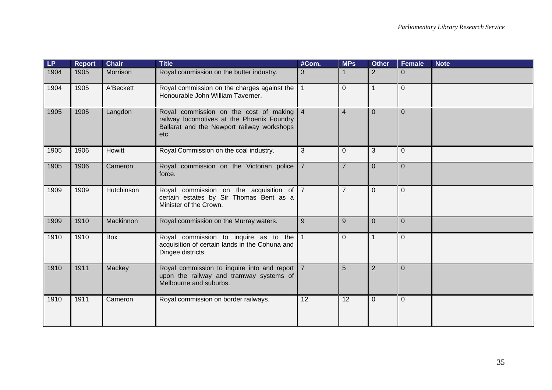| LP.  | <b>Report</b> | <b>Chair</b> | <b>Title</b>                                                                                                                                 | #Com.          | <b>MPs</b>     | <b>Other</b>   | <b>Female</b>  | <b>Note</b> |
|------|---------------|--------------|----------------------------------------------------------------------------------------------------------------------------------------------|----------------|----------------|----------------|----------------|-------------|
| 1904 | 1905          | Morrison     | Royal commission on the butter industry.                                                                                                     | 3              |                | $\overline{2}$ | $\Omega$       |             |
| 1904 | 1905          | A'Beckett    | Royal commission on the charges against the<br>Honourable John William Taverner.                                                             | $\overline{1}$ | $\overline{0}$ | 1              | $\Omega$       |             |
| 1905 | 1905          | Langdon      | Royal commission on the cost of making 4<br>railway locomotives at the Phoenix Foundry<br>Ballarat and the Newport railway workshops<br>etc. |                | $\overline{4}$ | $\overline{0}$ | $\Omega$       |             |
| 1905 | 1906          | Howitt       | Royal Commission on the coal industry.                                                                                                       | 3              | $\overline{0}$ | 3              | $\overline{0}$ |             |
| 1905 | 1906          | Cameron      | Royal commission on the Victorian police<br>force.                                                                                           | $\overline{7}$ | $\overline{7}$ | $\Omega$       | $\Omega$       |             |
| 1909 | 1909          | Hutchinson   | Royal commission on the acquisition of 7<br>certain estates by Sir Thomas Bent as a<br>Minister of the Crown.                                |                | $\overline{7}$ | $\overline{0}$ | $\overline{0}$ |             |
| 1909 | 1910          | Mackinnon    | Royal commission on the Murray waters.                                                                                                       | 9              | 9              | $\Omega$       | $\overline{0}$ |             |
| 1910 | 1910          | Box          | Royal commission to inquire as to the $1$<br>acquisition of certain lands in the Cohuna and<br>Dingee districts.                             |                | $\mathbf 0$    | $\mathbf 1$    | $\Omega$       |             |
| 1910 | 1911          | Mackey       | Royal commission to inquire into and report   7<br>upon the railway and tramway systems of<br>Melbourne and suburbs.                         |                | 5              | $\overline{2}$ | $\Omega$       |             |
| 1910 | 1911          | Cameron      | Royal commission on border railways.                                                                                                         | 12             | 12             | $\overline{0}$ | $\overline{0}$ |             |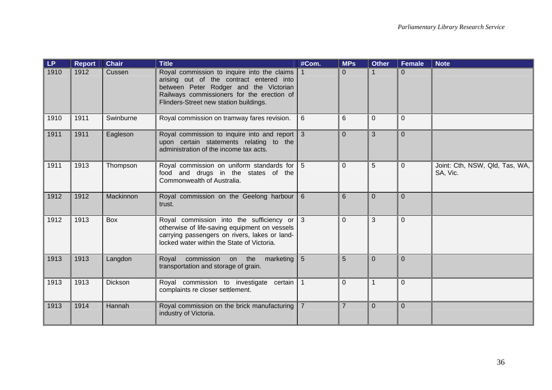| LP   | <b>Report</b> | <b>Chair</b>   | <b>Title</b>                                                                                                                                                                                                                  | #Com. | <b>MPs</b>     | <b>Other</b>   | <b>Female</b>  | <b>Note</b>                                |
|------|---------------|----------------|-------------------------------------------------------------------------------------------------------------------------------------------------------------------------------------------------------------------------------|-------|----------------|----------------|----------------|--------------------------------------------|
| 1910 | 1912          | Cussen         | Royal commission to inquire into the claims   1<br>arising out of the contract entered into<br>between Peter Rodger and the Victorian<br>Railways commissioners for the erection of<br>Flinders-Street new station buildings. |       | $\Omega$       | $\mathbf{1}$   | $\Omega$       |                                            |
| 1910 | 1911          | Swinburne      | Royal commission on tramway fares revision.                                                                                                                                                                                   | 6     | 6              | $\Omega$       | $\Omega$       |                                            |
| 1911 | 1911          | Eagleson       | Royal commission to inquire into and report 3<br>upon certain statements relating to the<br>administration of the income tax acts.                                                                                            |       | $\Omega$       | 3              | $\Omega$       |                                            |
| 1911 | 1913          | Thompson       | Royal commission on uniform standards for 5<br>food and drugs in the states of the<br>Commonwealth of Australia.                                                                                                              |       | $\Omega$       | 5              | $\Omega$       | Joint: Cth, NSW, Qld, Tas, WA,<br>SA, Vic. |
| 1912 | 1912          | Mackinnon      | Royal commission on the Geelong harbour 6<br>trust.                                                                                                                                                                           |       | 6              | $\overline{0}$ | $\overline{0}$ |                                            |
| 1912 | 1913          | <b>Box</b>     | Royal commission into the sufficiency or 3<br>otherwise of life-saving equipment on vessels<br>carrying passengers on rivers, lakes or land-<br>locked water within the State of Victoria.                                    |       | $\overline{0}$ | 3              | $\overline{0}$ |                                            |
| 1913 | 1913          | Langdon        | commission on the marketing 5<br>Royal<br>transportation and storage of grain.                                                                                                                                                |       | 5              | $\Omega$       | $\Omega$       |                                            |
| 1913 | 1913          | <b>Dickson</b> | Royal commission to investigate certain 1<br>complaints re closer settlement.                                                                                                                                                 |       | $\Omega$       | $\overline{1}$ | $\Omega$       |                                            |
| 1913 | 1914          | Hannah         | Royal commission on the brick manufacturing   7<br>industry of Victoria.                                                                                                                                                      |       | $\overline{7}$ | $\mathbf 0$    | $\overline{0}$ |                                            |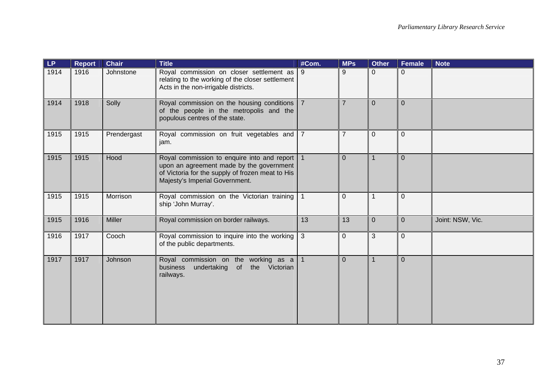| <b>LP</b> | <b>Report</b> | <b>Chair</b> | <b>Title</b>                                                                                                                                                                    | #Com.          | <b>MPs</b>     | <b>Other</b>   | Female         | <b>Note</b>      |
|-----------|---------------|--------------|---------------------------------------------------------------------------------------------------------------------------------------------------------------------------------|----------------|----------------|----------------|----------------|------------------|
| 1914      | 1916          | Johnstone    | Royal commission on closer settlement as<br>relating to the working of the closer settlement<br>Acts in the non-irrigable districts.                                            | 9              | 9              | $\mathbf 0$    | $\mathbf 0$    |                  |
| 1914      | 1918          | Solly        | Royal commission on the housing conditions   7<br>of the people in the metropolis and the<br>populous centres of the state.                                                     |                | $\overline{7}$ | $\mathbf{0}$   | $\Omega$       |                  |
| 1915      | 1915          | Prendergast  | Royal commission on fruit vegetables and<br>jam.                                                                                                                                | $\overline{7}$ | $\overline{7}$ | $\mathbf{0}$   | $\mathbf{0}$   |                  |
| 1915      | 1915          | Hood         | Royal commission to enquire into and report  <br>upon an agreement made by the government<br>of Victoria for the supply of frozen meat to His<br>Majesty's Imperial Government. |                | $\mathbf{0}$   | $\mathbf 1$    | $\mathbf 0$    |                  |
| 1915      | 1915          | Morrison     | Royal commission on the Victorian training<br>ship 'John Murray'.                                                                                                               |                | $\Omega$       |                | $\overline{0}$ |                  |
| 1915      | 1916          | Miller       | Royal commission on border railways.                                                                                                                                            | 13             | 13             | $\overline{0}$ | $\overline{0}$ | Joint: NSW, Vic. |
| 1916      | 1917          | Cooch        | Royal commission to inquire into the working $\vert$ 3<br>of the public departments.                                                                                            |                | $\overline{0}$ | 3              | $\overline{0}$ |                  |
| 1917      | 1917          | Johnson      | Royal commission on the working as a<br>undertaking of<br>the Victorian<br>business<br>railways.                                                                                |                | $\mathbf{0}$   |                | $\Omega$       |                  |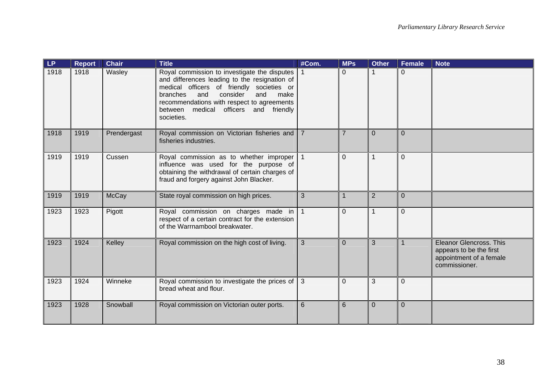| LP   | <b>Report</b> | <b>Chair</b> | <b>Title</b>                                                                                                                                                                                                                                                                                     | #Com.            | <b>MPs</b>     | <b>Other</b>   | <b>Female</b> | <b>Note</b>                                                                                    |
|------|---------------|--------------|--------------------------------------------------------------------------------------------------------------------------------------------------------------------------------------------------------------------------------------------------------------------------------------------------|------------------|----------------|----------------|---------------|------------------------------------------------------------------------------------------------|
| 1918 | 1918          | Wasley       | Royal commission to investigate the disputes<br>and differences leading to the resignation of<br>medical officers of friendly societies or<br>consider<br>and<br>branches<br>and<br>make<br>recommendations with respect to agreements<br>medical officers and friendly<br>between<br>societies. | $\overline{1}$ 1 | $\Omega$       | $\mathbf 1$    | $\Omega$      |                                                                                                |
| 1918 | 1919          | Prendergast  | Royal commission on Victorian fisheries and   7<br>fisheries industries.                                                                                                                                                                                                                         |                  | $\overline{7}$ | $\Omega$       | $\Omega$      |                                                                                                |
| 1919 | 1919          | Cussen       | Royal commission as to whether improper 1<br>influence was used for the purpose of<br>obtaining the withdrawal of certain charges of<br>fraud and forgery against John Blacker.                                                                                                                  |                  | $\overline{0}$ | 1              | $\Omega$      |                                                                                                |
| 1919 | 1919          | <b>McCay</b> | State royal commission on high prices.                                                                                                                                                                                                                                                           | 3                |                | $\overline{2}$ | $\Omega$      |                                                                                                |
| 1923 | 1923          | Pigott       | Royal commission on charges made in $\vert$ 1<br>respect of a certain contract for the extension<br>of the Warrnambool breakwater.                                                                                                                                                               |                  | $\overline{0}$ | $\overline{1}$ | $\Omega$      |                                                                                                |
| 1923 | 1924          | Kelley       | Royal commission on the high cost of living.                                                                                                                                                                                                                                                     | 3                | $\Omega$       | 3              | $\mathbf{1}$  | Eleanor Glencross. This<br>appears to be the first<br>appointment of a female<br>commissioner. |
| 1923 | 1924          | Winneke      | Royal commission to investigate the prices of<br>bread wheat and flour.                                                                                                                                                                                                                          | $\overline{3}$   | $\Omega$       | 3              | $\Omega$      |                                                                                                |
| 1923 | 1928          | Snowball     | Royal commission on Victorian outer ports.                                                                                                                                                                                                                                                       | 6                | 6              | $\Omega$       | $\Omega$      |                                                                                                |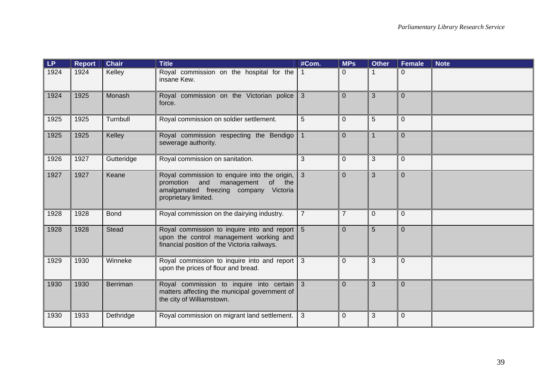| LP.  | <b>Report</b> | <b>Chair</b>    | <b>Title</b>                                                                                                                                                   | #Com.          | <b>MPs</b>     | <b>Other</b>   | <b>Female</b>  | <b>Note</b> |
|------|---------------|-----------------|----------------------------------------------------------------------------------------------------------------------------------------------------------------|----------------|----------------|----------------|----------------|-------------|
| 1924 | 1924          | Kelley          | Royal commission on the hospital for the<br>insane Kew.                                                                                                        | $\mathbf{1}$   | $\Omega$       |                | $\Omega$       |             |
| 1924 | 1925          | Monash          | Royal commission on the Victorian police<br>force.                                                                                                             | 3              | $\Omega$       | 3              | $\Omega$       |             |
| 1925 | 1925          | Turnbull        | Royal commission on soldier settlement.                                                                                                                        | 5              | $\overline{0}$ | 5              | $\overline{0}$ |             |
| 1925 | 1925          | Kelley          | Royal commission respecting the Bendigo<br>sewerage authority.                                                                                                 | $\mathbf 1$    | $\overline{0}$ | $\mathbf 1$    | $\Omega$       |             |
| 1926 | 1927          | Gutteridge      | Royal commission on sanitation.                                                                                                                                | 3              | 0              | 3              | $\overline{0}$ |             |
| 1927 | 1927          | Keane           | Royal commission to enquire into the origin, 3<br>promotion<br>and<br>management<br>of<br>the<br>amalgamated freezing company Victoria<br>proprietary limited. |                | $\overline{0}$ | 3              | $\Omega$       |             |
| 1928 | 1928          | <b>Bond</b>     | Royal commission on the dairying industry.                                                                                                                     | $\overline{7}$ | $\overline{7}$ | $\overline{0}$ | $\Omega$       |             |
| 1928 | 1928          | <b>Stead</b>    | Royal commission to inquire into and report 5<br>upon the control management working and<br>financial position of the Victoria railways.                       |                | $\overline{0}$ | 5              | $\Omega$       |             |
| 1929 | 1930          | Winneke         | Royal commission to inquire into and report 3<br>upon the prices of flour and bread.                                                                           |                | $\Omega$       | 3              | $\Omega$       |             |
| 1930 | 1930          | <b>Berriman</b> | Royal commission to inquire into certain 3<br>matters affecting the municipal government of<br>the city of Williamstown.                                       |                | $\overline{0}$ | 3              | $\overline{0}$ |             |
| 1930 | 1933          | Dethridge       | Royal commission on migrant land settlement.                                                                                                                   | $\mathbf{3}$   | $\Omega$       | 3              | $\Omega$       |             |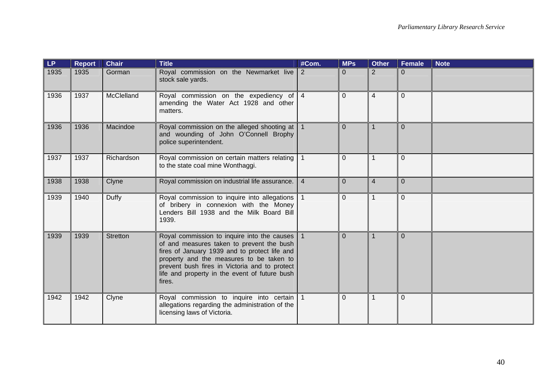| LP.  | <b>Report</b> | <b>Chair</b>    | <b>Title</b>                                                                                                                                                                                                                                                                                                | #Com.          | <b>MPs</b>     | <b>Other</b>   | <b>Female</b>  | <b>Note</b> |
|------|---------------|-----------------|-------------------------------------------------------------------------------------------------------------------------------------------------------------------------------------------------------------------------------------------------------------------------------------------------------------|----------------|----------------|----------------|----------------|-------------|
| 1935 | 1935          | Gorman          | Royal commission on the Newmarket live<br>stock sale yards.                                                                                                                                                                                                                                                 | $\overline{2}$ | $\Omega$       | $\overline{2}$ | $\Omega$       |             |
| 1936 | 1937          | McClelland      | Royal commission on the expediency of $ 4 $<br>amending the Water Act 1928 and other<br>matters.                                                                                                                                                                                                            |                | $\overline{0}$ | $\overline{4}$ | $\Omega$       |             |
| 1936 | 1936          | Macindoe        | Royal commission on the alleged shooting at   1<br>and wounding of John O'Connell Brophy<br>police superintendent.                                                                                                                                                                                          |                | $\Omega$       | 1              | $\Omega$       |             |
| 1937 | 1937          | Richardson      | Royal commission on certain matters relating 1<br>to the state coal mine Wonthaggi.                                                                                                                                                                                                                         |                | $\Omega$       | 1              | $\Omega$       |             |
| 1938 | 1938          | Clyne           | Royal commission on industrial life assurance.                                                                                                                                                                                                                                                              | $\overline{4}$ | $\Omega$       | $\overline{4}$ | $\Omega$       |             |
| 1939 | 1940          | Duffy           | Royal commission to inquire into allegations   1<br>of bribery in connexion with the Money<br>Lenders Bill 1938 and the Milk Board Bill<br>1939.                                                                                                                                                            |                | $\Omega$       | 1              | $\Omega$       |             |
| 1939 | 1939          | <b>Stretton</b> | Royal commission to inquire into the causes $\vert$ 1<br>of and measures taken to prevent the bush<br>fires of January 1939 and to protect life and<br>property and the measures to be taken to<br>prevent bush fires in Victoria and to protect<br>life and property in the event of future bush<br>fires. |                | $\Omega$       | $\mathbf 1$    | $\Omega$       |             |
| 1942 | 1942          | Clyne           | Royal commission to inquire into certain 1<br>allegations regarding the administration of the<br>licensing laws of Victoria.                                                                                                                                                                                |                | $\overline{0}$ | 1              | $\overline{0}$ |             |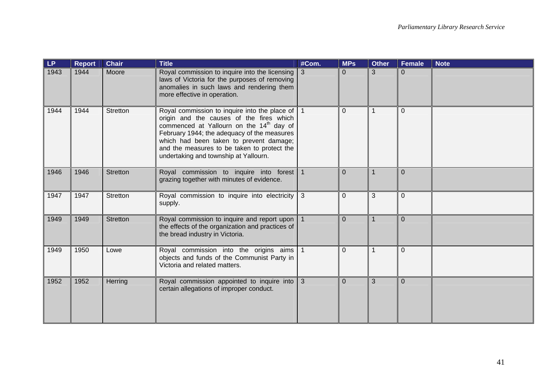| <b>LP</b> | <b>Report</b> | <b>Chair</b>    | <b>Title</b>                                                                                                                                                                                                                                                                                                                                  | #Com. | <b>MPs</b>     | <b>Other</b> | <b>Female</b> | <b>Note</b> |
|-----------|---------------|-----------------|-----------------------------------------------------------------------------------------------------------------------------------------------------------------------------------------------------------------------------------------------------------------------------------------------------------------------------------------------|-------|----------------|--------------|---------------|-------------|
| 1943      | 1944          | Moore           | Royal commission to inquire into the licensing   3<br>laws of Victoria for the purposes of removing<br>anomalies in such laws and rendering them<br>more effective in operation.                                                                                                                                                              |       | $\Omega$       | 3            | $\Omega$      |             |
| 1944      | 1944          | <b>Stretton</b> | Royal commission to inquire into the place of $\vert$ 1<br>origin and the causes of the fires which<br>commenced at Yallourn on the 14 <sup>th</sup> day of<br>February 1944; the adequacy of the measures<br>which had been taken to prevent damage;<br>and the measures to be taken to protect the<br>undertaking and township at Yallourn. |       | $\overline{0}$ | 1            | $\Omega$      |             |
| 1946      | 1946          | <b>Stretton</b> | Royal commission to inquire into forest 1<br>grazing together with minutes of evidence.                                                                                                                                                                                                                                                       |       | $\Omega$       | 1            | $\Omega$      |             |
| 1947      | 1947          | Stretton        | Royal commission to inquire into electricity 3<br>supply.                                                                                                                                                                                                                                                                                     |       | $\overline{0}$ | 3            | $\Omega$      |             |
| 1949      | 1949          | <b>Stretton</b> | Royal commission to inquire and report upon   1<br>the effects of the organization and practices of<br>the bread industry in Victoria.                                                                                                                                                                                                        |       | $\Omega$       | 1            | $\Omega$      |             |
| 1949      | 1950          | Lowe            | Royal commission into the origins aims 1<br>objects and funds of the Communist Party in<br>Victoria and related matters.                                                                                                                                                                                                                      |       | $\Omega$       | 1            | $\Omega$      |             |
| 1952      | 1952          | Herring         | Royal commission appointed to inquire into 3<br>certain allegations of improper conduct.                                                                                                                                                                                                                                                      |       | $\overline{0}$ | 3            | $\Omega$      |             |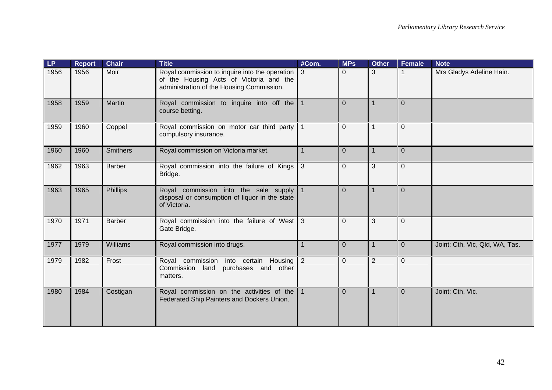| <b>LP</b> | <b>Report</b> | <b>Chair</b>    | <b>Title</b>                                                                                                                           | #Com.          | <b>MPs</b>     | <b>Other</b>   | Female         | <b>Note</b>                    |
|-----------|---------------|-----------------|----------------------------------------------------------------------------------------------------------------------------------------|----------------|----------------|----------------|----------------|--------------------------------|
| 1956      | 1956          | Moir            | Royal commission to inquire into the operation<br>of the Housing Acts of Victoria and the<br>administration of the Housing Commission. | l 3            | $\mathbf 0$    | 3              |                | Mrs Gladys Adeline Hain.       |
| 1958      | 1959          | Martin          | Royal commission to inquire into off the 1<br>course betting.                                                                          |                | $\overline{0}$ | 1              | $\overline{0}$ |                                |
| 1959      | 1960          | Coppel          | Royal commission on motor car third party<br>compulsory insurance.                                                                     |                | $\mathbf 0$    | 1              | $\Omega$       |                                |
| 1960      | 1960          | <b>Smithers</b> | Royal commission on Victoria market.                                                                                                   | $\overline{1}$ | $\overline{0}$ | $\mathbf{1}$   | $\overline{0}$ |                                |
| 1962      | 1963          | <b>Barber</b>   | Royal commission into the failure of Kings<br>Bridge.                                                                                  | 3              | $\mathbf 0$    | 3              | $\mathbf{0}$   |                                |
| 1963      | 1965          | Phillips        | Royal commission into the sale supply<br>disposal or consumption of liquor in the state<br>of Victoria.                                |                | $\overline{0}$ | $\overline{1}$ | $\Omega$       |                                |
| 1970      | 1971          | <b>Barber</b>   | Royal commission into the failure of West 3<br>Gate Bridge.                                                                            |                | $\mathbf{0}$   | 3              | $\mathbf{0}$   |                                |
| 1977      | 1979          | <b>Williams</b> | Royal commission into drugs.                                                                                                           | 1              | $\overline{0}$ | $\mathbf 1$    | $\Omega$       | Joint: Cth, Vic, Qld, WA, Tas. |
| 1979      | 1982          | Frost           | Royal commission into certain Housing<br>Commission land purchases and other<br>matters.                                               | $\overline{2}$ | $\mathbf{0}$   | $\overline{2}$ | $\mathbf{0}$   |                                |
| 1980      | 1984          | Costigan        | Royal commission on the activities of the $\vert$ 1<br>Federated Ship Painters and Dockers Union.                                      |                | $\overline{0}$ | 1              | $\overline{0}$ | Joint: Cth, Vic.               |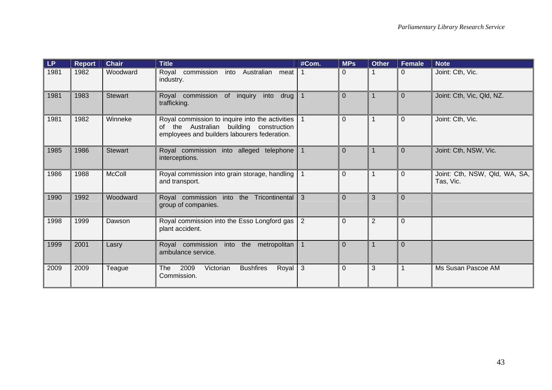| LP.  | <b>Report</b> | <b>Chair</b>   | <b>Title</b>                                                                                                                               | #Com.          | <b>MPs</b>     | <b>Other</b>   | <b>Female</b> | <b>Note</b>                                |
|------|---------------|----------------|--------------------------------------------------------------------------------------------------------------------------------------------|----------------|----------------|----------------|---------------|--------------------------------------------|
| 1981 | 1982          | Woodward       | into Australian meat<br>Royal commission<br>industry.                                                                                      |                | 0              |                | 0             | Joint: Cth, Vic.                           |
| 1981 | 1983          | <b>Stewart</b> | Royal commission<br>of inquiry<br>into<br>drug<br>trafficking.                                                                             | $\mathbf{1}$   | $\Omega$       |                | $\Omega$      | Joint: Cth, Vic, Qld, NZ.                  |
| 1981 | 1982          | Winneke        | Royal commission to inquire into the activities<br>of the Australian building construction<br>employees and builders labourers federation. |                | $\mathbf 0$    |                | $\Omega$      | Joint: Cth, Vic.                           |
| 1985 | 1986          | <b>Stewart</b> | Royal commission into alleged telephone<br>interceptions.                                                                                  | $\mathbf 1$    | $\overline{0}$ |                | $\Omega$      | Joint: Cth, NSW, Vic.                      |
| 1986 | 1988          | <b>McColl</b>  | Royal commission into grain storage, handling<br>and transport.                                                                            |                | $\Omega$       | 1              | $\Omega$      | Joint: Cth, NSW, Qld, WA, SA,<br>Tas, Vic. |
| 1990 | 1992          | Woodward       | Royal commission into the Tricontinental<br>group of companies.                                                                            | 3              | $\Omega$       | 3              | $\Omega$      |                                            |
| 1998 | 1999          | Dawson         | Royal commission into the Esso Longford gas<br>plant accident.                                                                             | $\overline{2}$ | $\overline{0}$ | $\overline{2}$ | $\Omega$      |                                            |
| 1999 | 2001          | Lasry          | Royal commission<br>into the metropolitan<br>ambulance service.                                                                            |                | $\Omega$       |                | $\Omega$      |                                            |
| 2009 | 2009          | Teague         | 2009<br>Royal $3$<br><b>The</b><br>Victorian<br><b>Bushfires</b><br>Commission.                                                            |                | $\mathbf 0$    | 3              |               | Ms Susan Pascoe AM                         |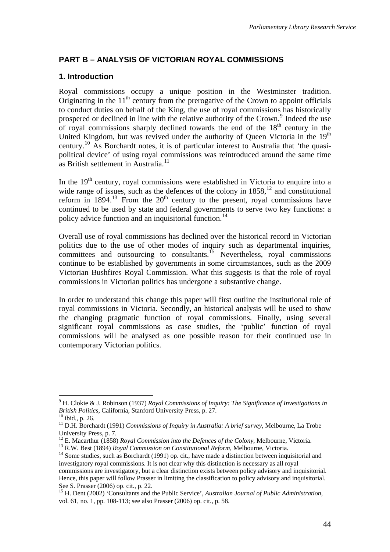# **PART B – ANALYSIS OF VICTORIAN ROYAL COMMISSIONS**

# **1. Introduction**

Royal commissions occupy a unique position in the Westminster tradition. Originating in the  $11<sup>th</sup>$  century from the prerogative of the Crown to appoint officials to conduct duties on behalf of the King, the use of royal commissions has historically prospered or declined in line with the relative authority of the Crown.<sup>[9](#page-47-0)</sup> Indeed the use of royal commissions sharply declined towards the end of the  $18<sup>th</sup>$  century in the United Kingdom, but was revived under the authority of Queen Victoria in the 19<sup>th</sup> century.[10](#page-47-1) As Borchardt notes, it is of particular interest to Australia that 'the quasipolitical device' of using royal commissions was reintroduced around the same time as British settlement in Australia<sup>[11](#page-47-2)</sup>

In the 19<sup>th</sup> century, royal commissions were established in Victoria to enquire into a wide range of issues, such as the defences of the colony in  $1858$ ,<sup>[12](#page-47-3)</sup> and constitutional reform in  $1894$ <sup>[13](#page-47-4)</sup> From the  $20<sup>th</sup>$  century to the present, royal commissions have continued to be used by state and federal governments to serve two key functions: a policy advice function and an inquisitorial function.<sup>[14](#page-47-5)</sup>

Overall use of royal commissions has declined over the historical record in Victorian politics due to the use of other modes of inquiry such as departmental inquiries, committees and outsourcing to consultants.<sup>[15](#page-47-6)</sup> Nevertheless, royal commissions continue to be established by governments in some circumstances, such as the 2009 Victorian Bushfires Royal Commission. What this suggests is that the role of royal commissions in Victorian politics has undergone a substantive change.

In order to understand this change this paper will first outline the institutional role of royal commissions in Victoria. Secondly, an historical analysis will be used to show the changing pragmatic function of royal commissions. Finally, using several significant royal commissions as case studies, the 'public' function of royal commissions will be analysed as one possible reason for their continued use in contemporary Victorian politics.

<span id="page-47-0"></span><sup>9</sup> H. Clokie & J. Robinson (1937) *Royal Commissions of Inquiry: The Significance of Investigations in British Politics*, California, Stanford University Press, p. 27. <sup>10</sup> ibid., p. 26.

<span id="page-47-2"></span><span id="page-47-1"></span><sup>11</sup> D.H. Borchardt (1991) *Commissions of Inquiry in Australia: A brief survey*, Melbourne, La Trobe University Press, p. 7.<br><sup>12</sup> E. Macarthur (1858) *Royal Commission into the Defences of the Colony*, Melbourne, Victoria.

<span id="page-47-5"></span><span id="page-47-4"></span><span id="page-47-3"></span><sup>&</sup>lt;sup>13</sup> R.W. Best (1894) *Royal Commission on Constitutional Reform*, Melbourne, Victoria.<br><sup>14</sup> Some studies, such as Borchardt (1991) op. cit., have made a distinction between inquisitorial and investigatory royal commissions. It is not clear why this distinction is necessary as all royal

commissions are investigatory, but a clear distinction exists between policy advisory and inquisitorial. Hence, this paper will follow Prasser in limiting the classification to policy advisory and inquisitorial. See S. Prasser (2006) op. cit., p. 22.

<span id="page-47-6"></span><sup>15</sup> H. Dent (2002) 'Consultants and the Public Service', *Australian Journal of Public Administration*, vol. 61, no. 1, pp. 108-113; see also Prasser (2006) op. cit., p. 58.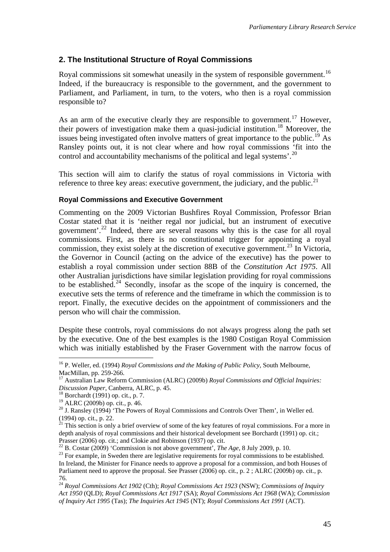# **2. The Institutional Structure of Royal Commissions**

Royal commissions sit somewhat uneasily in the system of responsible government.<sup>[16](#page-48-0)</sup> Indeed, if the bureaucracy is responsible to the government, and the government to Parliament, and Parliament, in turn, to the voters, who then is a royal commission responsible to?

As an arm of the executive clearly they are responsible to government.<sup>[17](#page-48-1)</sup> However, their powers of investigation make them a quasi-judicial institution.<sup>[18](#page-48-2)</sup> Moreover, the issues being investigated often involve matters of great importance to the public.<sup>[19](#page-48-3)</sup> As Ransley points out, it is not clear where and how royal commissions 'fit into the control and accountability mechanisms of the political and legal systems'.<sup>[20](#page-48-4)</sup>

This section will aim to clarify the status of royal commissions in Victoria with reference to three key areas: executive government, the judiciary, and the public.<sup>[21](#page-48-5)</sup>

### **Royal Commissions and Executive Government**

Commenting on the 2009 Victorian Bushfires Royal Commission, Professor Brian Costar stated that it is 'neither regal nor judicial, but an instrument of executive government'.[22](#page-48-6) Indeed, there are several reasons why this is the case for all royal commissions. First, as there is no constitutional trigger for appointing a royal commission, they exist solely at the discretion of executive government.<sup>[23](#page-48-7)</sup> In Victoria, the Governor in Council (acting on the advice of the executive) has the power to establish a royal commission under section 88B of the *Constitution Act 1975*. All other Australian jurisdictions have similar legislation providing for royal commissions to be established.<sup>[24](#page-48-8)</sup> Secondly, insofar as the scope of the inquiry is concerned, the executive sets the terms of reference and the timeframe in which the commission is to report. Finally, the executive decides on the appointment of commissioners and the person who will chair the commission.

Despite these controls, royal commissions do not always progress along the path set by the executive. One of the best examples is the 1980 Costigan Royal Commission which was initially established by the Fraser Government with the narrow focus of

<span id="page-48-0"></span><sup>16</sup> P. Weller, ed. (1994) *Royal Commissions and the Making of Public Policy*, South Melbourne, MacMillan, pp. 259-266.

<span id="page-48-1"></span><sup>17</sup> Australian Law Reform Commission (ALRC) (2009b) *Royal Commissions and Official Inquiries: Discussion Paper*, Canberra, ALRC, p. 45. 18 Borchardt (1991) op. cit., p. 7.

<span id="page-48-3"></span><span id="page-48-2"></span><sup>19</sup> ALRC (2009b) op. cit., p. 46.

<span id="page-48-4"></span><sup>&</sup>lt;sup>20</sup> J. Ransley (1994) 'The Powers of Royal Commissions and Controls Over Them', in Weller ed. (1994) op. cit., p. 22.

<span id="page-48-5"></span> $^{21}$  This section is only a brief overview of some of the key features of royal commissions. For a more in depth analysis of royal commissions and their historical development see Borchardt (1991) op. cit.; Prasser (2006) op. cit.; and Clokie and Robinson (1937) op. cit.<br><sup>22</sup> B. Costar (2009) 'Commission is not above government', *The Age*, 8 July 2009, p. 10.

<span id="page-48-6"></span>

<span id="page-48-7"></span><sup>&</sup>lt;sup>23</sup> For example, in Sweden there are legislative requirements for royal commissions to be established. In Ireland, the Minister for Finance needs to approve a proposal for a commission, and both Houses of Parliament need to approve the proposal. See Prasser (2006) op. cit., p. 2 ; ALRC (2009b) op. cit., p. 76.

<span id="page-48-8"></span><sup>24</sup> *Royal Commissions Act 1902* (Cth); *Royal Commissions Act 1923* (NSW); *Commissions of Inquiry Act 1950* (QLD); *Royal Commissions Act 1917* (SA); *Royal Commissions Act 1968* (WA); *Commission of Inquiry Act 1995* (Tas); *The Inquiries Act 1945* (NT); *Royal Commissions Act 1991* (ACT).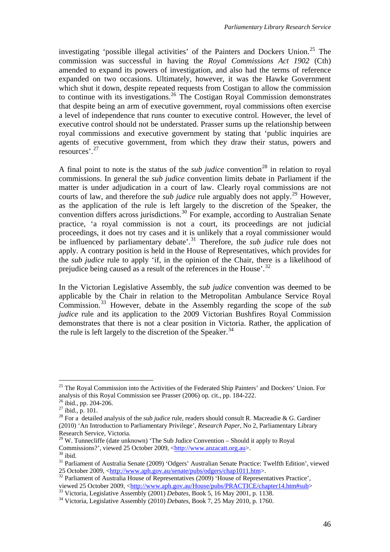investigating 'possible illegal activities' of the Painters and Dockers Union.<sup>[25](#page-49-0)</sup> The commission was successful in having the *Royal Commissions Act 1902* (Cth) amended to expand its powers of investigation, and also had the terms of reference expanded on two occasions. Ultimately, however, it was the Hawke Government which shut it down, despite repeated requests from Costigan to allow the commission to continue with its investigations.<sup>[26](#page-49-1)</sup> The Costigan Royal Commission demonstrates that despite being an arm of executive government, royal commissions often exercise a level of independence that runs counter to executive control. However, the level of executive control should not be understated. Prasser sums up the relationship between royal commissions and executive government by stating that 'public inquiries are agents of executive government, from which they draw their status, powers and resources'.[27](#page-49-2)

A final point to note is the status of the *sub judice* convention<sup>[28](#page-49-3)</sup> in relation to royal commissions. In general the *sub judice* convention limits debate in Parliament if the matter is under adjudication in a court of law. Clearly royal commissions are not courts of law, and therefore the *sub judice* rule arguably does not apply.<sup>[29](#page-49-4)</sup> However, as the application of the rule is left largely to the discretion of the Speaker, the convention differs across jurisdictions.<sup>[30](#page-49-5)</sup> For example, according to Australian Senate practice, 'a royal commission is not a court, its proceedings are not judicial proceedings, it does not try cases and it is unlikely that a royal commissioner would be influenced by parliamentary debate'.<sup>[31](#page-49-6)</sup> Therefore, the *sub judice* rule does not apply. A contrary position is held in the House of Representatives, which provides for the *sub judice* rule to apply 'if, in the opinion of the Chair, there is a likelihood of prejudice being caused as a result of the references in the House'.[32](#page-49-7)

In the Victorian Legislative Assembly, the *sub judice* convention was deemed to be applicable by the Chair in relation to the Metropolitan Ambulance Service Royal Commission.[33](#page-49-8) However, debate in the Assembly regarding the scope of the *sub judice* rule and its application to the 2009 Victorian Bushfires Royal Commission demonstrates that there is not a clear position in Victoria. Rather, the application of the rule is left largely to the discretion of the Speaker.<sup>[34](#page-49-9)</sup>

<span id="page-49-0"></span><sup>&</sup>lt;sup>25</sup> The Royal Commission into the Activities of the Federated Ship Painters' and Dockers' Union. For analysis of this Royal Commission see Prasser (2006) op. cit., pp. 184-222.

<span id="page-49-1"></span><sup>&</sup>lt;sup>26</sup> ibid., pp. 204-206.

<span id="page-49-2"></span> $27$  ibid., p. 101.

<span id="page-49-3"></span><sup>&</sup>lt;sup>28</sup> For a detailed analysis of the *sub judice* rule, readers should consult R. Macreadie & G. Gardiner (2010) 'An Introduction to Parliamentary Privilege', *Research Paper*, No 2, Parliamentary Library Research Service, Victoria.

<span id="page-49-4"></span> $29$  W. Tunnecliffe (date unknown) 'The Sub Judice Convention – Should it apply to Royal Commissions?', viewed 25 October 2009, [<http://www.anzacatt.org.au>](http://www.anzacatt.org.au/). <sup>30</sup> ibid.

<span id="page-49-6"></span><span id="page-49-5"></span><sup>&</sup>lt;sup>31</sup> Parliament of Australia Senate (2009) 'Odgers' Australian Senate Practice: Twelfth Edition', viewed 25 October 2009,  $\langle$ http://www.aph.gov.au/senate/pubs/odgers/chap1011.htm>.

<span id="page-49-7"></span><sup>&</sup>lt;sup>32</sup> Parliament of Australia House of Representatives (2009) 'House of Representatives Practice', viewed 25 October 2009, <http://www.aph.gov.au/House/pubs/PRACTICE/chapter14.htm#sub>

<span id="page-49-9"></span><span id="page-49-8"></span> $\frac{33}{24}$  Victoria, Legislative Ass[embly \(2001\)](http://www.aph.gov.au/House/pubs/PRACTICE/chapter14.htm#sub) *Debates*, Book 5, 16 May 2001, p. 1138.<br><sup>34</sup> Victoria, Legislative Assembly (2010) *Debates*, Book 7, 25 May 2010, p. 1760.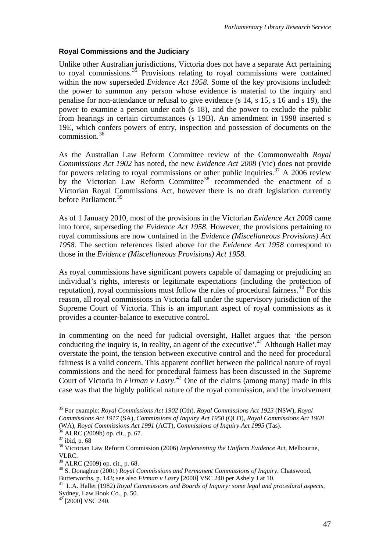### **Royal Commissions and the Judiciary**

Unlike other Australian jurisdictions, Victoria does not have a separate Act pertaining to royal commissions.[35](#page-50-0) Provisions relating to royal commissions were contained within the now superseded *Evidence Act 1958*. Some of the key provisions included: the power to summon any person whose evidence is material to the inquiry and penalise for non-attendance or refusal to give evidence (s 14, s 15, s 16 and s 19), the power to examine a person under oath (s 18), and the power to exclude the public from hearings in certain circumstances (s 19B). An amendment in 1998 inserted s 19E, which confers powers of entry, inspection and possession of documents on the commission.[36](#page-50-1)

As the Australian Law Reform Committee review of the Commonwealth *Royal Commissions Act 1902* has noted, the new *Evidence Act 2008* (Vic) does not provide for powers relating to royal commissions or other public inquiries.<sup>[37](#page-50-2)</sup> A 2006 review by the Victorian Law Reform Committee<sup>[38](#page-50-3)</sup> recommended the enactment of a Victorian Royal Commissions Act, however there is no draft legislation currently before Parliament.<sup>[39](#page-50-4)</sup>

As of 1 January 2010, most of the provisions in the Victorian *Evidence Act 2008* came into force, superseding the *Evidence Act 1958*. However, the provisions pertaining to royal commissions are now contained in the *Evidence (Miscellaneous Provisions) Act 1958*. The section references listed above for the *Evidence Act 1958* correspond to those in the *Evidence (Miscellaneous Provisions) Act 1958.* 

As royal commissions have significant powers capable of damaging or prejudicing an individual's rights, interests or legitimate expectations (including the protection of reputation), royal commissions must follow the rules of procedural fairness.<sup>[40](#page-50-5)</sup> For this reason, all royal commissions in Victoria fall under the supervisory jurisdiction of the Supreme Court of Victoria. This is an important aspect of royal commissions as it provides a counter-balance to executive control.

In commenting on the need for judicial oversight, Hallet argues that 'the person conducting the inquiry is, in reality, an agent of the executive'.<sup>[41](#page-50-6)</sup> Although Hallet may overstate the point, the tension between executive control and the need for procedural fairness is a valid concern. This apparent conflict between the political nature of royal commissions and the need for procedural fairness has been discussed in the Supreme Court of Victoria in *Firman v Lasry*. [42](#page-50-7) One of the claims (among many) made in this case was that the highly political nature of the royal commission, and the involvement

 $\overline{a}$ 

<span id="page-50-7"></span> $42^{42}$ [2000] VSC 240.

<span id="page-50-0"></span><sup>35</sup> For example: *Royal Commissions Act 1902* (Cth), *Royal Commissions Act 1923* (NSW), *Royal Commissions Act 1917* (SA), *Commissions of Inquiry Act 1950* (QLD), *Royal Commissions Act 1968* (WA), *Royal Commissions Act 1991* (ACT), *Commissions of Inquiry Act 1995* (Tas). 36 ALRC (2009b) op. cit., p. 67.

<span id="page-50-2"></span><span id="page-50-1"></span> $^{\rm 37}$ ibid, p. 68

<span id="page-50-3"></span><sup>38</sup> Victorian Law Reform Commission (2006) *Implementing the Uniform Evidence Act*, Melbourne, VLRC.

<span id="page-50-4"></span><sup>&</sup>lt;sup>39</sup> ALRC (2009) op. cit., p. 68.

<span id="page-50-5"></span><sup>40</sup> S. Donaghue (2001) *Royal Commissions and Permanent Commissions of Inquiry*, Chatswood,

<span id="page-50-6"></span>Butterworths, p. 143; see also *Firman v Lasry* [2000] VSC 240 per Ashely J at 10. 41 L.A. Hallet (1982) *Royal Commissions and Boards of Inquiry: some legal and procedural aspects*, Sydney, Law Book Co., p. 50.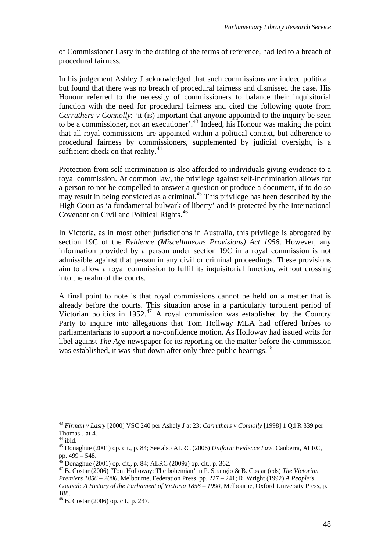of Commissioner Lasry in the drafting of the terms of reference, had led to a breach of procedural fairness.

In his judgement Ashley J acknowledged that such commissions are indeed political, but found that there was no breach of procedural fairness and dismissed the case. His Honour referred to the necessity of commissioners to balance their inquisitorial function with the need for procedural fairness and cited the following quote from *Carruthers v Connolly:* 'it (is) important that anyone appointed to the inquiry be seen to be a commissioner, not an executioner'.<sup>[43](#page-51-0)</sup> Indeed, his Honour was making the point that all royal commissions are appointed within a political context, but adherence to procedural fairness by commissioners, supplemented by judicial oversight, is a sufficient check on that reality.<sup>[44](#page-51-1)</sup>

Protection from self-incrimination is also afforded to individuals giving evidence to a royal commission. At common law, the privilege against self-incrimination allows for a person to not be compelled to answer a question or produce a document, if to do so may result in being convicted as a criminal.<sup>[45](#page-51-2)</sup> This privilege has been described by the High Court as 'a fundamental bulwark of liberty' and is protected by the International Covenant on Civil and Political Rights.<sup>[46](#page-51-3)</sup>

In Victoria, as in most other jurisdictions in Australia, this privilege is abrogated by section 19C of the *Evidence (Miscellaneous Provisions) Act 1958*. However, any information provided by a person under section 19C in a royal commission is not admissible against that person in any civil or criminal proceedings. These provisions aim to allow a royal commission to fulfil its inquisitorial function, without crossing into the realm of the courts.

A final point to note is that royal commissions cannot be held on a matter that is already before the courts. This situation arose in a particularly turbulent period of Victorian politics in 1952. $^{47}$  $^{47}$  $^{47}$  A royal commission was established by the Country Party to inquire into allegations that Tom Hollway MLA had offered bribes to parliamentarians to support a no-confidence motion. As Holloway had issued writs for libel against *The Age* newspaper for its reporting on the matter before the commission was established, it was shut down after only three public hearings.<sup>[48](#page-51-5)</sup>

<span id="page-51-0"></span> $\overline{a}$ <sup>43</sup> *Firman v Lasry* [2000] VSC 240 per Ashely J at 23; *Carruthers v Connolly* [1998] 1 Qd R 339 per Thomas J at 4.

<span id="page-51-1"></span> $44$  ibid.

<span id="page-51-2"></span><sup>45</sup> Donaghue (2001) op. cit., p. 84; See also ALRC (2006) *Uniform Evidence Law*, Canberra, ALRC, pp.  $499 - 548$ .

<sup>46</sup> Donaghue (2001) op. cit., p. 84; ALRC (2009a) op. cit., p. 362.

<span id="page-51-4"></span><span id="page-51-3"></span><sup>47</sup> B. Costar (2006) 'Tom Holloway: The bohemian' in P. Strangio & B. Costar (eds) *The Victorian Premiers 1856 – 2006*, Melbourne, Federation Press, pp. 227 – 241; R. Wright (1992) *A People's Council: A History of the Parliament of Victoria 1856 – 1990*, Melbourne, Oxford University Press, p. 188.

<span id="page-51-5"></span><sup>48</sup> B. Costar (2006) op. cit., p. 237.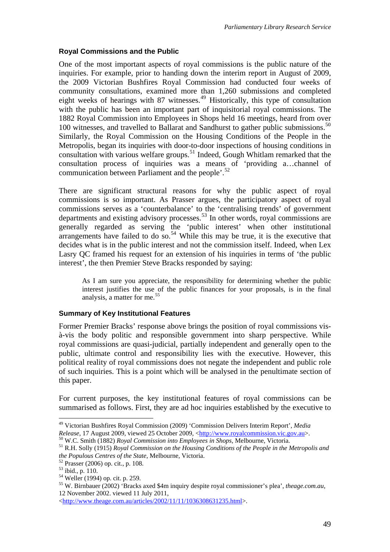### **Royal Commissions and the Public**

One of the most important aspects of royal commissions is the public nature of the inquiries. For example, prior to handing down the interim report in August of 2009, the 2009 Victorian Bushfires Royal Commission had conducted four weeks of community consultations, examined more than 1,260 submissions and completed eight weeks of hearings with 87 witnesses.<sup>[49](#page-52-0)</sup> Historically, this type of consultation with the public has been an important part of inquisitorial royal commissions. The 1882 Royal Commission into Employees in Shops held 16 meetings, heard from over 100 witnesses, and travelled to Ballarat and Sandhurst to gather public submissions.[50](#page-52-1) Similarly, the Royal Commission on the Housing Conditions of the People in the Metropolis, began its inquiries with door-to-door inspections of housing conditions in consultation with various welfare groups.[51](#page-52-2) Indeed, Gough Whitlam remarked that the consultation process of inquiries was a means of 'providing a…channel of communication between Parliament and the people'.<sup>[52](#page-52-3)</sup>

There are significant structural reasons for why the public aspect of royal commissions is so important. As Prasser argues, the participatory aspect of royal commissions serves as a 'counterbalance' to the 'centralising trends' of government departments and existing advisory processes.<sup>[53](#page-52-4)</sup> In other words, royal commissions are generally regarded as serving the 'public interest' when other institutional arrangements have failed to do so.<sup>[54](#page-52-5)</sup> While this may be true, it is the executive that decides what is in the public interest and not the commission itself. Indeed, when Lex Lasry QC framed his request for an extension of his inquiries in terms of 'the public interest', the then Premier Steve Bracks responded by saying:

As I am sure you appreciate, the responsibility for determining whether the public interest justifies the use of the public finances for your proposals, is in the final analysis, a matter for me.<sup>[55](#page-52-6)</sup>

## **Summary of Key Institutional Features**

Former Premier Bracks' response above brings the position of royal commissions visà-vis the body politic and responsible government into sharp perspective. While royal commissions are quasi-judicial, partially independent and generally open to the public, ultimate control and responsibility lies with the executive. However, this political reality of royal commissions does not negate the independent and public role of such inquiries. This is a point which will be analysed in the penultimate section of this paper.

For current purposes, the key institutional features of royal commissions can be summarised as follows. First, they are ad hoc inquiries established by the executive to

<span id="page-52-0"></span><sup>49</sup> Victorian Bushfires Royal Commission (2009) 'Commission Delivers Interim Report', *Media Release*, 17 August 2009, viewed 25 October 2009, [<http://www.royalcommission.vic.gov.au](http://www.royalcommission.vic.gov.au/)>.<br><sup>50</sup> W.C. Smith (1882) *Royal Commission into Employees in Shops*, Melbourne, Victoria.<br><sup>51</sup> R.H. Solly (1915) *Royal Commission o* 

<span id="page-52-1"></span>

<span id="page-52-2"></span>*the Populous Centres of the State*, Melbourne, Victoria. 52 Prasser (2006) op. cit., p. 108.

<span id="page-52-4"></span><span id="page-52-3"></span><sup>53</sup> ibid., p. 110.

<span id="page-52-5"></span><sup>54</sup> Weller (1994) op. cit. p. 259.

<span id="page-52-6"></span><sup>55</sup> W. Birnbauer (2002) 'Bracks axed \$4m inquiry despite royal commissioner's plea', *theage.com.au*, 12 November 2002. viewed 11 July 2011,

<sup>&</sup>lt;[http://www.theage.com.au/articles/2002/11/11/1036308631235.html>](http://www.theage.com.au/articles/2002/11/11/1036308631235.html).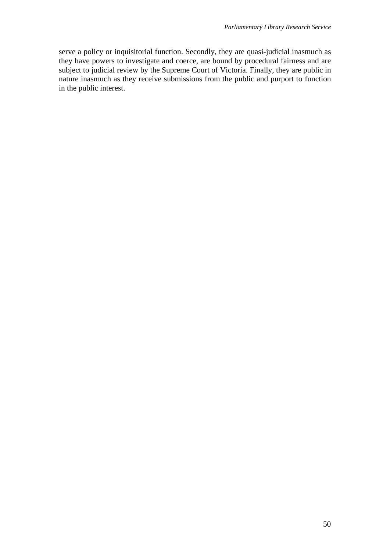serve a policy or inquisitorial function. Secondly, they are quasi-judicial inasmuch as they have powers to investigate and coerce, are bound by procedural fairness and are subject to judicial review by the Supreme Court of Victoria. Finally, they are public in nature inasmuch as they receive submissions from the public and purport to function in the public interest.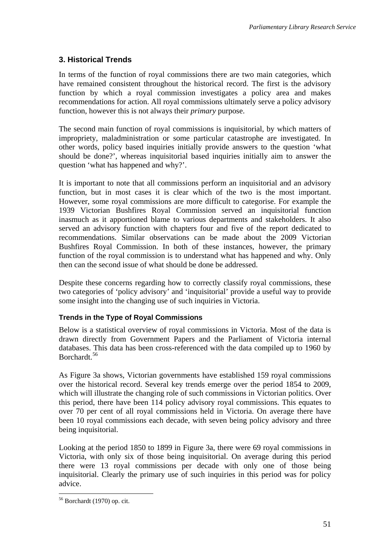# **3. Historical Trends**

In terms of the function of royal commissions there are two main categories, which have remained consistent throughout the historical record. The first is the advisory function by which a royal commission investigates a policy area and makes recommendations for action. All royal commissions ultimately serve a policy advisory function, however this is not always their *primary* purpose.

The second main function of royal commissions is inquisitorial, by which matters of impropriety, maladministration or some particular catastrophe are investigated. In other words, policy based inquiries initially provide answers to the question 'what should be done?', whereas inquisitorial based inquiries initially aim to answer the question 'what has happened and why?'.

It is important to note that all commissions perform an inquisitorial and an advisory function, but in most cases it is clear which of the two is the most important. However, some royal commissions are more difficult to categorise. For example the 1939 Victorian Bushfires Royal Commission served an inquisitorial function inasmuch as it apportioned blame to various departments and stakeholders. It also served an advisory function with chapters four and five of the report dedicated to recommendations. Similar observations can be made about the 2009 Victorian Bushfires Royal Commission. In both of these instances, however, the primary function of the royal commission is to understand what has happened and why. Only then can the second issue of what should be done be addressed.

Despite these concerns regarding how to correctly classify royal commissions, these two categories of 'policy advisory' and 'inquisitorial' provide a useful way to provide some insight into the changing use of such inquiries in Victoria.

## **Trends in the Type of Royal Commissions**

Below is a statistical overview of royal commissions in Victoria. Most of the data is drawn directly from Government Papers and the Parliament of Victoria internal databases. This data has been cross-referenced with the data compiled up to 1960 by Borchardt.[56](#page-54-0)

As Figure 3a shows, Victorian governments have established 159 royal commissions over the historical record. Several key trends emerge over the period 1854 to 2009, which will illustrate the changing role of such commissions in Victorian politics. Over this period, there have been 114 policy advisory royal commissions. This equates to over 70 per cent of all royal commissions held in Victoria. On average there have been 10 royal commissions each decade, with seven being policy advisory and three being inquisitorial.

Looking at the period 1850 to 1899 in Figure 3a, there were 69 royal commissions in Victoria, with only six of those being inquisitorial. On average during this period there were 13 royal commissions per decade with only one of those being inquisitorial. Clearly the primary use of such inquiries in this period was for policy advice.

<span id="page-54-0"></span><sup>56</sup> Borchardt (1970) op. cit.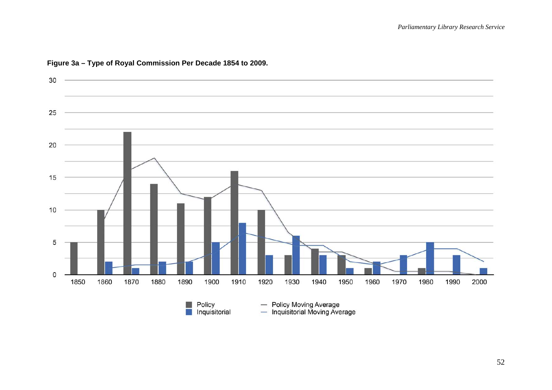

#### **Figure 3a – Type of Royal Commission Per Decade 1854 to 2009.**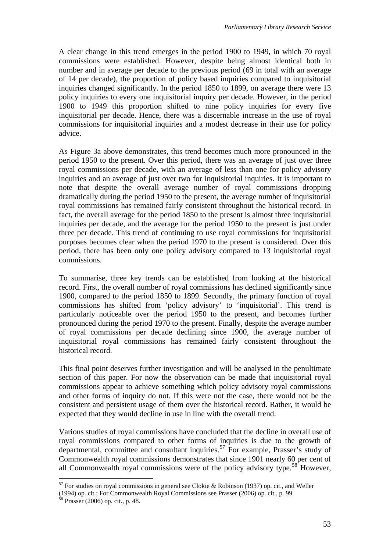A clear change in this trend emerges in the period 1900 to 1949, in which 70 royal commissions were established. However, despite being almost identical both in number and in average per decade to the previous period (69 in total with an average of 14 per decade), the proportion of policy based inquiries compared to inquisitorial inquiries changed significantly. In the period 1850 to 1899, on average there were 13 policy inquiries to every one inquisitorial inquiry per decade. However, in the period 1900 to 1949 this proportion shifted to nine policy inquiries for every five inquisitorial per decade. Hence, there was a discernable increase in the use of royal commissions for inquisitorial inquiries and a modest decrease in their use for policy advice.

As Figure 3a above demonstrates, this trend becomes much more pronounced in the period 1950 to the present. Over this period, there was an average of just over three royal commissions per decade, with an average of less than one for policy advisory inquiries and an average of just over two for inquisitorial inquiries. It is important to note that despite the overall average number of royal commissions dropping dramatically during the period 1950 to the present, the average number of inquisitorial royal commissions has remained fairly consistent throughout the historical record. In fact, the overall average for the period 1850 to the present is almost three inquisitorial inquiries per decade, and the average for the period 1950 to the present is just under three per decade. This trend of continuing to use royal commissions for inquisitorial purposes becomes clear when the period 1970 to the present is considered. Over this period, there has been only one policy advisory compared to 13 inquisitorial royal commissions.

To summarise, three key trends can be established from looking at the historical record. First, the overall number of royal commissions has declined significantly since 1900, compared to the period 1850 to 1899. Secondly, the primary function of royal commissions has shifted from 'policy advisory' to 'inquisitorial'. This trend is particularly noticeable over the period 1950 to the present, and becomes further pronounced during the period 1970 to the present. Finally, despite the average number of royal commissions per decade declining since 1900, the average number of inquisitorial royal commissions has remained fairly consistent throughout the historical record.

This final point deserves further investigation and will be analysed in the penultimate section of this paper. For now the observation can be made that inquisitorial royal commissions appear to achieve something which policy advisory royal commissions and other forms of inquiry do not. If this were not the case, there would not be the consistent and persistent usage of them over the historical record. Rather, it would be expected that they would decline in use in line with the overall trend.

Various studies of royal commissions have concluded that the decline in overall use of royal commissions compared to other forms of inquiries is due to the growth of departmental, committee and consultant inquiries.<sup>[57](#page-56-0)</sup> For example, Prasser's study of Commonwealth royal commissions demonstrates that since 1901 nearly 60 per cent of all Commonwealth royal commissions were of the policy advisory type.<sup>[58](#page-56-1)</sup> However,

<span id="page-56-0"></span> $57$  For studies on royal commissions in general see Clokie & Robinson (1937) op. cit., and Weller

<sup>(1994)</sup> op. cit.; For Commonwealth Royal Commissions see Prasser (2006) op. cit., p. 99.

<span id="page-56-1"></span> $58$  Prasser (2006) op. cit., p. 48.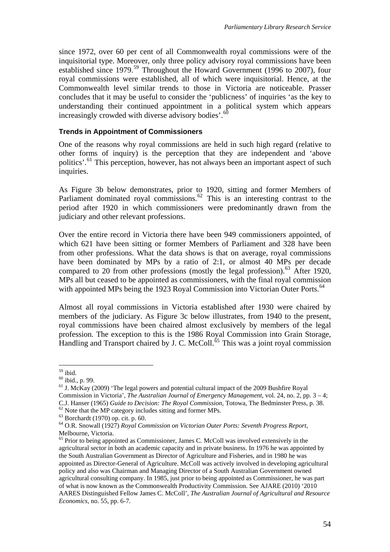since 1972, over 60 per cent of all Commonwealth royal commissions were of the inquisitorial type. Moreover, only three policy advisory royal commissions have been established since 1979.<sup>[59](#page-57-0)</sup> Throughout the Howard Government (1996 to 2007), four royal commissions were established, all of which were inquisitorial. Hence, at the Commonwealth level similar trends to those in Victoria are noticeable. Prasser concludes that it may be useful to consider the 'publicness' of inquiries 'as the key to understanding their continued appointment in a political system which appears increasingly crowded with diverse advisory bodies'. $60$ 

### **Trends in Appointment of Commissioners**

One of the reasons why royal commissions are held in such high regard (relative to other forms of inquiry) is the perception that they are independent and 'above politics'.<sup>[61](#page-57-2)</sup> This perception, however, has not always been an important aspect of such inquiries.

As Figure 3b below demonstrates, prior to 1920, sitting and former Members of Parliament dominated royal commissions.<sup>[62](#page-57-3)</sup> This is an interesting contrast to the period after 1920 in which commissioners were predominantly drawn from the judiciary and other relevant professions.

Over the entire record in Victoria there have been 949 commissioners appointed, of which 621 have been sitting or former Members of Parliament and 328 have been from other professions. What the data shows is that on average, royal commissions have been dominated by MPs by a ratio of 2:1, or almost 40 MPs per decade compared to 20 from other professions (mostly the legal profession).<sup>[63](#page-57-4)</sup> After 1920, MPs all but ceased to be appointed as commissioners, with the final royal commission with appointed MPs being the 1923 Royal Commission into Victorian Outer Ports.<sup>[64](#page-57-5)</sup>

Almost all royal commissions in Victoria established after 1930 were chaired by members of the judiciary. As Figure 3c below illustrates, from 1940 to the present, royal commissions have been chaired almost exclusively by members of the legal profession. The exception to this is the 1986 Royal Commission into Grain Storage, Handling and Transport chaired by J. C. McColl.<sup>[65](#page-57-6)</sup> This was a joint royal commission

 $59$  ibid.

<span id="page-57-1"></span><span id="page-57-0"></span><sup>60</sup> ibid., p. 99.

<span id="page-57-2"></span><sup>&</sup>lt;sup>61</sup> J. McKay (2009) 'The legal powers and potential cultural impact of the 2009 Bushfire Royal Commission in Victoria', *The Australian Journal of Emergency Management*, vol. 24, no. 2, pp. 3 – 4; C.J. Hanser (1965) *Guide to Decision: The Royal Commission*, Totowa, The Bedminster Press, p. 38. <sup>62</sup> Note that the MP category includes sitting and former MPs.

<span id="page-57-4"></span><span id="page-57-3"></span><sup>63</sup> Borchardt (1970) op. cit. p. 60.

<span id="page-57-5"></span><sup>64</sup> O.R. Snowall (1927) *Royal Commission on Victorian Outer Ports: Seventh Progress Report*, Melbourne, Victoria.

<span id="page-57-6"></span><sup>&</sup>lt;sup>65</sup> Prior to being appointed as Commissioner, James C. McColl was involved extensively in the agricultural sector in both an academic capacity and in private business. In 1976 he was appointed by the South Australian Government as Director of Agriculture and Fisheries, and in 1980 he was appointed as Director-General of Agriculture. McColl was actively involved in developing agricultural policy and also was Chairman and Managing Director of a South Australian Government owned agricultural consulting company. In 1985, just prior to being appointed as Commissioner, he was part of what is now known as the Commonwealth Productivity Commission. See AJARE (2010) '2010 AARES Distinguished Fellow James C. McColl', *The Australian Journal of Agricultural and Resource Economics*, no. 55, pp. 6-7.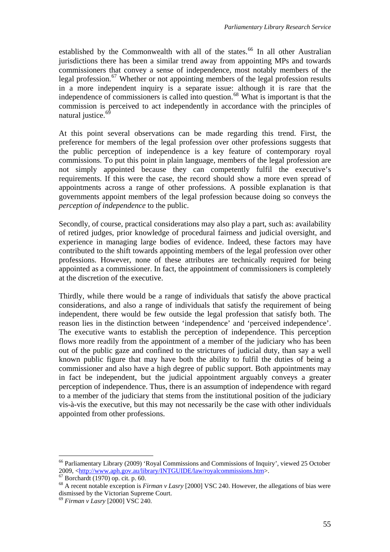established by the Commonwealth with all of the states.<sup>[66](#page-58-0)</sup> In all other Australian jurisdictions there has been a similar trend away from appointing MPs and towards commissioners that convey a sense of independence, most notably members of the legal profession.<sup>[67](#page-58-1)</sup> Whether or not appointing members of the legal profession results in a more independent inquiry is a separate issue: although it is rare that the independence of commissioners is called into question.<sup>[68](#page-58-2)</sup> What is important is that the commission is perceived to act independently in accordance with the principles of natural justice.<sup>[69](#page-58-3)</sup>

At this point several observations can be made regarding this trend. First, the preference for members of the legal profession over other professions suggests that the public perception of independence is a key feature of contemporary royal commissions. To put this point in plain language, members of the legal profession are not simply appointed because they can competently fulfil the executive's requirements. If this were the case, the record should show a more even spread of appointments across a range of other professions. A possible explanation is that governments appoint members of the legal profession because doing so conveys the *perception of independence* to the public.

Secondly, of course, practical considerations may also play a part, such as: availability of retired judges, prior knowledge of procedural fairness and judicial oversight, and experience in managing large bodies of evidence. Indeed, these factors may have contributed to the shift towards appointing members of the legal profession over other professions. However, none of these attributes are technically required for being appointed as a commissioner. In fact, the appointment of commissioners is completely at the discretion of the executive.

Thirdly, while there would be a range of individuals that satisfy the above practical considerations, and also a range of individuals that satisfy the requirement of being independent, there would be few outside the legal profession that satisfy both. The reason lies in the distinction between 'independence' and 'perceived independence'. The executive wants to establish the perception of independence. This perception flows more readily from the appointment of a member of the judiciary who has been out of the public gaze and confined to the strictures of judicial duty, than say a well known public figure that may have both the ability to fulfil the duties of being a commissioner and also have a high degree of public support. Both appointments may in fact be independent, but the judicial appointment arguably conveys a greater perception of independence. Thus, there is an assumption of independence with regard to a member of the judiciary that stems from the institutional position of the judiciary vis-à-vis the executive, but this may not necessarily be the case with other individuals appointed from other professions.

<span id="page-58-0"></span><sup>66</sup> Parliamentary Library (2009) 'Royal Commissions and Commissions of Inquiry', viewed 25 October 2009, <<http://www.aph.gov.au/library/INTGUIDE/law/royalcommissions.htm>>. 67 Borchardt (1970) op. cit. p. 60.

<span id="page-58-2"></span><span id="page-58-1"></span><sup>68</sup> A recent notable exception is *Firman v Lasry* [2000] VSC 240. However, the allegations of bias were dismissed by the Victorian Supreme Court.

<span id="page-58-3"></span><sup>69</sup> *Firman v Lasry* [2000] VSC 240.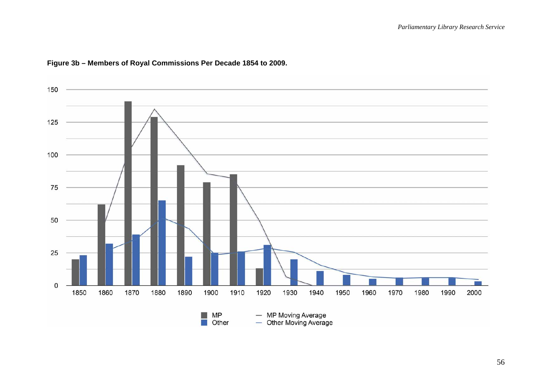

# **Figure 3b – Members of Royal Commissions Per Decade 1854 to 2009.**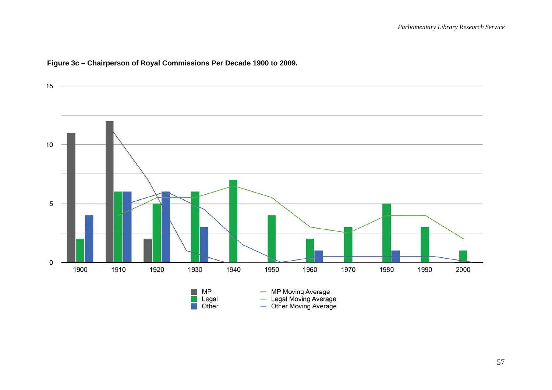

# **Figure 3c – Chairperson of Royal Commissions Per Decade 1900 to 2009.**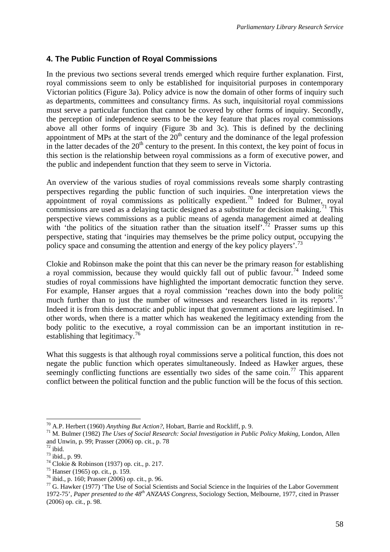# **4. The Public Function of Royal Commissions**

In the previous two sections several trends emerged which require further explanation. First, royal commissions seem to only be established for inquisitorial purposes in contemporary Victorian politics (Figure 3a). Policy advice is now the domain of other forms of inquiry such as departments, committees and consultancy firms. As such, inquisitorial royal commissions must serve a particular function that cannot be covered by other forms of inquiry. Secondly, the perception of independence seems to be the key feature that places royal commissions above all other forms of inquiry (Figure 3b and 3c). This is defined by the declining appointment of MPs at the start of the  $20<sup>th</sup>$  century and the dominance of the legal profession in the latter decades of the  $20<sup>th</sup>$  century to the present. In this context, the key point of focus in this section is the relationship between royal commissions as a form of executive power, and the public and independent function that they seem to serve in Victoria.

An overview of the various studies of royal commissions reveals some sharply contrasting perspectives regarding the public function of such inquiries. One interpretation views the appointment of royal commissions as politically expedient.<sup>[70](#page-61-0)</sup> Indeed for Bulmer, royal commissions are used as a delaying tactic designed as a substitute for decision making.<sup>[71](#page-61-1)</sup> This perspective views commissions as a public means of agenda management aimed at dealing with 'the politics of the situation rather than the situation itself'.<sup>[72](#page-61-2)</sup> Prasser sums up this perspective, stating that 'inquiries may themselves be the prime policy output, occupying the policy space and consuming the attention and energy of the key policy players'.<sup>[73](#page-61-3)</sup>

Clokie and Robinson make the point that this can never be the primary reason for establishing a royal commission, because they would quickly fall out of public favour.<sup>[74](#page-61-4)</sup> Indeed some studies of royal commissions have highlighted the important democratic function they serve. For example, Hanser argues that a royal commission 'reaches down into the body politic much further than to just the number of witnesses and researchers listed in its reports'.<sup>[75](#page-61-5)</sup> Indeed it is from this democratic and public input that government actions are legitimised. In other words, when there is a matter which has weakened the legitimacy extending from the body politic to the executive, a royal commission can be an important institution in re-establishing that legitimacy.<sup>[76](#page-61-6)</sup>

What this suggests is that although royal commissions serve a political function, this does not negate the public function which operates simultaneously. Indeed as Hawker argues, these seemingly conflicting functions are essentially two sides of the same coin.<sup>[77](#page-61-7)</sup> This apparent conflict between the political function and the public function will be the focus of this section.

<u>.</u>

<span id="page-61-1"></span><span id="page-61-0"></span><sup>70</sup> A.P. Herbert (1960) *Anything But Action?*, Hobart, Barrie and Rockliff, p. 9. 71 M. Bulmer (1982) *The Uses of Social Research: Social Investigation in Public Policy Making*, London, Allen and Unwin, p. 99; Prasser (2006) op. cit., p. 78

<span id="page-61-2"></span> $72$  ibid.

<sup>73</sup> ibid., p. 99.

<span id="page-61-4"></span><span id="page-61-3"></span><sup>74</sup> Clokie & Robinson (1937) op. cit., p. 217.

<span id="page-61-5"></span><sup>75</sup> Hanser (1965) op. cit., p. 159.

<span id="page-61-6"></span><sup>76</sup> ibid., p. 160; Prasser (2006) op. cit., p. 96.

<span id="page-61-7"></span><sup>&</sup>lt;sup>77</sup> G. Hawker (1977) 'The Use of Social Scientists and Social Science in the Inquiries of the Labor Government 1972-75', *Paper presented to the 48th ANZAAS Congress*, Sociology Section, Melbourne, 1977, cited in Prasser (2006) op. cit., p. 98.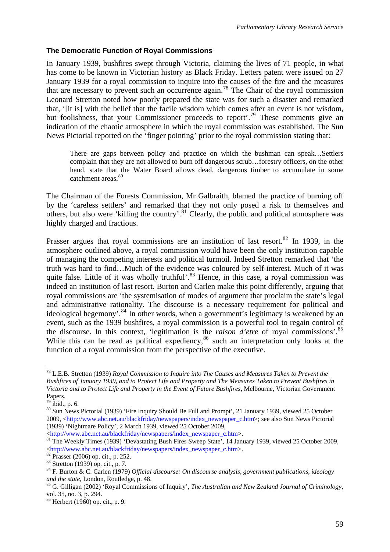### **The Democratic Function of Royal Commissions**

In January 1939, bushfires swept through Victoria, claiming the lives of 71 people, in what has come to be known in Victorian history as Black Friday. Letters patent were issued on 27 January 1939 for a royal commission to inquire into the causes of the fire and the measures that are necessary to prevent such an occurrence again.<sup>[78](#page-62-0)</sup> The Chair of the royal commission Leonard Stretton noted how poorly prepared the state was for such a disaster and remarked that, '[it is] with the belief that the facile wisdom which comes after an event is not wisdom, but foolishness, that your Commissioner proceeds to report<sup>'.[79](#page-62-1)</sup> These comments give an indication of the chaotic atmosphere in which the royal commission was established. The Sun News Pictorial reported on the 'finger pointing' prior to the royal commission stating that:

There are gaps between policy and practice on which the bushman can speak…Settlers complain that they are not allowed to burn off dangerous scrub…forestry officers, on the other hand, state that the Water Board allows dead, dangerous timber to accumulate in some catchment areas.<sup>[80](#page-62-2)</sup>

The Chairman of the Forests Commission, Mr Galbraith, blamed the practice of burning off by the 'careless settlers' and remarked that they not only posed a risk to themselves and others, but also were 'killing the country'.<sup>[81](#page-62-3)</sup> Clearly, the public and political atmosphere was highly charged and fractious.

Prasser argues that royal commissions are an institution of last resort. $82$  In 1939, in the atmosphere outlined above, a royal commission would have been the only institution capable of managing the competing interests and political turmoil. Indeed Stretton remarked that 'the truth was hard to find…Much of the evidence was coloured by self-interest. Much of it was quite false. Little of it was wholly truthful'.<sup>[83](#page-62-5)</sup> Hence, in this case, a royal commission was indeed an institution of last resort. Burton and Carlen make this point differently, arguing that royal commissions are 'the systemisation of modes of argument that proclaim the state's legal and administrative rationality. The discourse is a necessary requirement for political and ideological hegemony'.<sup>[84](#page-62-6)</sup> In other words, when a government's legitimacy is weakened by an event, such as the 1939 bushfires, a royal commission is a powerful tool to regain control of the discourse. In this context, 'legitimation is the *raison d'etre* of royal commissions'.[85](#page-62-7) While this can be read as political expediency,<sup>[86](#page-62-8)</sup> such an interpretation only looks at the function of a royal commission from the perspective of the executive.

1

<span id="page-62-0"></span><sup>78</sup> L.E.B. Stretton (1939) *Royal Commission to Inquire into The Causes and Measures Taken to Prevent the Bushfires of January 1939, and to Protect Life and Property and The Measures Taken to Prevent Bushfires in Victoria and to Protect Life and Property in the Event of Future Bushfires*, Melbourne, Victorian Government Papers.

<span id="page-62-1"></span><sup>79</sup> ibid., p. 6.

<span id="page-62-2"></span><sup>80</sup> Sun News Pictorial (1939) 'Fire Inquiry Should Be Full and Prompt', 21 January 1939, viewed 25 October 2009, <[http://www.abc.net.au/blackfriday/newspapers/index\\_newspaper\\_c.htm](http://www.abc.net.au/blackfriday/newspapers/index_newspaper_c.htm)>; see also Sun News Pictorial (1939) 'Nightmare Policy', 2 March 1939, viewed 25 October 2009,

<span id="page-62-3"></span><sup>&</sup>lt;[http://www.abc.net.au/blackfriday/newspapers/index\\_newspaper\\_c.htm](http://www.abc.net.au/blackfriday/newspapers/index_newspaper_c.htm)>. 8[1](http://www.abc.net.au/blackfriday/newspapers/index_newspaper_c.htm) The Weekly Times (1939) 'Devastating Bush Fires Sweep State', 14 January 1939, viewed 25 October 2009,  $\frac{\text{thttp://www.abc.net.au/blackfriday/newspapers/index newspaper c.htm>}{82}$  $\frac{\text{thttp://www.abc.net.au/blackfriday/newspapers/index newspaper c.htm>}{82}$  $\frac{\text{thttp://www.abc.net.au/blackfriday/newspapers/index newspaper c.htm>}{82}$ Prasser (2006) op. cit., p. 252.

<span id="page-62-5"></span><span id="page-62-4"></span><sup>83</sup> Stretton (1939) op. cit., p. 7.

<span id="page-62-6"></span><sup>84</sup> F. Burton & C. Carlen (1979) *Official discourse: On discourse analysis, government publications, ideology* 

<span id="page-62-7"></span>and the state, London, Routledge, p. 48.<br><sup>85</sup> G. Gilligan (2002) 'Royal Commissions of Inquiry', *The Australian and New Zealand Journal of Criminology*, vol. 35, no. 3, p. 294.

<span id="page-62-8"></span><sup>86</sup> Herbert (1960) op. cit., p. 9.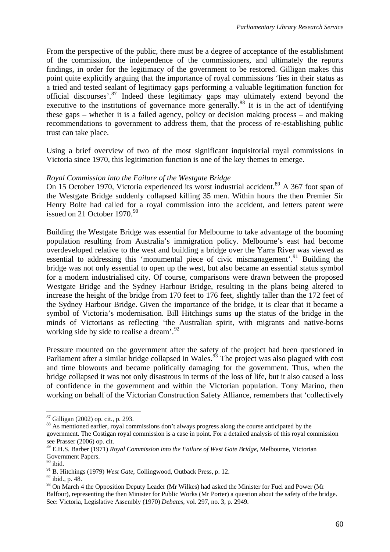From the perspective of the public, there must be a degree of acceptance of the establishment of the commission, the independence of the commissioners, and ultimately the reports findings, in order for the legitimacy of the government to be restored. Gilligan makes this point quite explicitly arguing that the importance of royal commissions 'lies in their status as a tried and tested sealant of legitimacy gaps performing a valuable legitimation function for official discourses'.[87](#page-63-0) Indeed these legitimacy gaps may ultimately extend beyond the executive to the institutions of governance more generally.<sup>[88](#page-63-1)</sup> It is in the act of identifying these gaps – whether it is a failed agency, policy or decision making process – and making recommendations to government to address them, that the process of re-establishing public trust can take place.

Using a brief overview of two of the most significant inquisitorial royal commissions in Victoria since 1970, this legitimation function is one of the key themes to emerge.

#### *Royal Commission into the Failure of the Westgate Bridge*

On 15 October 1970, Victoria experienced its worst industrial accident.<sup>[89](#page-63-2)</sup> A 367 foot span of the Westgate Bridge suddenly collapsed killing 35 men. Within hours the then Premier Sir Henry Bolte had called for a royal commission into the accident, and letters patent were issued on 21 October  $1970.<sup>90</sup>$  $1970.<sup>90</sup>$  $1970.<sup>90</sup>$ 

Building the Westgate Bridge was essential for Melbourne to take advantage of the booming population resulting from Australia's immigration policy. Melbourne's east had become overdeveloped relative to the west and building a bridge over the Yarra River was viewed as essential to addressing this 'monumental piece of civic mismanagement'.<sup>[91](#page-63-4)</sup> Building the bridge was not only essential to open up the west, but also became an essential status symbol for a modern industrialised city. Of course, comparisons were drawn between the proposed Westgate Bridge and the Sydney Harbour Bridge, resulting in the plans being altered to increase the height of the bridge from 170 feet to 176 feet, slightly taller than the 172 feet of the Sydney Harbour Bridge. Given the importance of the bridge, it is clear that it became a symbol of Victoria's modernisation. Bill Hitchings sums up the status of the bridge in the minds of Victorians as reflecting 'the Australian spirit, with migrants and native-borns working side by side to realise a dream'.<sup>[92](#page-63-5)</sup>

Pressure mounted on the government after the safety of the project had been questioned in Parliament after a similar bridge collapsed in Wales.<sup>[93](#page-63-6)</sup> The project was also plagued with cost and time blowouts and became politically damaging for the government. Thus, when the bridge collapsed it was not only disastrous in terms of the loss of life, but it also caused a loss of confidence in the government and within the Victorian population. Tony Marino, then working on behalf of the Victorian Construction Safety Alliance, remembers that 'collectively

<sup>1</sup> 87 Gilligan (2002) op. cit., p. 293.

<span id="page-63-1"></span><span id="page-63-0"></span><sup>&</sup>lt;sup>88</sup> As mentioned earlier, royal commissions don't always progress along the course anticipated by the government. The Costigan royal commission is a case in point. For a detailed analysis of this royal commission see Prasser (2006) op. cit.

<span id="page-63-2"></span><sup>89</sup> E.H.S. Barber (1971) *Royal Commission into the Failure of West Gate Bridge*, Melbourne, Victorian Government Papers.

<span id="page-63-3"></span> $90$  ibid.

<sup>91</sup> B. Hitchings (1979) *West Gate*, Collingwood, Outback Press, p. 12.

<span id="page-63-5"></span><span id="page-63-4"></span><sup>92</sup> ibid., p. 48.

<span id="page-63-6"></span><sup>&</sup>lt;sup>93</sup> On March 4 the Opposition Deputy Leader (Mr Wilkes) had asked the Minister for Fuel and Power (Mr Balfour), representing the then Minister for Public Works (Mr Porter) a question about the safety of the bridge. See: Victoria, Legislative Assembly (1970) *Debates*, vol. 297, no. 3, p. 2949.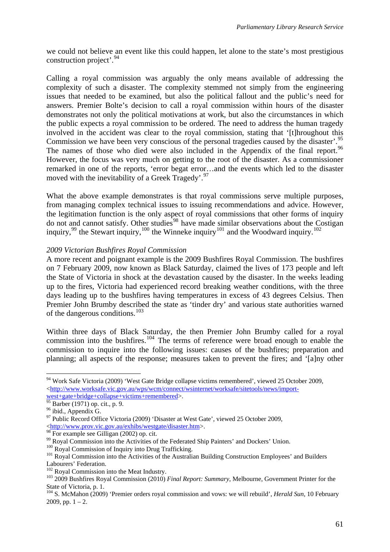we could not believe an event like this could happen, let alone to the state's most prestigious construction project'.<sup>[94](#page-64-0)</sup>

Calling a royal commission was arguably the only means available of addressing the complexity of such a disaster. The complexity stemmed not simply from the engineering issues that needed to be examined, but also the political fallout and the public's need for answers. Premier Bolte's decision to call a royal commission within hours of the disaster demonstrates not only the political motivations at work, but also the circumstances in which the public expects a royal commission to be ordered. The need to address the human tragedy involved in the accident was clear to the royal commission, stating that '[t]hroughout this Commission we have been very conscious of the personal tragedies caused by the disaster'.<sup>[95](#page-64-1)</sup> The names of those who died were also included in the Appendix of the final report.<sup>[96](#page-64-2)</sup> However, the focus was very much on getting to the root of the disaster. As a commissioner remarked in one of the reports, 'error begat error…and the events which led to the disaster moved with the inevitability of a Greek Tragedy'.<sup>[97](#page-64-3)</sup>

What the above example demonstrates is that royal commissions serve multiple purposes, from managing complex technical issues to issuing recommendations and advice. However, the legitimation function is the only aspect of royal commissions that other forms of inquiry do not and cannot satisfy. Other studies<sup>[98](#page-64-4)</sup> have made similar observations about the Costigan inquiry,  $99$  the Stewart inquiry,  $100$  the Winneke inquiry  $101$  and the Woodward inquiry.  $102$ 

### *2009 Victorian Bushfires Royal Commission*

A more recent and poignant example is the 2009 Bushfires Royal Commission. The bushfires on 7 February 2009, now known as Black Saturday, claimed the lives of 173 people and left the State of Victoria in shock at the devastation caused by the disaster. In the weeks leading up to the fires, Victoria had experienced record breaking weather conditions, with the three days leading up to the bushfires having temperatures in excess of 43 degrees Celsius. Then Premier John Brumby described the state as 'tinder dry' and various state authorities warned of the dangerous conditions.[103](#page-64-9)

Within three days of Black Saturday, the then Premier John Brumby called for a royal commission into the bushfires.<sup>[104](#page-64-10)</sup> The terms of reference were broad enough to enable the commission to inquire into the following issues: causes of the bushfires; preparation and planning; all aspects of the response; measures taken to prevent the fires; and '[a]ny other

<u>.</u>

<span id="page-64-0"></span><sup>94</sup> Work Safe Victoria (2009) 'West Gate Bridge collapse victims remembered', viewed 25 October 2009,  $\langle$ [http://www.worksafe.vic.gov.au/wps/wcm/connect/wsinternet/worksafe/sitetools/news/import](http://www.worksafe.vic.gov.au/wps/wcm/connect/wsinternet/worksafe/sitetools/news/import-west+gate+bridge+collapse+victims+remembered)[west+gate+bridge+collapse+victims+remembered>](http://www.worksafe.vic.gov.au/wps/wcm/connect/wsinternet/worksafe/sitetools/news/import-west+gate+bridge+collapse+victims+remembered).

<span id="page-64-1"></span> $rac{1}{95}$  Barber (1971) op. cit., p. 9.

<span id="page-64-2"></span><sup>&</sup>lt;sup>96</sup> ibid., Appendix G.

<span id="page-64-3"></span><sup>&</sup>lt;sup>97</sup> Public Record Office Victoria (2009) 'Disaster at West Gate', viewed 25 October 2009, <<http://www.prov.vic.gov.au/exhibs/westgate/disaster.htm>>.

<span id="page-64-4"></span><sup>&</sup>lt;sup>98</sup> For example see Gilligan (2002) op. cit.

<span id="page-64-5"></span> $99$  Royal Commission into the Activities of the Federated Ship Painters' and Dockers' Union.<br> $100$  Roval Commission of Inquiry into Drug Trafficking.

<span id="page-64-7"></span><span id="page-64-6"></span><sup>&</sup>lt;sup>101</sup> Royal Commission into the Activities of the Australian Building Construction Employees' and Builders Labourers' Federation.<br><sup>102</sup> Royal Commission into the Meat Industry.

<span id="page-64-8"></span>

<span id="page-64-9"></span><sup>&</sup>lt;sup>103</sup> 2009 Bushfires Royal Commission (2010) *Final Report: Summary*, Melbourne, Government Printer for the State of Victoria, p. 1.

<span id="page-64-10"></span><sup>104</sup> S. McMahon (2009) 'Premier orders royal commission and vows: we will rebuild', *Herald Sun*, 10 February 2009, pp.  $1 - 2$ .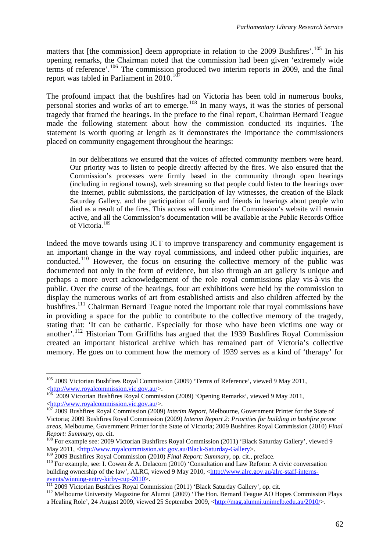matters that [the commission] deem appropriate in relation to the 2009 Bushfires'.<sup>[105](#page-65-0)</sup> In his opening remarks, the Chairman noted that the commission had been given 'extremely wide terms of reference'.[106](#page-65-1) The commission produced two interim reports in 2009, and the final report was tabled in Parliament in 2010.<sup>[107](#page-65-2)</sup>

The profound impact that the bushfires had on Victoria has been told in numerous books, personal stories and works of art to emerge.<sup>[108](#page-65-3)</sup> In many ways, it was the stories of personal tragedy that framed the hearings. In the preface to the final report, Chairman Bernard Teague made the following statement about how the commission conducted its inquiries. The statement is worth quoting at length as it demonstrates the importance the commissioners placed on community engagement throughout the hearings:

In our deliberations we ensured that the voices of affected community members were heard. Our priority was to listen to people directly affected by the fires. We also ensured that the Commission's processes were firmly based in the community through open hearings (including in regional towns), web streaming so that people could listen to the hearings over the internet, public submissions, the participation of lay witnesses, the creation of the Black Saturday Gallery, and the participation of family and friends in hearings about people who died as a result of the fires. This access will continue: the Commission's website will remain active, and all the Commission's documentation will be available at the Public Records Office of Victoria.<sup>[109](#page-65-4)</sup>

Indeed the move towards using ICT to improve transparency and community engagement is an important change in the way royal commissions, and indeed other public inquiries, are conducted.[110](#page-65-5) However, the focus on ensuring the collective memory of the public was documented not only in the form of evidence, but also through an art gallery is unique and perhaps a more overt acknowledgement of the role royal commissions play vis-à-vis the public. Over the course of the hearings, four art exhibitions were held by the commission to display the numerous works of art from established artists and also children affected by the bushfires.<sup>[111](#page-65-6)</sup> Chairman Bernard Teague noted the important role that royal commissions have in providing a space for the public to contribute to the collective memory of the tragedy, stating that: 'It can be cathartic. Especially for those who have been victims one way or another'.[112](#page-65-7) Historian Tom Griffiths has argued that the 1939 Bushfires Royal Commission created an important historical archive which has remained part of Victoria's collective memory. He goes on to comment how the memory of 1939 serves as a kind of 'therapy' for

<u>.</u>

<span id="page-65-0"></span><sup>&</sup>lt;sup>105</sup> 2009 Victorian Bushfires Royal Commission (2009) 'Terms of Reference', viewed 9 May 2011, <<http://www.royalcommission.vic.gov.au/>>. 1[06](http://www.royalcommission.vic.gov.au/) 2009 Victorian Bushfires Royal Commission (2009) 'Opening Remarks', viewed 9 May 2011,

<span id="page-65-1"></span><sup>&</sup>lt;<http://www.royalcommission.vic.gov.au/>>. 1[07](http://www.royalcommission.vic.gov.au/) 2009 Bushfires Royal Commission (2009) *Interim Report*, Melbourne, Government Printer for the State of

<span id="page-65-2"></span>Victoria; 2009 Bushfires Royal Commission (2009) *Interim Report 2: Priorities for building in bushfire prone areas*, Melbourne, Government Printer for the State of Victoria; 2009 Bushfires Royal Commission (2010) *Final Report: Summary*, op. cit.<br><sup>108</sup> For example see: 2009 Victorian Bushfires Royal Commission (2011) 'Black Saturday Gallery', viewed 9

<span id="page-65-3"></span>May 2011, [<http://www.royalcommission.vic.gov.au/Black-Saturday-Gallery>](http://www.royalcommission.vic.gov.au/Black-Saturday-Gallery).<br><sup>109</sup> 2009 Bushfires Royal Commission (2010) *Final Report: Summary*, op. cit., preface.

<span id="page-65-5"></span><span id="page-65-4"></span><sup>&</sup>lt;sup>110</sup> For example, see: I. Cowen & A. Delacorn (2010) 'Consultation and Law Reform: A civic conversation building ownership of the law', ALRC, viewed 9 May 2010, [<http://www.alrc.gov.au/alrc-staff-interns](http://www.alrc.gov.au/alrc-staff-interns-events/winning-entry-kirby-cup-2010)[events/winning-entry-kirby-cup-2010](http://www.alrc.gov.au/alrc-staff-interns-events/winning-entry-kirby-cup-2010)>.<br>
<sup>[111](http://www.alrc.gov.au/alrc-staff-interns-events/winning-entry-kirby-cup-2010)</sup> 2009 Victorian Bushfires Royal Commission (2011) 'Black Saturday Gallery', op. cit.<br>
<sup>112</sup> Melbourne University Magazine for Alumni (2009) 'The Hon. Bernard Teague AO Hopes Comm

<span id="page-65-6"></span>

<span id="page-65-7"></span>a Healing Role', 24 August 2009, viewed 25 September 2009, [<http://mag.alumni.unimelb.edu.au/2010/](http://mag.alumni.unimelb.edu.au/2010/)>.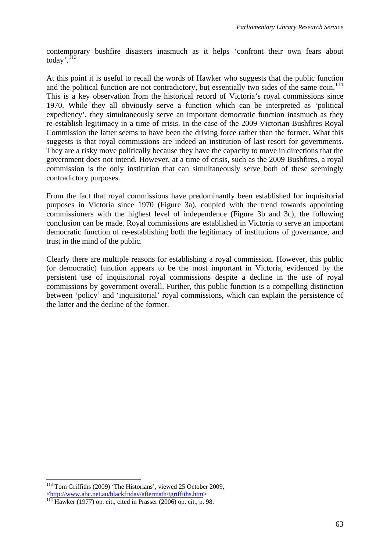contemporary bushfire disasters inasmuch as it helps 'confront their own fears about today'.<sup>[113](#page-66-0)</sup>

At this point it is useful to recall the words of Hawker who suggests that the public function and the political function are not contradictory, but essentially two sides of the same coin.<sup>[114](#page-66-1)</sup> This is a key observation from the historical record of Victoria's royal commissions since 1970. While they all obviously serve a function which can be interpreted as 'political expediency', they simultaneously serve an important democratic function inasmuch as they re-establish legitimacy in a time of crisis. In the case of the 2009 Victorian Bushfires Royal Commission the latter seems to have been the driving force rather than the former. What this suggests is that royal commissions are indeed an institution of last resort for governments. They are a risky move politically because they have the capacity to move in directions that the government does not intend. However, at a time of crisis, such as the 2009 Bushfires, a royal commission is the only institution that can simultaneously serve both of these seemingly contradictory purposes.

From the fact that royal commissions have predominantly been established for inquisitorial purposes in Victoria since 1970 (Figure 3a), coupled with the trend towards appointing commissioners with the highest level of independence (Figure 3b and 3c), the following conclusion can be made. Royal commissions are established in Victoria to serve an important democratic function of re-establishing both the legitimacy of institutions of governance, and trust in the mind of the public.

Clearly there are multiple reasons for establishing a royal commission. However, this public (or democratic) function appears to be the most important in Victoria, evidenced by the persistent use of inquisitorial royal commissions despite a decline in the use of royal commissions by government overall. Further, this public function is a compelling distinction between 'policy' and 'inquisitorial' royal commissions, which can explain the persistence of the latter and the decline of the former.

1

<span id="page-66-0"></span><sup>&</sup>lt;sup>113</sup> Tom Griffiths (2009) 'The Historians', viewed 25 October 2009,

<span id="page-66-1"></span><sup>&</sup>lt;<http://www.abc.net.au/blackfriday/aftermath/tgriffiths.htm>> 1[14](http://www.abc.net.au/blackfriday/aftermath/tgriffiths.htm) Hawker (1977) op. cit., cited in Prasser (2006) op. cit., p. 98.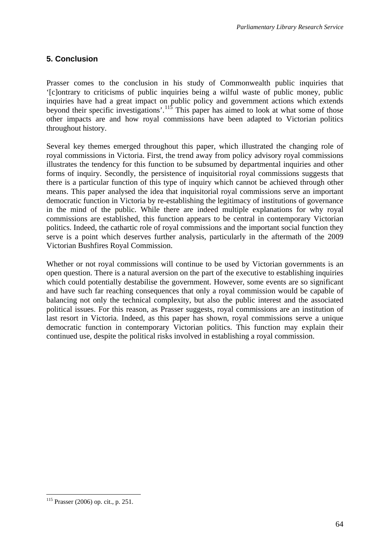# **5. Conclusion**

Prasser comes to the conclusion in his study of Commonwealth public inquiries that '[c]ontrary to criticisms of public inquiries being a wilful waste of public money, public inquiries have had a great impact on public policy and government actions which extends beyond their specific investigations'.<sup>[115](#page-67-0)</sup> This paper has aimed to look at what some of those other impacts are and how royal commissions have been adapted to Victorian politics throughout history.

Several key themes emerged throughout this paper, which illustrated the changing role of royal commissions in Victoria. First, the trend away from policy advisory royal commissions illustrates the tendency for this function to be subsumed by departmental inquiries and other forms of inquiry. Secondly, the persistence of inquisitorial royal commissions suggests that there is a particular function of this type of inquiry which cannot be achieved through other means. This paper analysed the idea that inquisitorial royal commissions serve an important democratic function in Victoria by re-establishing the legitimacy of institutions of governance in the mind of the public. While there are indeed multiple explanations for why royal commissions are established, this function appears to be central in contemporary Victorian politics. Indeed, the cathartic role of royal commissions and the important social function they serve is a point which deserves further analysis, particularly in the aftermath of the 2009 Victorian Bushfires Royal Commission.

Whether or not royal commissions will continue to be used by Victorian governments is an open question. There is a natural aversion on the part of the executive to establishing inquiries which could potentially destabilise the government. However, some events are so significant and have such far reaching consequences that only a royal commission would be capable of balancing not only the technical complexity, but also the public interest and the associated political issues. For this reason, as Prasser suggests, royal commissions are an institution of last resort in Victoria. Indeed, as this paper has shown, royal commissions serve a unique democratic function in contemporary Victorian politics. This function may explain their continued use, despite the political risks involved in establishing a royal commission.

1

<span id="page-67-0"></span><sup>115</sup> Prasser (2006) op. cit., p. 251.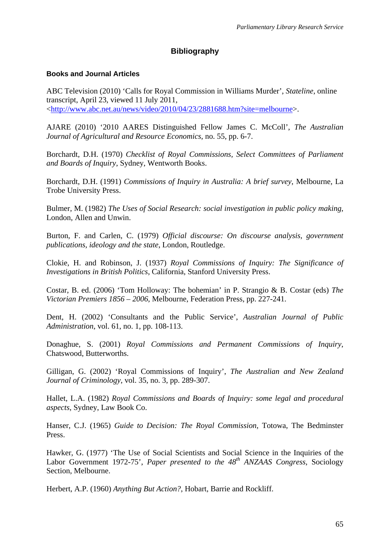# **Bibliography**

#### **Books and Journal Articles**

ABC Television (2010) 'Calls for Royal Commission in Williams Murder', *Stateline*, online transcript, April 23, viewed 11 July 2011, <<http://www.abc.net.au/news/video/2010/04/23/2881688.htm?site=melbourne>>.

AJARE (2010) '2010 AARES Distinguished Fellow James C. McColl', *The Australian Journal of Agricultural and Resource Economics*, no. 55, pp. 6-7.

Borchardt, D.H. (1970) *Checklist of Royal Commissions, Select Committees of Parliament and Boards of Inquiry*, Sydney, Wentworth Books.

Borchardt, D.H. (1991) *Commissions of Inquiry in Australia: A brief survey*, Melbourne, La Trobe University Press.

Bulmer, M. (1982) *The Uses of Social Research: social investigation in public policy making*, London, Allen and Unwin.

Burton, F. and Carlen, C. (1979) *Official discourse: On discourse analysis, government publications, ideology and the state*, London, Routledge.

Clokie, H. and Robinson, J. (1937) *Royal Commissions of Inquiry: The Significance of Investigations in British Politics*, California, Stanford University Press.

Costar, B. ed. (2006) 'Tom Holloway: The bohemian' in P. Strangio & B. Costar (eds) *The Victorian Premiers 1856 – 2006*, Melbourne, Federation Press, pp. 227-241.

Dent, H. (2002) 'Consultants and the Public Service', *Australian Journal of Public Administration*, vol. 61, no. 1, pp. 108-113.

Donaghue, S. (2001) *Royal Commissions and Permanent Commissions of Inquiry*, Chatswood, Butterworths.

Gilligan, G. (2002) 'Royal Commissions of Inquiry', *The Australian and New Zealand Journal of Criminology*, vol. 35, no. 3, pp. 289-307.

Hallet, L.A. (1982) *Royal Commissions and Boards of Inquiry: some legal and procedural aspects*, Sydney, Law Book Co.

Hanser, C.J. (1965) *Guide to Decision: The Royal Commission*, Totowa, The Bedminster Press.

Hawker, G. (1977) 'The Use of Social Scientists and Social Science in the Inquiries of the Labor Government 1972-75', *Paper presented to the 48th ANZAAS Congress*, Sociology Section, Melbourne.

Herbert, A.P. (1960) *Anything But Action?*, Hobart, Barrie and Rockliff.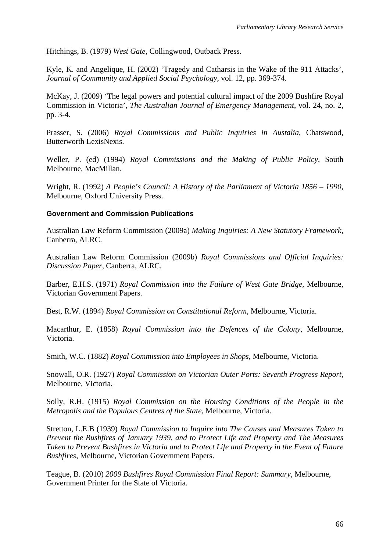Hitchings, B. (1979) *West Gate*, Collingwood, Outback Press.

Kyle, K. and Angelique, H. (2002) 'Tragedy and Catharsis in the Wake of the 911 Attacks', *Journal of Community and Applied Social Psychology*, vol. 12, pp. 369-374.

McKay, J. (2009) 'The legal powers and potential cultural impact of the 2009 Bushfire Royal Commission in Victoria', *The Australian Journal of Emergency Management*, vol. 24, no. 2, pp. 3-4.

Prasser, S. (2006) *Royal Commissions and Public Inquiries in Austalia*, Chatswood, Butterworth LexisNexis.

Weller, P. (ed) (1994) *Royal Commissions and the Making of Public Policy*, South Melbourne, MacMillan.

Wright, R. (1992) *A People's Council: A History of the Parliament of Victoria 1856 – 1990*, Melbourne, Oxford University Press.

#### **Government and Commission Publications**

Australian Law Reform Commission (2009a) *Making Inquiries: A New Statutory Framework*, Canberra, ALRC.

Australian Law Reform Commission (2009b) *Royal Commissions and Official Inquiries: Discussion Paper*, Canberra, ALRC.

Barber, E.H.S. (1971) *Royal Commission into the Failure of West Gate Bridge*, Melbourne, Victorian Government Papers.

Best, R.W. (1894) *Royal Commission on Constitutional Reform*, Melbourne, Victoria.

Macarthur, E. (1858) *Royal Commission into the Defences of the Colony*, Melbourne, Victoria.

Smith, W.C. (1882) *Royal Commission into Employees in Shops*, Melbourne, Victoria.

Snowall, O.R. (1927) *Royal Commission on Victorian Outer Ports: Seventh Progress Report*, Melbourne, Victoria.

Solly, R.H. (1915) *Royal Commission on the Housing Conditions of the People in the Metropolis and the Populous Centres of the State*, Melbourne, Victoria.

Stretton, L.E.B (1939) *Royal Commission to Inquire into The Causes and Measures Taken to Prevent the Bushfires of January 1939, and to Protect Life and Property and The Measures Taken to Prevent Bushfires in Victoria and to Protect Life and Property in the Event of Future Bushfires*, Melbourne, Victorian Government Papers.

Teague, B. (2010) *2009 Bushfires Royal Commission Final Report: Summary,* Melbourne, Government Printer for the State of Victoria.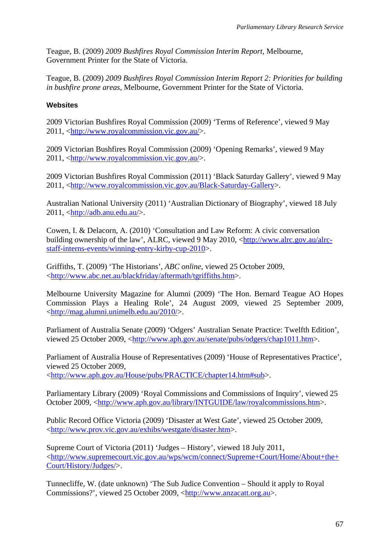Teague, B. (2009) *2009 Bushfires Royal Commission Interim Report*, Melbourne, Government Printer for the State of Victoria.

Teague, B. (2009) *2009 Bushfires Royal Commission Interim Report 2: Priorities for building in bushfire prone areas*, Melbourne, Government Printer for the State of Victoria.

### **Websites**

2009 Victorian Bushfires Royal Commission (2009) 'Terms of Reference', viewed 9 May 2011, <<http://www.royalcommission.vic.gov.au/>>.

2009 Victorian Bushfires Royal Commission (2009) 'Opening Remarks', viewed 9 May 2011, <<http://www.royalcommission.vic.gov.au/>>.

2009 Victorian Bushfires Royal Commission (2011) 'Black Saturday Gallery', viewed 9 May 2011, <[http://www.royalcommission.vic.gov.au/Black-Saturday-Gallery>](http://www.royalcommission.vic.gov.au/Black-Saturday-Gallery).

Australian National University (2011) 'Australian Dictionary of Biography', viewed 18 July 2011, <[http://adb.anu.edu.au/>](http://adb.anu.edu.au/).

Cowen, I. & Delacorn, A. (2010) 'Consultation and Law Reform: A civic conversation building ownership of the law', ALRC, viewed 9 May 2010, [<http://www.alrc.gov.au/alrc](http://www.alrc.gov.au/alrc-staff-interns-events/winning-entry-kirby-cup-2010)[staff-interns-events/winning-entry-kirby-cup-2010>](http://www.alrc.gov.au/alrc-staff-interns-events/winning-entry-kirby-cup-2010).

Griffiths, T. (2009) 'The Historians', *ABC online*, viewed 25 October 2009, <<http://www.abc.net.au/blackfriday/aftermath/tgriffiths.htm>>.

Melbourne University Magazine for Alumni (2009) 'The Hon. Bernard Teague AO Hopes Commission Plays a Healing Role', 24 August 2009, viewed 25 September 2009, <<http://mag.alumni.unimelb.edu.au/2010/>>.

Parliament of Australia Senate (2009) 'Odgers' Australian Senate Practice: Twelfth Edition', viewed 25 October 2009, [<http://www.aph.gov.au/senate/pubs/odgers/chap1011.htm>](http://www.aph.gov.au/senate/pubs/odgers/chap1011.htm).

Parliament of Australia House of Representatives (2009) 'House of Representatives Practice', viewed 25 October 2009, <<http://www.aph.gov.au/House/pubs/PRACTICE/chapter14.htm#sub>>.

Parliamentary Library (2009) 'Royal Commissions and Commissions of Inquiry', viewed 25 October 2009, [<http://www.aph.gov.au/library/INTGUIDE/law/royalcommissions.htm>](http://www.aph.gov.au/library/INTGUIDE/law/royalcommissions.htm).

Public Record Office Victoria (2009) 'Disaster at West Gate', viewed 25 October 2009, <[http://www.prov.vic.gov.au/exhibs/westgate/disaster.htm>](http://www.prov.vic.gov.au/exhibs/westgate/disaster.htm).

Supreme Court of Victoria (2011) 'Judges – History', viewed 18 July 2011, <[http://www.supremecourt.vic.gov.au/wps/wcm/connect/Supreme+Court/Home/About+the+](http://www.supremecourt.vic.gov.au/wps/wcm/connect/Supreme+Court/Home/About+the+Court/History/Judges/) [Court/History/Judges/>](http://www.supremecourt.vic.gov.au/wps/wcm/connect/Supreme+Court/Home/About+the+Court/History/Judges/).

Tunnecliffe, W. (date unknown) 'The Sub Judice Convention – Should it apply to Royal Commissions?', viewed 25 October 2009, <[http://www.anzacatt.org.au>](http://www.anzacatt.org.au/).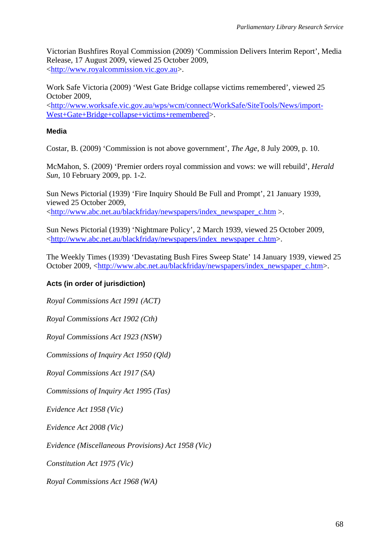Victorian Bushfires Royal Commission (2009) 'Commission Delivers Interim Report', Media Release, 17 August 2009, viewed 25 October 2009, <[http://www.royalcommission.vic.gov.au](http://www.royalcommission.vic.gov.au/)>.

Work Safe Victoria (2009) 'West Gate Bridge collapse victims remembered', viewed 25 October 2009,

<[http://www.worksafe.vic.gov.au/wps/wcm/connect/WorkSafe/SiteTools/News/import-](http://www.worksafe.vic.gov.au/wps/wcm/connect/WorkSafe/SiteTools/News/import-West+Gate+Bridge+collapse+victims+remembered)[West+Gate+Bridge+collapse+victims+remembered](http://www.worksafe.vic.gov.au/wps/wcm/connect/WorkSafe/SiteTools/News/import-West+Gate+Bridge+collapse+victims+remembered)>.

#### **Media**

Costar, B. (2009) 'Commission is not above government', *The Age*, 8 July 2009, p. 10.

McMahon, S. (2009) 'Premier orders royal commission and vows: we will rebuild', *Herald Sun*, 10 February 2009, pp. 1-2.

Sun News Pictorial (1939) 'Fire Inquiry Should Be Full and Prompt', 21 January 1939, viewed 25 October 2009, <[http://www.abc.net.au/blackfriday/newspapers/index\\_newspaper\\_c.htm](http://www.abc.net.au/blackfriday/newspapers/index_newspaper_c.htm) >.

Sun News Pictorial (1939) 'Nightmare Policy', 2 March 1939, viewed 25 October 2009, <[http://www.abc.net.au/blackfriday/newspapers/index\\_newspaper\\_c.htm>](http://www.abc.net.au/blackfriday/newspapers/index_newspaper_c.htm).

The Weekly Times (1939) 'Devastating Bush Fires Sweep State' 14 January 1939, viewed 25 October 2009, [<http://www.abc.net.au/blackfriday/newspapers/index\\_newspaper\\_c.htm](http://www.abc.net.au/blackfriday/newspapers/index_newspaper_c.htm)>.

#### **Acts (in order of jurisdiction)**

*Royal Commissions Act 1991 (ACT)* 

*Royal Commissions Act 1902 (Cth)* 

*Royal Commissions Act 1923 (NSW)* 

*Commissions of Inquiry Act 1950 (Qld)* 

*Royal Commissions Act 1917 (SA)* 

*Commissions of Inquiry Act 1995 (Tas)* 

*Evidence Act 1958 (Vic)* 

*Evidence Act 2008 (Vic)* 

*Evidence (Miscellaneous Provisions) Act 1958 (Vic)* 

*Constitution Act 1975 (Vic)* 

*Royal Commissions Act 1968 (WA)*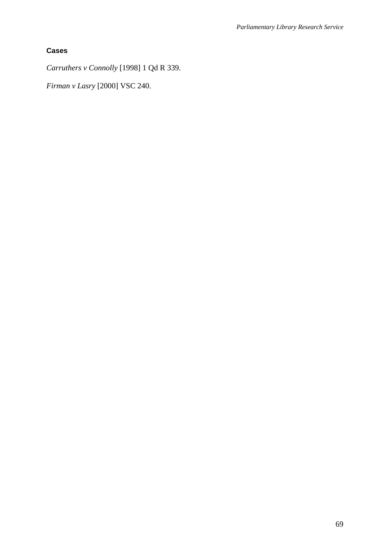## **Cases**

*Carruthers v Connolly* [1998] 1 Qd R 339.

*Firman v Lasry* [2000] VSC 240.